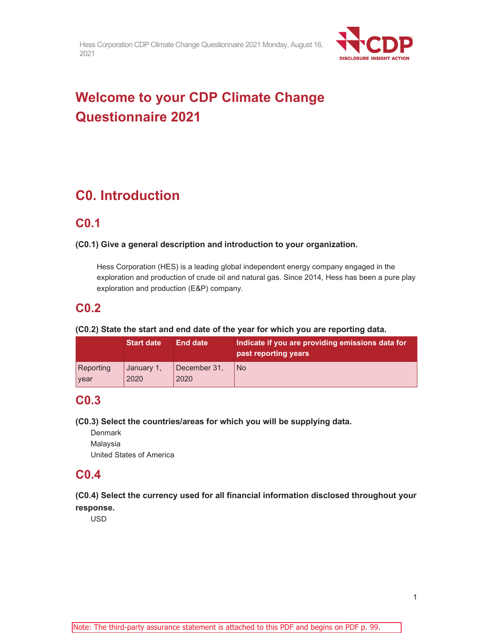

# **Welcome to your CDP Climate Change Questionnaire 2021**

# **C0. Introduction**

# **C0.1**

# **(C0.1) Give a general description and introduction to your organization.**

Hess Corporation (HES) is a leading global independent energy company engaged in the exploration and production of crude oil and natural gas. Since 2014, Hess has been a pure play exploration and production (E&P) company.

# **C0.2**

# **(C0.2) State the start and end date of the year for which you are reporting data.**

|           | <b>Start date</b> | <b>End date</b> | Indicate if you are providing emissions data for<br>past reporting years |
|-----------|-------------------|-----------------|--------------------------------------------------------------------------|
| Reporting | January 1,        | December 31,    | l No                                                                     |
| year      | 2020              | 2020            |                                                                          |

# **C0.3**

# **(C0.3) Select the countries/areas for which you will be supplying data.**

**Denmark** Malaysia United States of America

# **C0.4**

# **(C0.4) Select the currency used for all financial information disclosed throughout your response.**

USD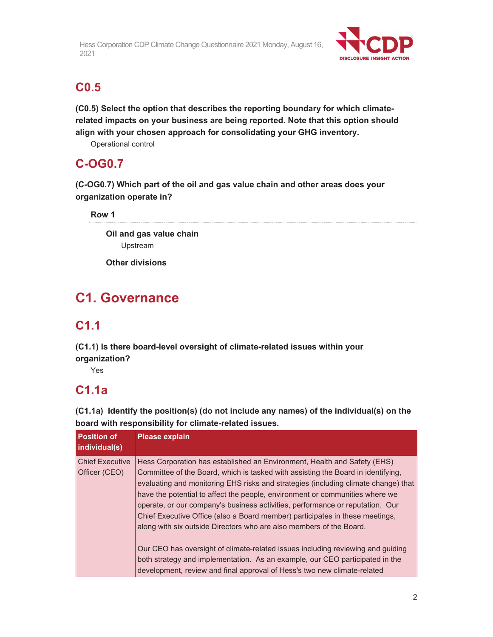

# **C0.5**

**(C0.5) Select the option that describes the reporting boundary for which climaterelated impacts on your business are being reported. Note that this option should align with your chosen approach for consolidating your GHG inventory.** 

Operational control

# **C-OG0.7**

**(C-OG0.7) Which part of the oil and gas value chain and other areas does your organization operate in?** 

**Row 1** 

**Oil and gas value chain**  Upstream

**Other divisions** 

# **C1. Governance**

# **C1.1**

**(C1.1) Is there board-level oversight of climate-related issues within your organization?** 

Yes

# **C1.1a**

**(C1.1a) Identify the position(s) (do not include any names) of the individual(s) on the board with responsibility for climate-related issues.** 

| <b>Position of</b><br>individual(s)     | <b>Please explain</b>                                                                                                                                                                                                                                                                                                                                                                                                                                                                                                                                                      |
|-----------------------------------------|----------------------------------------------------------------------------------------------------------------------------------------------------------------------------------------------------------------------------------------------------------------------------------------------------------------------------------------------------------------------------------------------------------------------------------------------------------------------------------------------------------------------------------------------------------------------------|
| <b>Chief Executive</b><br>Officer (CEO) | Hess Corporation has established an Environment, Health and Safety (EHS)<br>Committee of the Board, which is tasked with assisting the Board in identifying,<br>evaluating and monitoring EHS risks and strategies (including climate change) that<br>have the potential to affect the people, environment or communities where we<br>operate, or our company's business activities, performance or reputation. Our<br>Chief Executive Office (also a Board member) participates in these meetings,<br>along with six outside Directors who are also members of the Board. |
|                                         | Our CEO has oversight of climate-related issues including reviewing and guiding<br>both strategy and implementation. As an example, our CEO participated in the<br>development, review and final approval of Hess's two new climate-related                                                                                                                                                                                                                                                                                                                                |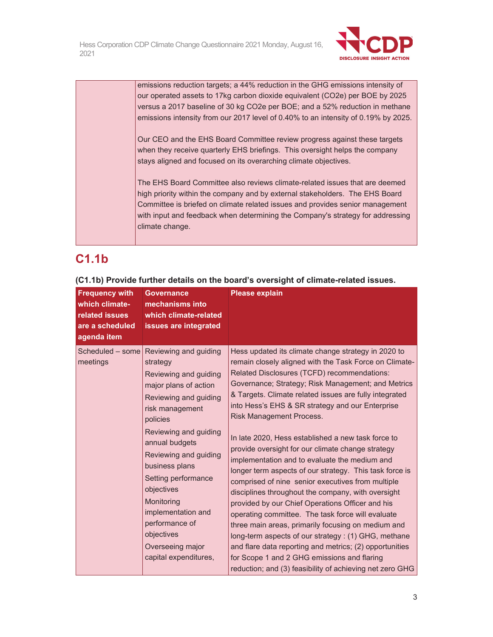

emissions reduction targets; a 44% reduction in the GHG emissions intensity of our operated assets to 17kg carbon dioxide equivalent (CO2e) per BOE by 2025 versus a 2017 baseline of 30 kg CO2e per BOE; and a 52% reduction in methane emissions intensity from our 2017 level of 0.40% to an intensity of 0.19% by 2025.

Our CEO and the EHS Board Committee review progress against these targets when they receive quarterly EHS briefings. This oversight helps the company stays aligned and focused on its overarching climate objectives.

The EHS Board Committee also reviews climate-related issues that are deemed high priority within the company and by external stakeholders. The EHS Board Committee is briefed on climate related issues and provides senior management with input and feedback when determining the Company's strategy for addressing climate change.

# **C1.1b**

| <b>Frequency with</b><br>which climate-<br>related issues<br>are a scheduled<br>agenda item | <b>Governance</b><br>mechanisms into<br>which climate-related<br>issues are integrated                                                                                                                                                                                                                                                                                                  | <b>Please explain</b>                                                                                                                                                                                                                                                                                                                                                                                                                                                                                                                                                                                                                                                                                                                                                                                                                                                                                                                                                                                                                                                                             |
|---------------------------------------------------------------------------------------------|-----------------------------------------------------------------------------------------------------------------------------------------------------------------------------------------------------------------------------------------------------------------------------------------------------------------------------------------------------------------------------------------|---------------------------------------------------------------------------------------------------------------------------------------------------------------------------------------------------------------------------------------------------------------------------------------------------------------------------------------------------------------------------------------------------------------------------------------------------------------------------------------------------------------------------------------------------------------------------------------------------------------------------------------------------------------------------------------------------------------------------------------------------------------------------------------------------------------------------------------------------------------------------------------------------------------------------------------------------------------------------------------------------------------------------------------------------------------------------------------------------|
| Scheduled - some<br>meetings                                                                | Reviewing and guiding<br>strategy<br>Reviewing and guiding<br>major plans of action<br>Reviewing and guiding<br>risk management<br>policies<br>Reviewing and guiding<br>annual budgets<br>Reviewing and guiding<br>business plans<br>Setting performance<br>objectives<br>Monitoring<br>implementation and<br>performance of<br>objectives<br>Overseeing major<br>capital expenditures, | Hess updated its climate change strategy in 2020 to<br>remain closely aligned with the Task Force on Climate-<br>Related Disclosures (TCFD) recommendations:<br>Governance; Strategy; Risk Management; and Metrics<br>& Targets. Climate related issues are fully integrated<br>into Hess's EHS & SR strategy and our Enterprise<br><b>Risk Management Process.</b><br>In late 2020, Hess established a new task force to<br>provide oversight for our climate change strategy<br>implementation and to evaluate the medium and<br>longer term aspects of our strategy. This task force is<br>comprised of nine senior executives from multiple<br>disciplines throughout the company, with oversight<br>provided by our Chief Operations Officer and his<br>operating committee. The task force will evaluate<br>three main areas, primarily focusing on medium and<br>long-term aspects of our strategy: (1) GHG, methane<br>and flare data reporting and metrics; (2) opportunities<br>for Scope 1 and 2 GHG emissions and flaring<br>reduction; and (3) feasibility of achieving net zero GHG |

**(C1.1b) Provide further details on the board's oversight of climate-related issues.**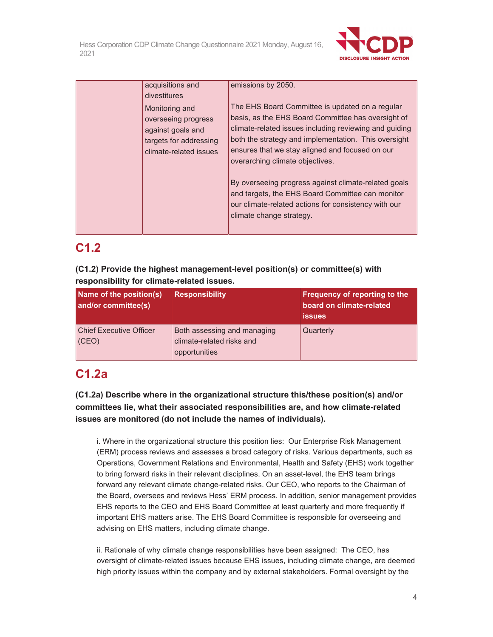

| acquisitions and                                                                                               | emissions by 2050.                                                                                                                                                                                                                                                                                            |
|----------------------------------------------------------------------------------------------------------------|---------------------------------------------------------------------------------------------------------------------------------------------------------------------------------------------------------------------------------------------------------------------------------------------------------------|
| divestitures                                                                                                   |                                                                                                                                                                                                                                                                                                               |
| Monitoring and<br>overseeing progress<br>against goals and<br>targets for addressing<br>climate-related issues | The EHS Board Committee is updated on a regular<br>basis, as the EHS Board Committee has oversight of<br>climate-related issues including reviewing and guiding<br>both the strategy and implementation. This oversight<br>ensures that we stay aligned and focused on our<br>overarching climate objectives. |
|                                                                                                                | By overseeing progress against climate-related goals<br>and targets, the EHS Board Committee can monitor<br>our climate-related actions for consistency with our<br>climate change strategy.                                                                                                                  |

# **C1.2**

**(C1.2) Provide the highest management-level position(s) or committee(s) with responsibility for climate-related issues.** 

| Name of the position(s)<br>and/or committee(s) | <b>Responsibility</b>                                                     | Frequency of reporting to the<br>board on climate-related<br><b>issues</b> |
|------------------------------------------------|---------------------------------------------------------------------------|----------------------------------------------------------------------------|
| <b>Chief Executive Officer</b><br>(CEO)        | Both assessing and managing<br>climate-related risks and<br>opportunities | Quarterly                                                                  |

# **C1.2a**

**(C1.2a) Describe where in the organizational structure this/these position(s) and/or committees lie, what their associated responsibilities are, and how climate-related issues are monitored (do not include the names of individuals).** 

i. Where in the organizational structure this position lies: Our Enterprise Risk Management (ERM) process reviews and assesses a broad category of risks. Various departments, such as Operations, Government Relations and Environmental, Health and Safety (EHS) work together to bring forward risks in their relevant disciplines. On an asset-level, the EHS team brings forward any relevant climate change-related risks. Our CEO, who reports to the Chairman of the Board, oversees and reviews Hess' ERM process. In addition, senior management provides EHS reports to the CEO and EHS Board Committee at least quarterly and more frequently if important EHS matters arise. The EHS Board Committee is responsible for overseeing and advising on EHS matters, including climate change.

ii. Rationale of why climate change responsibilities have been assigned: The CEO, has oversight of climate-related issues because EHS issues, including climate change, are deemed high priority issues within the company and by external stakeholders. Formal oversight by the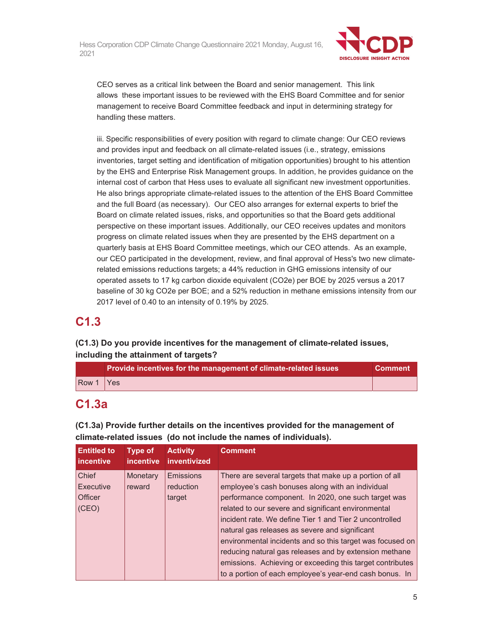

CEO serves as a critical link between the Board and senior management. This link allows these important issues to be reviewed with the EHS Board Committee and for senior management to receive Board Committee feedback and input in determining strategy for handling these matters.

iii. Specific responsibilities of every position with regard to climate change: Our CEO reviews and provides input and feedback on all climate-related issues (i.e., strategy, emissions inventories, target setting and identification of mitigation opportunities) brought to his attention by the EHS and Enterprise Risk Management groups. In addition, he provides guidance on the internal cost of carbon that Hess uses to evaluate all significant new investment opportunities. He also brings appropriate climate-related issues to the attention of the EHS Board Committee and the full Board (as necessary). Our CEO also arranges for external experts to brief the Board on climate related issues, risks, and opportunities so that the Board gets additional perspective on these important issues. Additionally, our CEO receives updates and monitors progress on climate related issues when they are presented by the EHS department on a quarterly basis at EHS Board Committee meetings, which our CEO attends. As an example, our CEO participated in the development, review, and final approval of Hess's two new climaterelated emissions reductions targets; a 44% reduction in GHG emissions intensity of our operated assets to 17 kg carbon dioxide equivalent (CO2e) per BOE by 2025 versus a 2017 baseline of 30 kg CO2e per BOE; and a 52% reduction in methane emissions intensity from our 2017 level of 0.40 to an intensity of 0.19% by 2025.

# **C1.3**

# **(C1.3) Do you provide incentives for the management of climate-related issues, including the attainment of targets?**

|           | Provide incentives for the management of climate-related issues |  |
|-----------|-----------------------------------------------------------------|--|
| Row 1 Yes |                                                                 |  |

# **C1.3a**

**(C1.3a) Provide further details on the incentives provided for the management of climate-related issues (do not include the names of individuals).** 

| <b>Entitled to</b><br><b>lincentive</b> | <b>Type of</b><br><i>incentive</i> | <b>Activity</b><br>inventivized | <b>Comment</b>                                            |
|-----------------------------------------|------------------------------------|---------------------------------|-----------------------------------------------------------|
| Chief                                   | Monetary                           | Emissions                       | There are several targets that make up a portion of all   |
| Executive                               | reward                             | reduction                       | employee's cash bonuses along with an individual          |
| <b>Officer</b>                          |                                    | target                          | performance component. In 2020, one such target was       |
| (CEO)                                   |                                    |                                 | related to our severe and significant environmental       |
|                                         |                                    |                                 | incident rate. We define Tier 1 and Tier 2 uncontrolled   |
|                                         |                                    |                                 | natural gas releases as severe and significant            |
|                                         |                                    |                                 | environmental incidents and so this target was focused on |
|                                         |                                    |                                 | reducing natural gas releases and by extension methane    |
|                                         |                                    |                                 | emissions. Achieving or exceeding this target contributes |
|                                         |                                    |                                 | to a portion of each employee's year-end cash bonus. In   |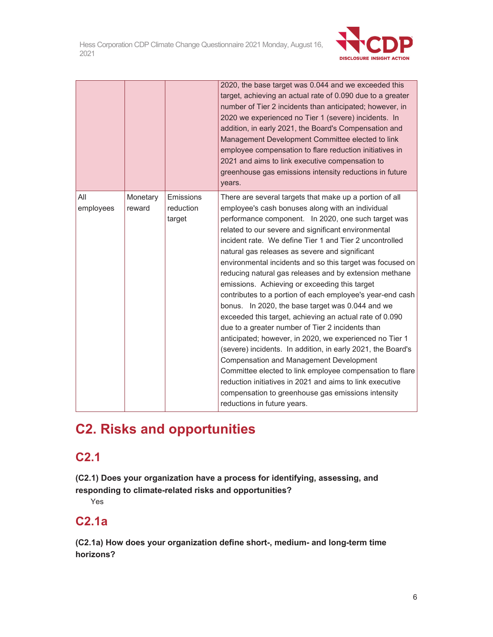

|                  |                    |                                  | 2020, the base target was 0.044 and we exceeded this<br>target, achieving an actual rate of 0.090 due to a greater<br>number of Tier 2 incidents than anticipated; however, in<br>2020 we experienced no Tier 1 (severe) incidents. In<br>addition, in early 2021, the Board's Compensation and<br>Management Development Committee elected to link<br>employee compensation to flare reduction initiatives in<br>2021 and aims to link executive compensation to<br>greenhouse gas emissions intensity reductions in future<br>years.                                                                                                                                                                                                                                                                                                                                                                                                                                                                                                                                                                                                  |
|------------------|--------------------|----------------------------------|-----------------------------------------------------------------------------------------------------------------------------------------------------------------------------------------------------------------------------------------------------------------------------------------------------------------------------------------------------------------------------------------------------------------------------------------------------------------------------------------------------------------------------------------------------------------------------------------------------------------------------------------------------------------------------------------------------------------------------------------------------------------------------------------------------------------------------------------------------------------------------------------------------------------------------------------------------------------------------------------------------------------------------------------------------------------------------------------------------------------------------------------|
| All<br>employees | Monetary<br>reward | Emissions<br>reduction<br>target | There are several targets that make up a portion of all<br>employee's cash bonuses along with an individual<br>performance component. In 2020, one such target was<br>related to our severe and significant environmental<br>incident rate. We define Tier 1 and Tier 2 uncontrolled<br>natural gas releases as severe and significant<br>environmental incidents and so this target was focused on<br>reducing natural gas releases and by extension methane<br>emissions. Achieving or exceeding this target<br>contributes to a portion of each employee's year-end cash<br>bonus. In 2020, the base target was 0.044 and we<br>exceeded this target, achieving an actual rate of 0.090<br>due to a greater number of Tier 2 incidents than<br>anticipated; however, in 2020, we experienced no Tier 1<br>(severe) incidents. In addition, in early 2021, the Board's<br><b>Compensation and Management Development</b><br>Committee elected to link employee compensation to flare<br>reduction initiatives in 2021 and aims to link executive<br>compensation to greenhouse gas emissions intensity<br>reductions in future years. |

# **C2. Risks and opportunities**

# **C2.1**

**(C2.1) Does your organization have a process for identifying, assessing, and responding to climate-related risks and opportunities?** 

Yes

# **C2.1a**

**(C2.1a) How does your organization define short-, medium- and long-term time horizons?**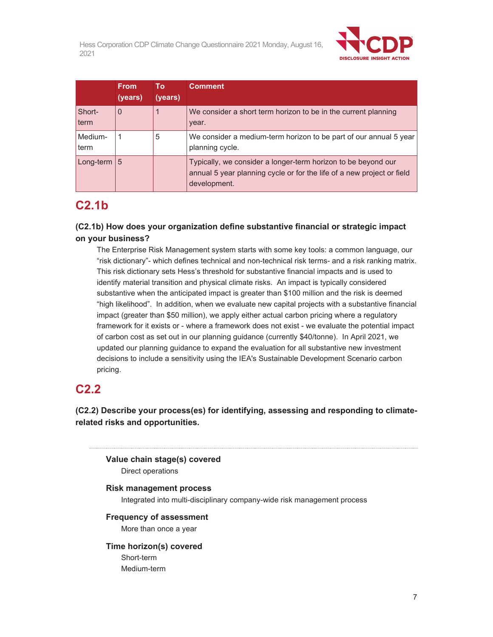

|                 | <b>From</b><br>(years) | To<br>(years) | <b>Comment</b>                                                                                                                                          |
|-----------------|------------------------|---------------|---------------------------------------------------------------------------------------------------------------------------------------------------------|
| Short-<br>term  | $\Omega$               |               | We consider a short term horizon to be in the current planning<br>year.                                                                                 |
| Medium-<br>term |                        | 5             | We consider a medium-term horizon to be part of our annual 5 year<br>planning cycle.                                                                    |
| Long-term $ 5 $ |                        |               | Typically, we consider a longer-term horizon to be beyond our<br>annual 5 year planning cycle or for the life of a new project or field<br>development. |

# **C2.1b**

# **(C2.1b) How does your organization define substantive financial or strategic impact on your business?**

The Enterprise Risk Management system starts with some key tools: a common language, our "risk dictionary"- which defines technical and non-technical risk terms- and a risk ranking matrix. This risk dictionary sets Hess's threshold for substantive financial impacts and is used to identify material transition and physical climate risks. An impact is typically considered substantive when the anticipated impact is greater than \$100 million and the risk is deemed "high likelihood". In addition, when we evaluate new capital projects with a substantive financial impact (greater than \$50 million), we apply either actual carbon pricing where a regulatory framework for it exists or - where a framework does not exist - we evaluate the potential impact of carbon cost as set out in our planning guidance (currently \$40/tonne). In April 2021, we updated our planning guidance to expand the evaluation for all substantive new investment decisions to include a sensitivity using the IEA's Sustainable Development Scenario carbon pricing.

# **C2.2**

**(C2.2) Describe your process(es) for identifying, assessing and responding to climaterelated risks and opportunities.** 

**Value chain stage(s) covered** 

Direct operations

# **Risk management process**

Integrated into multi-disciplinary company-wide risk management process

# **Frequency of assessment**

More than once a year

# **Time horizon(s) covered**

Short-term Medium-term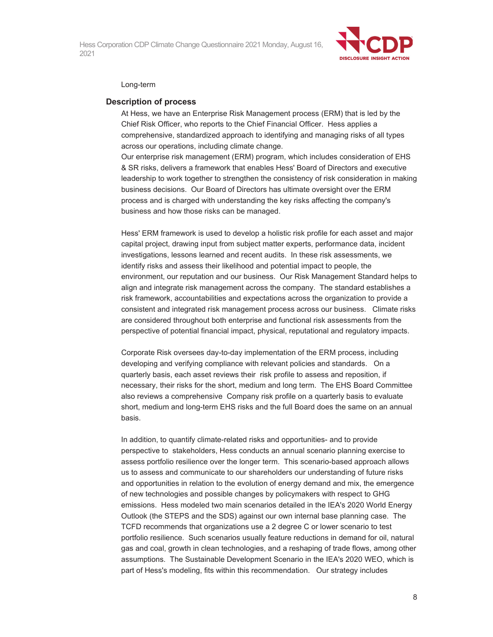

#### Long-term

#### **Description of process**

At Hess, we have an Enterprise Risk Management process (ERM) that is led by the Chief Risk Officer, who reports to the Chief Financial Officer. Hess applies a comprehensive, standardized approach to identifying and managing risks of all types across our operations, including climate change.

Our enterprise risk management (ERM) program, which includes consideration of EHS & SR risks, delivers a framework that enables Hess' Board of Directors and executive leadership to work together to strengthen the consistency of risk consideration in making business decisions. Our Board of Directors has ultimate oversight over the ERM process and is charged with understanding the key risks affecting the company's business and how those risks can be managed.

Hess' ERM framework is used to develop a holistic risk profile for each asset and major capital project, drawing input from subject matter experts, performance data, incident investigations, lessons learned and recent audits. In these risk assessments, we identify risks and assess their likelihood and potential impact to people, the environment, our reputation and our business. Our Risk Management Standard helps to align and integrate risk management across the company. The standard establishes a risk framework, accountabilities and expectations across the organization to provide a consistent and integrated risk management process across our business. Climate risks are considered throughout both enterprise and functional risk assessments from the perspective of potential financial impact, physical, reputational and regulatory impacts.

Corporate Risk oversees day-to-day implementation of the ERM process, including developing and verifying compliance with relevant policies and standards. On a quarterly basis, each asset reviews their risk profile to assess and reposition, if necessary, their risks for the short, medium and long term. The EHS Board Committee also reviews a comprehensive Company risk profile on a quarterly basis to evaluate short, medium and long-term EHS risks and the full Board does the same on an annual basis.

In addition, to quantify climate-related risks and opportunities- and to provide perspective to stakeholders, Hess conducts an annual scenario planning exercise to assess portfolio resilience over the longer term. This scenario-based approach allows us to assess and communicate to our shareholders our understanding of future risks and opportunities in relation to the evolution of energy demand and mix, the emergence of new technologies and possible changes by policymakers with respect to GHG emissions. Hess modeled two main scenarios detailed in the IEA's 2020 World Energy Outlook (the STEPS and the SDS) against our own internal base planning case. The TCFD recommends that organizations use a 2 degree C or lower scenario to test portfolio resilience. Such scenarios usually feature reductions in demand for oil, natural gas and coal, growth in clean technologies, and a reshaping of trade flows, among other assumptions. The Sustainable Development Scenario in the IEA's 2020 WEO, which is part of Hess's modeling, fits within this recommendation. Our strategy includes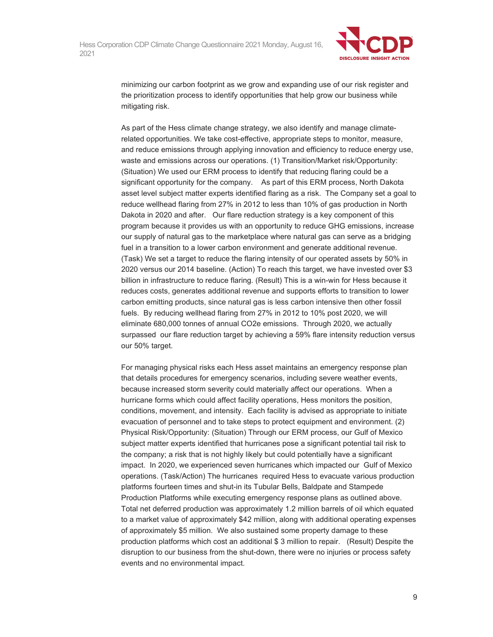

minimizing our carbon footprint as we grow and expanding use of our risk register and the prioritization process to identify opportunities that help grow our business while mitigating risk.

As part of the Hess climate change strategy, we also identify and manage climaterelated opportunities. We take cost-effective, appropriate steps to monitor, measure, and reduce emissions through applying innovation and efficiency to reduce energy use, waste and emissions across our operations. (1) Transition/Market risk/Opportunity: (Situation) We used our ERM process to identify that reducing flaring could be a significant opportunity for the company. As part of this ERM process, North Dakota asset level subject matter experts identified flaring as a risk. The Company set a goal to reduce wellhead flaring from 27% in 2012 to less than 10% of gas production in North Dakota in 2020 and after. Our flare reduction strategy is a key component of this program because it provides us with an opportunity to reduce GHG emissions, increase our supply of natural gas to the marketplace where natural gas can serve as a bridging fuel in a transition to a lower carbon environment and generate additional revenue. (Task) We set a target to reduce the flaring intensity of our operated assets by 50% in 2020 versus our 2014 baseline. (Action) To reach this target, we have invested over \$3 billion in infrastructure to reduce flaring. (Result) This is a win-win for Hess because it reduces costs, generates additional revenue and supports efforts to transition to lower carbon emitting products, since natural gas is less carbon intensive then other fossil fuels. By reducing wellhead flaring from 27% in 2012 to 10% post 2020, we will eliminate 680,000 tonnes of annual CO2e emissions. Through 2020, we actually surpassed our flare reduction target by achieving a 59% flare intensity reduction versus our 50% target.

For managing physical risks each Hess asset maintains an emergency response plan that details procedures for emergency scenarios, including severe weather events, because increased storm severity could materially affect our operations. When a hurricane forms which could affect facility operations, Hess monitors the position, conditions, movement, and intensity. Each facility is advised as appropriate to initiate evacuation of personnel and to take steps to protect equipment and environment. (2) Physical Risk/Opportunity: (Situation) Through our ERM process, our Gulf of Mexico subject matter experts identified that hurricanes pose a significant potential tail risk to the company; a risk that is not highly likely but could potentially have a significant impact. In 2020, we experienced seven hurricanes which impacted our Gulf of Mexico operations. (Task/Action) The hurricanes required Hess to evacuate various production platforms fourteen times and shut-in its Tubular Bells, Baldpate and Stampede Production Platforms while executing emergency response plans as outlined above. Total net deferred production was approximately 1.2 million barrels of oil which equated to a market value of approximately \$42 million, along with additional operating expenses of approximately \$5 million. We also sustained some property damage to these production platforms which cost an additional \$ 3 million to repair. (Result) Despite the disruption to our business from the shut-down, there were no injuries or process safety events and no environmental impact.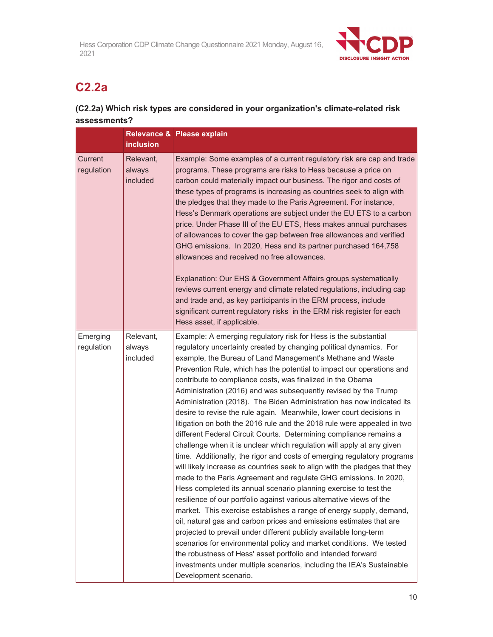

# **C2.2a**

# **(C2.2a) Which risk types are considered in your organization's climate-related risk assessments?**

|                        | <b>inclusion</b>                | Relevance & Please explain                                                                                                                                                                                                                                                                                                                                                                                                                                                                                                                                                                                                                                                                                                                                                                                                                                                                                                                                                                                                                                                                                                                                                                                                                                                                                                                                                                                                                                                                                                                                                                                                    |
|------------------------|---------------------------------|-------------------------------------------------------------------------------------------------------------------------------------------------------------------------------------------------------------------------------------------------------------------------------------------------------------------------------------------------------------------------------------------------------------------------------------------------------------------------------------------------------------------------------------------------------------------------------------------------------------------------------------------------------------------------------------------------------------------------------------------------------------------------------------------------------------------------------------------------------------------------------------------------------------------------------------------------------------------------------------------------------------------------------------------------------------------------------------------------------------------------------------------------------------------------------------------------------------------------------------------------------------------------------------------------------------------------------------------------------------------------------------------------------------------------------------------------------------------------------------------------------------------------------------------------------------------------------------------------------------------------------|
| Current<br>regulation  | Relevant,<br>always<br>included | Example: Some examples of a current regulatory risk are cap and trade<br>programs. These programs are risks to Hess because a price on<br>carbon could materially impact our business. The rigor and costs of<br>these types of programs is increasing as countries seek to align with<br>the pledges that they made to the Paris Agreement. For instance,<br>Hess's Denmark operations are subject under the EU ETS to a carbon<br>price. Under Phase III of the EU ETS, Hess makes annual purchases<br>of allowances to cover the gap between free allowances and verified<br>GHG emissions. In 2020, Hess and its partner purchased 164,758<br>allowances and received no free allowances.<br>Explanation: Our EHS & Government Affairs groups systematically<br>reviews current energy and climate related regulations, including cap<br>and trade and, as key participants in the ERM process, include<br>significant current regulatory risks in the ERM risk register for each<br>Hess asset, if applicable.                                                                                                                                                                                                                                                                                                                                                                                                                                                                                                                                                                                                           |
| Emerging<br>regulation | Relevant,<br>always<br>included | Example: A emerging regulatory risk for Hess is the substantial<br>regulatory uncertainty created by changing political dynamics. For<br>example, the Bureau of Land Management's Methane and Waste<br>Prevention Rule, which has the potential to impact our operations and<br>contribute to compliance costs, was finalized in the Obama<br>Administration (2016) and was subsequently revised by the Trump<br>Administration (2018). The Biden Administration has now indicated its<br>desire to revise the rule again. Meanwhile, lower court decisions in<br>litigation on both the 2016 rule and the 2018 rule were appealed in two<br>different Federal Circuit Courts. Determining compliance remains a<br>challenge when it is unclear which regulation will apply at any given<br>time. Additionally, the rigor and costs of emerging regulatory programs<br>will likely increase as countries seek to align with the pledges that they<br>made to the Paris Agreement and regulate GHG emissions. In 2020,<br>Hess completed its annual scenario planning exercise to test the<br>resilience of our portfolio against various alternative views of the<br>market. This exercise establishes a range of energy supply, demand,<br>oil, natural gas and carbon prices and emissions estimates that are<br>projected to prevail under different publicly available long-term<br>scenarios for environmental policy and market conditions. We tested<br>the robustness of Hess' asset portfolio and intended forward<br>investments under multiple scenarios, including the IEA's Sustainable<br>Development scenario. |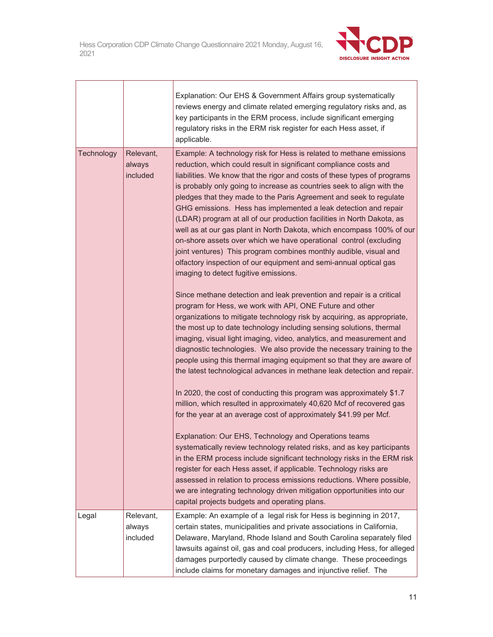┑

г



Ť

|            |                                 | Explanation: Our EHS & Government Affairs group systematically<br>reviews energy and climate related emerging regulatory risks and, as<br>key participants in the ERM process, include significant emerging<br>regulatory risks in the ERM risk register for each Hess asset, if<br>applicable.                                                                                                                                                                                                                                                                                                                                                                                                                                                                                                                                                    |
|------------|---------------------------------|----------------------------------------------------------------------------------------------------------------------------------------------------------------------------------------------------------------------------------------------------------------------------------------------------------------------------------------------------------------------------------------------------------------------------------------------------------------------------------------------------------------------------------------------------------------------------------------------------------------------------------------------------------------------------------------------------------------------------------------------------------------------------------------------------------------------------------------------------|
| Technology | Relevant,<br>always<br>included | Example: A technology risk for Hess is related to methane emissions<br>reduction, which could result in significant compliance costs and<br>liabilities. We know that the rigor and costs of these types of programs<br>is probably only going to increase as countries seek to align with the<br>pledges that they made to the Paris Agreement and seek to regulate<br>GHG emissions. Hess has implemented a leak detection and repair<br>(LDAR) program at all of our production facilities in North Dakota, as<br>well as at our gas plant in North Dakota, which encompass 100% of our<br>on-shore assets over which we have operational control (excluding<br>joint ventures) This program combines monthly audible, visual and<br>olfactory inspection of our equipment and semi-annual optical gas<br>imaging to detect fugitive emissions. |
|            |                                 | Since methane detection and leak prevention and repair is a critical<br>program for Hess, we work with API, ONE Future and other<br>organizations to mitigate technology risk by acquiring, as appropriate,<br>the most up to date technology including sensing solutions, thermal<br>imaging, visual light imaging, video, analytics, and measurement and<br>diagnostic technologies. We also provide the necessary training to the<br>people using this thermal imaging equipment so that they are aware of<br>the latest technological advances in methane leak detection and repair.                                                                                                                                                                                                                                                           |
|            |                                 | In 2020, the cost of conducting this program was approximately \$1.7<br>million, which resulted in approximately 40,620 Mcf of recovered gas<br>for the year at an average cost of approximately \$41.99 per Mcf.                                                                                                                                                                                                                                                                                                                                                                                                                                                                                                                                                                                                                                  |
|            |                                 | Explanation: Our EHS, Technology and Operations teams<br>systematically review technology related risks, and as key participants<br>in the ERM process include significant technology risks in the ERM risk<br>register for each Hess asset, if applicable. Technology risks are<br>assessed in relation to process emissions reductions. Where possible,<br>we are integrating technology driven mitigation opportunities into our<br>capital projects budgets and operating plans.                                                                                                                                                                                                                                                                                                                                                               |
| Legal      | Relevant,<br>always<br>included | Example: An example of a legal risk for Hess is beginning in 2017,<br>certain states, municipalities and private associations in California,<br>Delaware, Maryland, Rhode Island and South Carolina separately filed<br>lawsuits against oil, gas and coal producers, including Hess, for alleged<br>damages purportedly caused by climate change. These proceedings<br>include claims for monetary damages and injunctive relief. The                                                                                                                                                                                                                                                                                                                                                                                                             |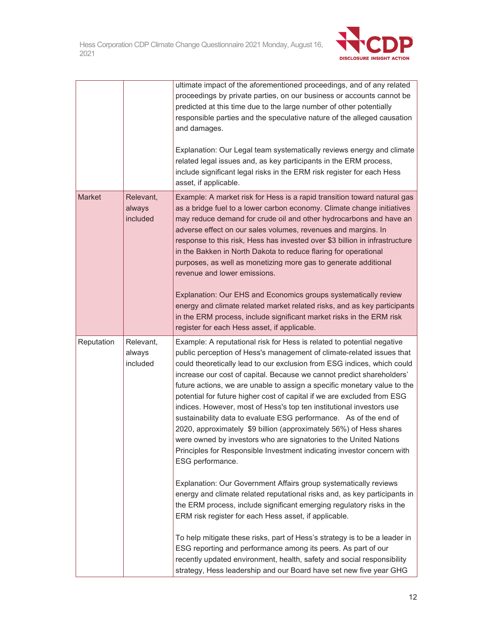

|               |                                 | ultimate impact of the aforementioned proceedings, and of any related<br>proceedings by private parties, on our business or accounts cannot be<br>predicted at this time due to the large number of other potentially<br>responsible parties and the speculative nature of the alleged causation<br>and damages.<br>Explanation: Our Legal team systematically reviews energy and climate<br>related legal issues and, as key participants in the ERM process,<br>include significant legal risks in the ERM risk register for each Hess<br>asset, if applicable.                                                                                                                                                                                                                                                                                                                                                                                                                                                                                                                                                                                                                                                                                                                                                                                            |
|---------------|---------------------------------|--------------------------------------------------------------------------------------------------------------------------------------------------------------------------------------------------------------------------------------------------------------------------------------------------------------------------------------------------------------------------------------------------------------------------------------------------------------------------------------------------------------------------------------------------------------------------------------------------------------------------------------------------------------------------------------------------------------------------------------------------------------------------------------------------------------------------------------------------------------------------------------------------------------------------------------------------------------------------------------------------------------------------------------------------------------------------------------------------------------------------------------------------------------------------------------------------------------------------------------------------------------------------------------------------------------------------------------------------------------|
| <b>Market</b> | Relevant,<br>always<br>included | Example: A market risk for Hess is a rapid transition toward natural gas<br>as a bridge fuel to a lower carbon economy. Climate change initiatives<br>may reduce demand for crude oil and other hydrocarbons and have an<br>adverse effect on our sales volumes, revenues and margins. In<br>response to this risk, Hess has invested over \$3 billion in infrastructure<br>in the Bakken in North Dakota to reduce flaring for operational<br>purposes, as well as monetizing more gas to generate additional<br>revenue and lower emissions.<br>Explanation: Our EHS and Economics groups systematically review<br>energy and climate related market related risks, and as key participants<br>in the ERM process, include significant market risks in the ERM risk<br>register for each Hess asset, if applicable.                                                                                                                                                                                                                                                                                                                                                                                                                                                                                                                                        |
| Reputation    | Relevant,<br>always<br>included | Example: A reputational risk for Hess is related to potential negative<br>public perception of Hess's management of climate-related issues that<br>could theoretically lead to our exclusion from ESG indices, which could<br>increase our cost of capital. Because we cannot predict shareholders'<br>future actions, we are unable to assign a specific monetary value to the<br>potential for future higher cost of capital if we are excluded from ESG<br>indices. However, most of Hess's top ten institutional investors use<br>sustainability data to evaluate ESG performance. As of the end of<br>2020, approximately \$9 billion (approximately 56%) of Hess shares<br>were owned by investors who are signatories to the United Nations<br>Principles for Responsible Investment indicating investor concern with<br>ESG performance.<br>Explanation: Our Government Affairs group systematically reviews<br>energy and climate related reputational risks and, as key participants in<br>the ERM process, include significant emerging regulatory risks in the<br>ERM risk register for each Hess asset, if applicable.<br>To help mitigate these risks, part of Hess's strategy is to be a leader in<br>ESG reporting and performance among its peers. As part of our<br>recently updated environment, health, safety and social responsibility |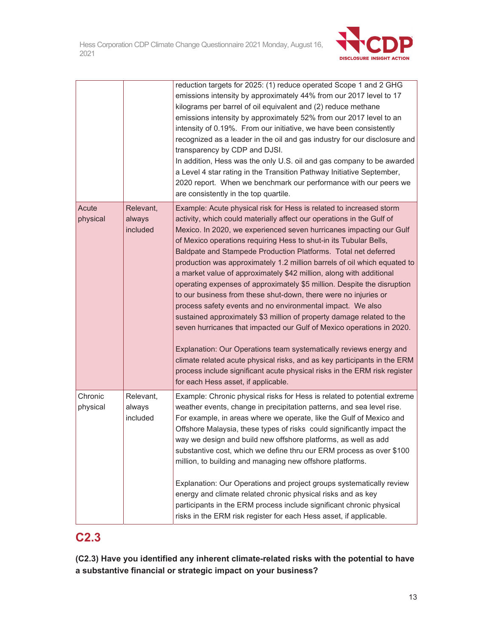

|                     |                                 | reduction targets for 2025: (1) reduce operated Scope 1 and 2 GHG<br>emissions intensity by approximately 44% from our 2017 level to 17<br>kilograms per barrel of oil equivalent and (2) reduce methane<br>emissions intensity by approximately 52% from our 2017 level to an<br>intensity of 0.19%. From our initiative, we have been consistently<br>recognized as a leader in the oil and gas industry for our disclosure and<br>transparency by CDP and DJSI.<br>In addition, Hess was the only U.S. oil and gas company to be awarded<br>a Level 4 star rating in the Transition Pathway Initiative September,<br>2020 report. When we benchmark our performance with our peers we<br>are consistently in the top quartile.                                                                                                                                                                                                                                                                                                                                                                                                                 |
|---------------------|---------------------------------|---------------------------------------------------------------------------------------------------------------------------------------------------------------------------------------------------------------------------------------------------------------------------------------------------------------------------------------------------------------------------------------------------------------------------------------------------------------------------------------------------------------------------------------------------------------------------------------------------------------------------------------------------------------------------------------------------------------------------------------------------------------------------------------------------------------------------------------------------------------------------------------------------------------------------------------------------------------------------------------------------------------------------------------------------------------------------------------------------------------------------------------------------|
| Acute<br>physical   | Relevant,<br>always<br>included | Example: Acute physical risk for Hess is related to increased storm<br>activity, which could materially affect our operations in the Gulf of<br>Mexico. In 2020, we experienced seven hurricanes impacting our Gulf<br>of Mexico operations requiring Hess to shut-in its Tubular Bells,<br>Baldpate and Stampede Production Platforms. Total net deferred<br>production was approximately 1.2 million barrels of oil which equated to<br>a market value of approximately \$42 million, along with additional<br>operating expenses of approximately \$5 million. Despite the disruption<br>to our business from these shut-down, there were no injuries or<br>process safety events and no environmental impact. We also<br>sustained approximately \$3 million of property damage related to the<br>seven hurricanes that impacted our Gulf of Mexico operations in 2020.<br>Explanation: Our Operations team systematically reviews energy and<br>climate related acute physical risks, and as key participants in the ERM<br>process include significant acute physical risks in the ERM risk register<br>for each Hess asset, if applicable. |
| Chronic<br>physical | Relevant,<br>always<br>included | Example: Chronic physical risks for Hess is related to potential extreme<br>weather events, change in precipitation patterns, and sea level rise.<br>For example, in areas where we operate, like the Gulf of Mexico and<br>Offshore Malaysia, these types of risks could significantly impact the<br>way we design and build new offshore platforms, as well as add<br>substantive cost, which we define thru our ERM process as over \$100<br>million, to building and managing new offshore platforms.<br>Explanation: Our Operations and project groups systematically review<br>energy and climate related chronic physical risks and as key<br>participants in the ERM process include significant chronic physical<br>risks in the ERM risk register for each Hess asset, if applicable.                                                                                                                                                                                                                                                                                                                                                   |

# **C2.3**

**(C2.3) Have you identified any inherent climate-related risks with the potential to have a substantive financial or strategic impact on your business?**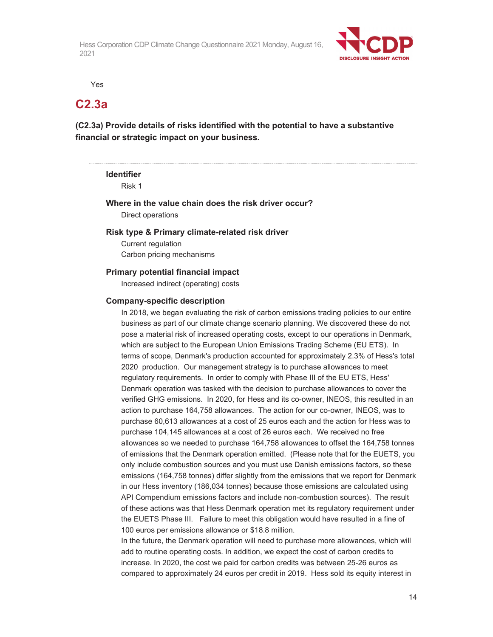

Yes

# **C2.3a**

**(C2.3a) Provide details of risks identified with the potential to have a substantive financial or strategic impact on your business.** 

# **Identifier**

Risk 1

## **Where in the value chain does the risk driver occur?**  Direct operations

### **Risk type & Primary climate-related risk driver**

Current regulation Carbon pricing mechanisms

### **Primary potential financial impact**

Increased indirect (operating) costs

#### **Company-specific description**

In 2018, we began evaluating the risk of carbon emissions trading policies to our entire business as part of our climate change scenario planning. We discovered these do not pose a material risk of increased operating costs, except to our operations in Denmark, which are subject to the European Union Emissions Trading Scheme (EU ETS). In terms of scope, Denmark's production accounted for approximately 2.3% of Hess's total 2020 production. Our management strategy is to purchase allowances to meet regulatory requirements. In order to comply with Phase III of the EU ETS, Hess' Denmark operation was tasked with the decision to purchase allowances to cover the verified GHG emissions. In 2020, for Hess and its co-owner, INEOS, this resulted in an action to purchase 164,758 allowances. The action for our co-owner, INEOS, was to purchase 60,613 allowances at a cost of 25 euros each and the action for Hess was to purchase 104,145 allowances at a cost of 26 euros each. We received no free allowances so we needed to purchase 164,758 allowances to offset the 164,758 tonnes of emissions that the Denmark operation emitted. (Please note that for the EUETS, you only include combustion sources and you must use Danish emissions factors, so these emissions (164,758 tonnes) differ slightly from the emissions that we report for Denmark in our Hess inventory (186,034 tonnes) because those emissions are calculated using API Compendium emissions factors and include non-combustion sources). The result of these actions was that Hess Denmark operation met its regulatory requirement under the EUETS Phase III. Failure to meet this obligation would have resulted in a fine of 100 euros per emissions allowance or \$18.8 million.

In the future, the Denmark operation will need to purchase more allowances, which will add to routine operating costs. In addition, we expect the cost of carbon credits to increase. In 2020, the cost we paid for carbon credits was between 25-26 euros as compared to approximately 24 euros per credit in 2019. Hess sold its equity interest in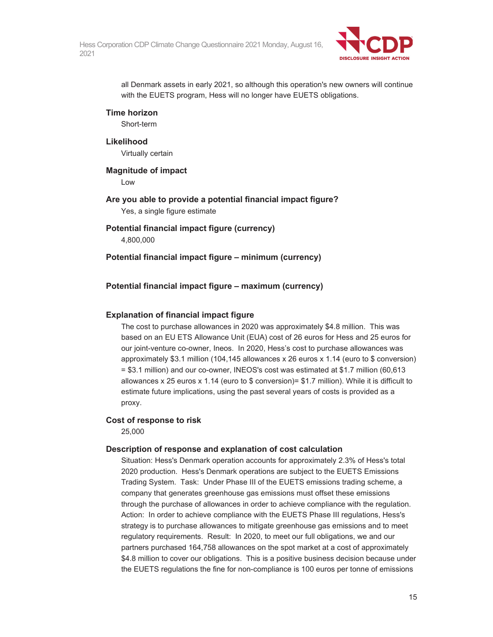

all Denmark assets in early 2021, so although this operation's new owners will continue with the EUETS program, Hess will no longer have EUETS obligations.

## **Time horizon**

Short-term

### **Likelihood**

Virtually certain

# **Magnitude of impact**

Low

**Are you able to provide a potential financial impact figure?**  Yes, a single figure estimate

### **Potential financial impact figure (currency)**  4,800,000

## **Potential financial impact figure – minimum (currency)**

## **Potential financial impact figure – maximum (currency)**

### **Explanation of financial impact figure**

The cost to purchase allowances in 2020 was approximately \$4.8 million. This was based on an EU ETS Allowance Unit (EUA) cost of 26 euros for Hess and 25 euros for our joint-venture co-owner, Ineos. In 2020, Hess's cost to purchase allowances was approximately \$3.1 million (104,145 allowances x 26 euros x 1.14 (euro to \$ conversion) = \$3.1 million) and our co-owner, INEOS's cost was estimated at \$1.7 million (60,613 allowances x 25 euros x 1.14 (euro to  $\frac{1}{2}$  conversion)=  $\frac{1}{2}$  million). While it is difficult to estimate future implications, using the past several years of costs is provided as a proxy.

## **Cost of response to risk**

25,000

### **Description of response and explanation of cost calculation**

Situation: Hess's Denmark operation accounts for approximately 2.3% of Hess's total 2020 production. Hess's Denmark operations are subject to the EUETS Emissions Trading System. Task: Under Phase III of the EUETS emissions trading scheme, a company that generates greenhouse gas emissions must offset these emissions through the purchase of allowances in order to achieve compliance with the regulation. Action: In order to achieve compliance with the EUETS Phase III regulations, Hess's strategy is to purchase allowances to mitigate greenhouse gas emissions and to meet regulatory requirements. Result: In 2020, to meet our full obligations, we and our partners purchased 164,758 allowances on the spot market at a cost of approximately \$4.8 million to cover our obligations. This is a positive business decision because under the EUETS regulations the fine for non-compliance is 100 euros per tonne of emissions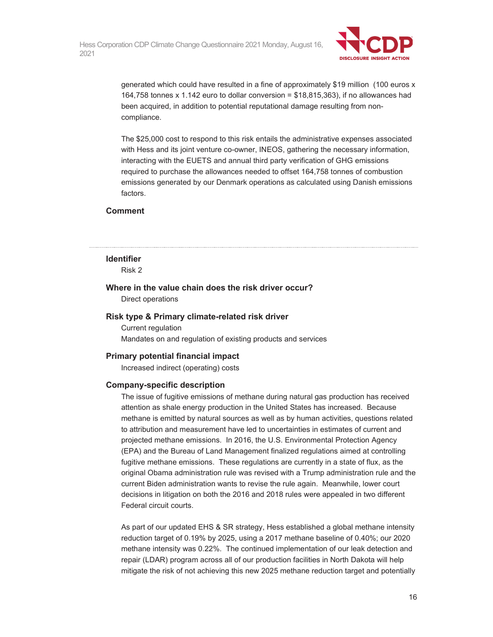

generated which could have resulted in a fine of approximately \$19 million (100 euros x 164,758 tonnes x 1.142 euro to dollar conversion = \$18,815,363), if no allowances had been acquired, in addition to potential reputational damage resulting from noncompliance.

The \$25,000 cost to respond to this risk entails the administrative expenses associated with Hess and its joint venture co-owner, INEOS, gathering the necessary information, interacting with the EUETS and annual third party verification of GHG emissions required to purchase the allowances needed to offset 164,758 tonnes of combustion emissions generated by our Denmark operations as calculated using Danish emissions factors.

#### **Comment**

## **Identifier**

Risk 2

# **Where in the value chain does the risk driver occur?**  Direct operations

#### **Risk type & Primary climate-related risk driver**

Current regulation Mandates on and regulation of existing products and services

### **Primary potential financial impact**

Increased indirect (operating) costs

#### **Company-specific description**

The issue of fugitive emissions of methane during natural gas production has received attention as shale energy production in the United States has increased. Because methane is emitted by natural sources as well as by human activities, questions related to attribution and measurement have led to uncertainties in estimates of current and projected methane emissions. In 2016, the U.S. Environmental Protection Agency (EPA) and the Bureau of Land Management finalized regulations aimed at controlling fugitive methane emissions. These regulations are currently in a state of flux, as the original Obama administration rule was revised with a Trump administration rule and the current Biden administration wants to revise the rule again. Meanwhile, lower court decisions in litigation on both the 2016 and 2018 rules were appealed in two different Federal circuit courts.

As part of our updated EHS & SR strategy, Hess established a global methane intensity reduction target of 0.19% by 2025, using a 2017 methane baseline of 0.40%; our 2020 methane intensity was 0.22%. The continued implementation of our leak detection and repair (LDAR) program across all of our production facilities in North Dakota will help mitigate the risk of not achieving this new 2025 methane reduction target and potentially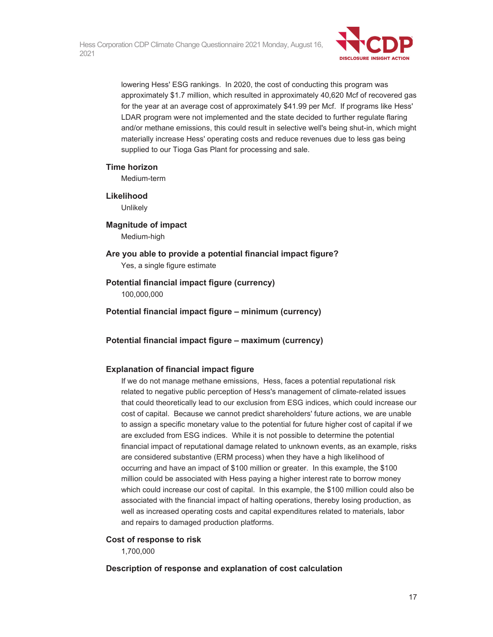

lowering Hess' ESG rankings. In 2020, the cost of conducting this program was approximately \$1.7 million, which resulted in approximately 40,620 Mcf of recovered gas for the year at an average cost of approximately \$41.99 per Mcf. If programs like Hess' LDAR program were not implemented and the state decided to further regulate flaring and/or methane emissions, this could result in selective well's being shut-in, which might materially increase Hess' operating costs and reduce revenues due to less gas being supplied to our Tioga Gas Plant for processing and sale.

### **Time horizon**

Medium-term

## **Likelihood**

**Unlikely** 

## **Magnitude of impact**  Medium-high

**Are you able to provide a potential financial impact figure?**  Yes, a single figure estimate

# **Potential financial impact figure (currency)**

100,000,000

**Potential financial impact figure – minimum (currency)** 

# **Potential financial impact figure – maximum (currency)**

# **Explanation of financial impact figure**

If we do not manage methane emissions, Hess, faces a potential reputational risk related to negative public perception of Hess's management of climate-related issues that could theoretically lead to our exclusion from ESG indices, which could increase our cost of capital. Because we cannot predict shareholders' future actions, we are unable to assign a specific monetary value to the potential for future higher cost of capital if we are excluded from ESG indices. While it is not possible to determine the potential financial impact of reputational damage related to unknown events, as an example, risks are considered substantive (ERM process) when they have a high likelihood of occurring and have an impact of \$100 million or greater. In this example, the \$100 million could be associated with Hess paying a higher interest rate to borrow money which could increase our cost of capital. In this example, the \$100 million could also be associated with the financial impact of halting operations, thereby losing production, as well as increased operating costs and capital expenditures related to materials, labor and repairs to damaged production platforms.

### **Cost of response to risk**

1,700,000

# **Description of response and explanation of cost calculation**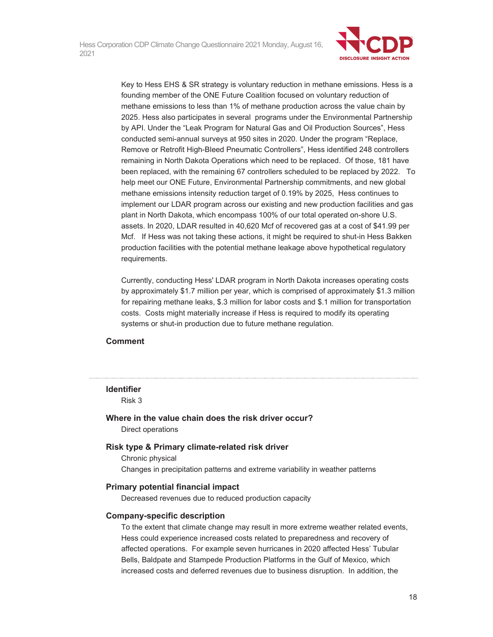

Key to Hess EHS & SR strategy is voluntary reduction in methane emissions. Hess is a founding member of the ONE Future Coalition focused on voluntary reduction of methane emissions to less than 1% of methane production across the value chain by 2025. Hess also participates in several programs under the Environmental Partnership by API. Under the "Leak Program for Natural Gas and Oil Production Sources", Hess conducted semi-annual surveys at 950 sites in 2020. Under the program "Replace, Remove or Retrofit High-Bleed Pneumatic Controllers", Hess identified 248 controllers remaining in North Dakota Operations which need to be replaced. Of those, 181 have been replaced, with the remaining 67 controllers scheduled to be replaced by 2022. To help meet our ONE Future, Environmental Partnership commitments, and new global methane emissions intensity reduction target of 0.19% by 2025, Hess continues to implement our LDAR program across our existing and new production facilities and gas plant in North Dakota, which encompass 100% of our total operated on-shore U.S. assets. In 2020, LDAR resulted in 40,620 Mcf of recovered gas at a cost of \$41.99 per Mcf. If Hess was not taking these actions, it might be required to shut-in Hess Bakken production facilities with the potential methane leakage above hypothetical regulatory requirements.

Currently, conducting Hess' LDAR program in North Dakota increases operating costs by approximately \$1.7 million per year, which is comprised of approximately \$1.3 million for repairing methane leaks, \$.3 million for labor costs and \$.1 million for transportation costs. Costs might materially increase if Hess is required to modify its operating systems or shut-in production due to future methane regulation.

### **Comment**

### **Identifier**

Risk 3

# **Where in the value chain does the risk driver occur?**

Direct operations

### **Risk type & Primary climate-related risk driver**

Chronic physical Changes in precipitation patterns and extreme variability in weather patterns

### **Primary potential financial impact**

Decreased revenues due to reduced production capacity

### **Company-specific description**

To the extent that climate change may result in more extreme weather related events, Hess could experience increased costs related to preparedness and recovery of affected operations. For example seven hurricanes in 2020 affected Hess' Tubular Bells, Baldpate and Stampede Production Platforms in the Gulf of Mexico, which increased costs and deferred revenues due to business disruption. In addition, the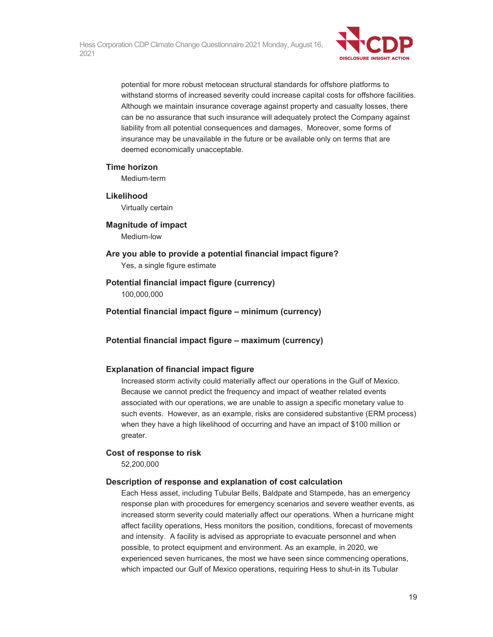

potential for more robust metocean structural standards for offshore platforms to withstand storms of increased severity could increase capital costs for offshore facilities. Although we maintain insurance coverage against property and casualty losses, there can be no assurance that such insurance will adequately protect the Company against liability from all potential consequences and damages. Moreover, some forms of insurance may be unavailable in the future or be available only on terms that are deemed economically unacceptable.

#### **Time horizon**

Medium-term

# **Likelihood**

Virtually certain

#### **Magnitude of impact**  Medium-low

**Are you able to provide a potential financial impact figure?**  Yes, a single figure estimate

# **Potential financial impact figure (currency)**

100,000,000

**Potential financial impact figure – minimum (currency)** 

### **Potential financial impact figure – maximum (currency)**

#### **Explanation of financial impact figure**

Increased storm activity could materially affect our operations in the Gulf of Mexico. Because we cannot predict the frequency and impact of weather related events associated with our operations, we are unable to assign a specific monetary value to such events. However, as an example, risks are considered substantive (ERM process) when they have a high likelihood of occurring and have an impact of \$100 million or greater.

#### **Cost of response to risk**

52,200,000

#### **Description of response and explanation of cost calculation**

Each Hess asset, including Tubular Bells, Baldpate and Stampede, has an emergency response plan with procedures for emergency scenarios and severe weather events, as increased storm severity could materially affect our operations. When a hurricane might affect facility operations, Hess monitors the position, conditions, forecast of movements and intensity. A facility is advised as appropriate to evacuate personnel and when possible, to protect equipment and environment. As an example, in 2020, we experienced seven hurricanes, the most we have seen since commencing operations, which impacted our Gulf of Mexico operations, requiring Hess to shut-in its Tubular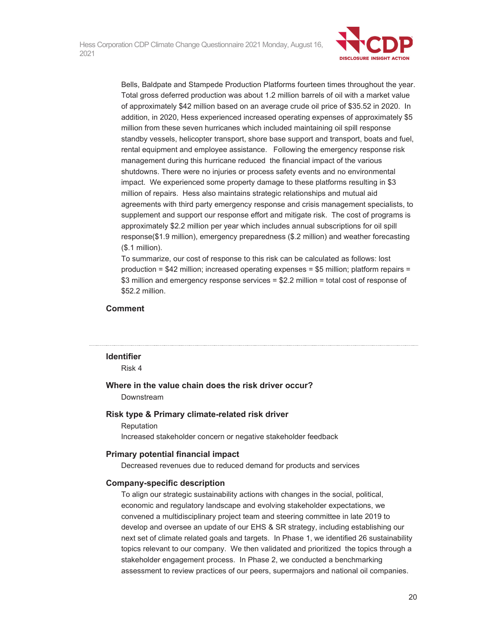

Bells, Baldpate and Stampede Production Platforms fourteen times throughout the year. Total gross deferred production was about 1.2 million barrels of oil with a market value of approximately \$42 million based on an average crude oil price of \$35.52 in 2020. In addition, in 2020, Hess experienced increased operating expenses of approximately \$5 million from these seven hurricanes which included maintaining oil spill response standby vessels, helicopter transport, shore base support and transport, boats and fuel, rental equipment and employee assistance. Following the emergency response risk management during this hurricane reduced the financial impact of the various shutdowns. There were no injuries or process safety events and no environmental impact. We experienced some property damage to these platforms resulting in \$3 million of repairs. Hess also maintains strategic relationships and mutual aid agreements with third party emergency response and crisis management specialists, to supplement and support our response effort and mitigate risk. The cost of programs is approximately \$2.2 million per year which includes annual subscriptions for oil spill response(\$1.9 million), emergency preparedness (\$.2 million) and weather forecasting (\$.1 million).

To summarize, our cost of response to this risk can be calculated as follows: lost production =  $$42$  million; increased operating expenses =  $$5$  million; platform repairs = \$3 million and emergency response services = \$2.2 million = total cost of response of \$52.2 million.

## **Comment**

#### **Identifier**

Risk 4

## **Where in the value chain does the risk driver occur?**

Downstream

#### **Risk type & Primary climate-related risk driver**

Reputation

Increased stakeholder concern or negative stakeholder feedback

### **Primary potential financial impact**

Decreased revenues due to reduced demand for products and services

### **Company-specific description**

To align our strategic sustainability actions with changes in the social, political, economic and regulatory landscape and evolving stakeholder expectations, we convened a multidisciplinary project team and steering committee in late 2019 to develop and oversee an update of our EHS & SR strategy, including establishing our next set of climate related goals and targets. In Phase 1, we identified 26 sustainability topics relevant to our company. We then validated and prioritized the topics through a stakeholder engagement process. In Phase 2, we conducted a benchmarking assessment to review practices of our peers, supermajors and national oil companies.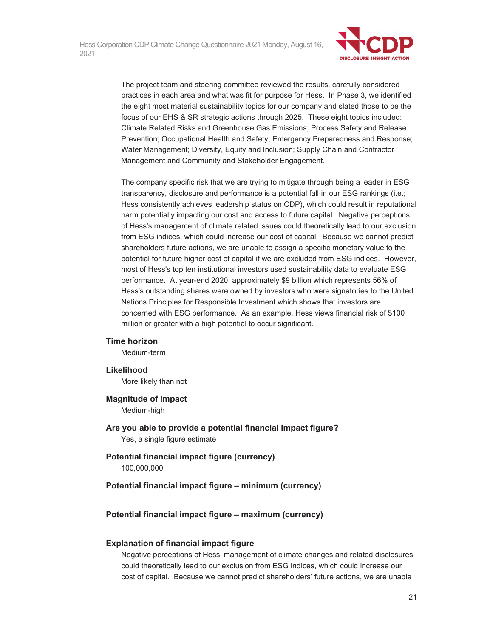

The project team and steering committee reviewed the results, carefully considered practices in each area and what was fit for purpose for Hess. In Phase 3, we identified the eight most material sustainability topics for our company and slated those to be the focus of our EHS & SR strategic actions through 2025. These eight topics included: Climate Related Risks and Greenhouse Gas Emissions; Process Safety and Release Prevention; Occupational Health and Safety; Emergency Preparedness and Response; Water Management; Diversity, Equity and Inclusion; Supply Chain and Contractor Management and Community and Stakeholder Engagement.

The company specific risk that we are trying to mitigate through being a leader in ESG transparency, disclosure and performance is a potential fall in our ESG rankings (i.e.; Hess consistently achieves leadership status on CDP), which could result in reputational harm potentially impacting our cost and access to future capital. Negative perceptions of Hess's management of climate related issues could theoretically lead to our exclusion from ESG indices, which could increase our cost of capital. Because we cannot predict shareholders future actions, we are unable to assign a specific monetary value to the potential for future higher cost of capital if we are excluded from ESG indices. However, most of Hess's top ten institutional investors used sustainability data to evaluate ESG performance. At year-end 2020, approximately \$9 billion which represents 56% of Hess's outstanding shares were owned by investors who were signatories to the United Nations Principles for Responsible Investment which shows that investors are concerned with ESG performance. As an example, Hess views financial risk of \$100 million or greater with a high potential to occur significant.

### **Time horizon**

Medium-term

#### **Likelihood**

More likely than not

### **Magnitude of impact**

Medium-high

## **Are you able to provide a potential financial impact figure?**  Yes, a single figure estimate

**Potential financial impact figure (currency)**  100,000,000

#### **Potential financial impact figure – minimum (currency)**

#### **Potential financial impact figure – maximum (currency)**

#### **Explanation of financial impact figure**

Negative perceptions of Hess' management of climate changes and related disclosures could theoretically lead to our exclusion from ESG indices, which could increase our cost of capital. Because we cannot predict shareholders' future actions, we are unable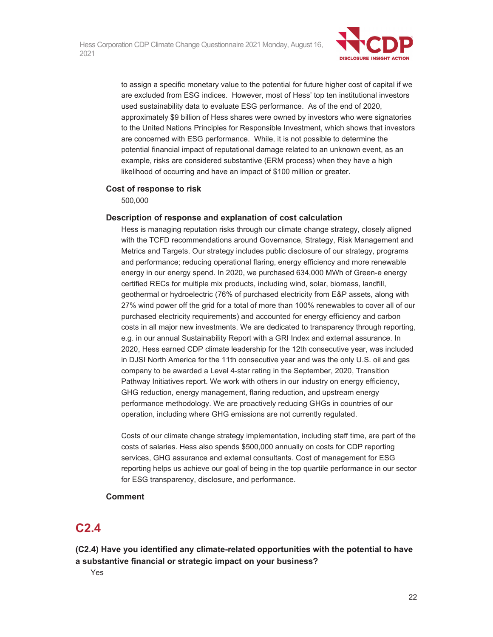

to assign a specific monetary value to the potential for future higher cost of capital if we are excluded from ESG indices. However, most of Hess' top ten institutional investors used sustainability data to evaluate ESG performance. As of the end of 2020, approximately \$9 billion of Hess shares were owned by investors who were signatories to the United Nations Principles for Responsible Investment, which shows that investors are concerned with ESG performance. While, it is not possible to determine the potential financial impact of reputational damage related to an unknown event, as an example, risks are considered substantive (ERM process) when they have a high likelihood of occurring and have an impact of \$100 million or greater.

## **Cost of response to risk**

500,000

## **Description of response and explanation of cost calculation**

Hess is managing reputation risks through our climate change strategy, closely aligned with the TCFD recommendations around Governance, Strategy, Risk Management and Metrics and Targets. Our strategy includes public disclosure of our strategy, programs and performance; reducing operational flaring, energy efficiency and more renewable energy in our energy spend. In 2020, we purchased 634,000 MWh of Green-e energy certified RECs for multiple mix products, including wind, solar, biomass, landfill, geothermal or hydroelectric (76% of purchased electricity from E&P assets, along with 27% wind power off the grid for a total of more than 100% renewables to cover all of our purchased electricity requirements) and accounted for energy efficiency and carbon costs in all major new investments. We are dedicated to transparency through reporting, e.g. in our annual Sustainability Report with a GRI Index and external assurance. In 2020, Hess earned CDP climate leadership for the 12th consecutive year, was included in DJSI North America for the 11th consecutive year and was the only U.S. oil and gas company to be awarded a Level 4-star rating in the September, 2020, Transition Pathway Initiatives report. We work with others in our industry on energy efficiency, GHG reduction, energy management, flaring reduction, and upstream energy performance methodology. We are proactively reducing GHGs in countries of our operation, including where GHG emissions are not currently regulated.

Costs of our climate change strategy implementation, including staff time, are part of the costs of salaries. Hess also spends \$500,000 annually on costs for CDP reporting services, GHG assurance and external consultants. Cost of management for ESG reporting helps us achieve our goal of being in the top quartile performance in our sector for ESG transparency, disclosure, and performance.

# **Comment**

# **C2.4**

**(C2.4) Have you identified any climate-related opportunities with the potential to have a substantive financial or strategic impact on your business?** 

Yes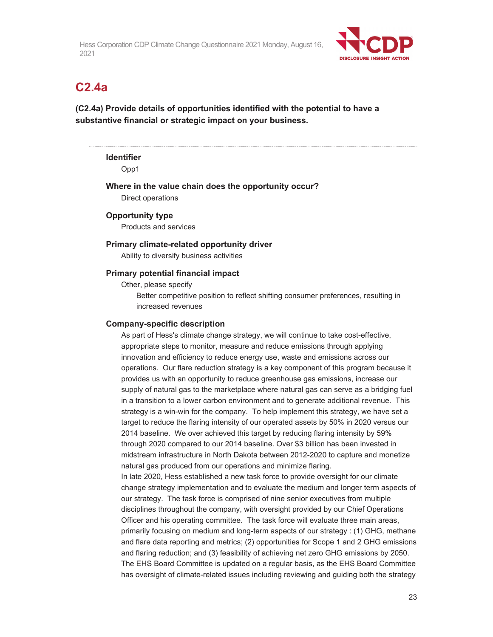

# **C2.4a**

**(C2.4a) Provide details of opportunities identified with the potential to have a substantive financial or strategic impact on your business.** 

# **Identifier**

Opp1

**Where in the value chain does the opportunity occur?** 

Direct operations

# **Opportunity type**

Products and services

## **Primary climate-related opportunity driver**

Ability to diversify business activities

## **Primary potential financial impact**

Other, please specify

Better competitive position to reflect shifting consumer preferences, resulting in increased revenues

### **Company-specific description**

As part of Hess's climate change strategy, we will continue to take cost-effective, appropriate steps to monitor, measure and reduce emissions through applying innovation and efficiency to reduce energy use, waste and emissions across our operations. Our flare reduction strategy is a key component of this program because it provides us with an opportunity to reduce greenhouse gas emissions, increase our supply of natural gas to the marketplace where natural gas can serve as a bridging fuel in a transition to a lower carbon environment and to generate additional revenue. This strategy is a win-win for the company. To help implement this strategy, we have set a target to reduce the flaring intensity of our operated assets by 50% in 2020 versus our 2014 baseline. We over achieved this target by reducing flaring intensity by 59% through 2020 compared to our 2014 baseline. Over \$3 billion has been invested in midstream infrastructure in North Dakota between 2012-2020 to capture and monetize natural gas produced from our operations and minimize flaring. In late 2020, Hess established a new task force to provide oversight for our climate change strategy implementation and to evaluate the medium and longer term aspects of our strategy. The task force is comprised of nine senior executives from multiple disciplines throughout the company, with oversight provided by our Chief Operations Officer and his operating committee. The task force will evaluate three main areas,

primarily focusing on medium and long-term aspects of our strategy : (1) GHG, methane and flare data reporting and metrics; (2) opportunities for Scope 1 and 2 GHG emissions and flaring reduction; and (3) feasibility of achieving net zero GHG emissions by 2050. The EHS Board Committee is updated on a regular basis, as the EHS Board Committee has oversight of climate-related issues including reviewing and guiding both the strategy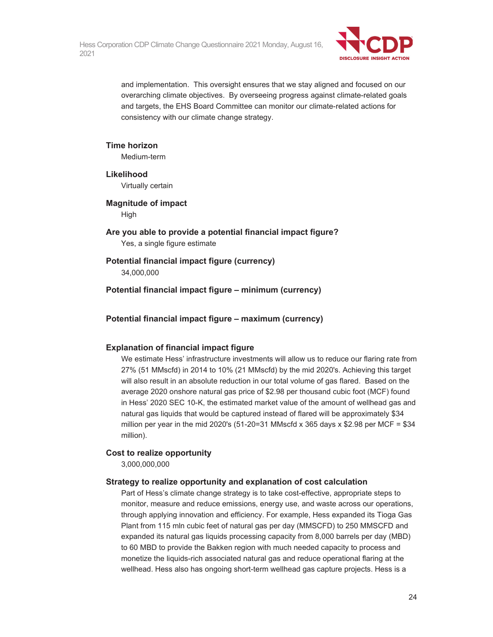

and implementation. This oversight ensures that we stay aligned and focused on our overarching climate objectives. By overseeing progress against climate-related goals and targets, the EHS Board Committee can monitor our climate-related actions for consistency with our climate change strategy.

## **Time horizon**

Medium-term

**Likelihood** 

Virtually certain

# **Magnitude of impact**

**High** 

**Are you able to provide a potential financial impact figure?**  Yes, a single figure estimate

# **Potential financial impact figure (currency)**

34,000,000

**Potential financial impact figure – minimum (currency)** 

**Potential financial impact figure – maximum (currency)** 

# **Explanation of financial impact figure**

We estimate Hess' infrastructure investments will allow us to reduce our flaring rate from 27% (51 MMscfd) in 2014 to 10% (21 MMscfd) by the mid 2020's. Achieving this target will also result in an absolute reduction in our total volume of gas flared. Based on the average 2020 onshore natural gas price of \$2.98 per thousand cubic foot (MCF) found in Hess' 2020 SEC 10-K, the estimated market value of the amount of wellhead gas and natural gas liquids that would be captured instead of flared will be approximately \$34 million per year in the mid 2020's  $(51-20=31 \text{ MMsc} \cdot \text{M} \cdot 365 \text{ days} \times $2.98 \text{ per MCF} = $34$ million).

# **Cost to realize opportunity**

3,000,000,000

# **Strategy to realize opportunity and explanation of cost calculation**

Part of Hess's climate change strategy is to take cost-effective, appropriate steps to monitor, measure and reduce emissions, energy use, and waste across our operations, through applying innovation and efficiency. For example, Hess expanded its Tioga Gas Plant from 115 mln cubic feet of natural gas per day (MMSCFD) to 250 MMSCFD and expanded its natural gas liquids processing capacity from 8,000 barrels per day (MBD) to 60 MBD to provide the Bakken region with much needed capacity to process and monetize the liquids-rich associated natural gas and reduce operational flaring at the wellhead. Hess also has ongoing short-term wellhead gas capture projects. Hess is a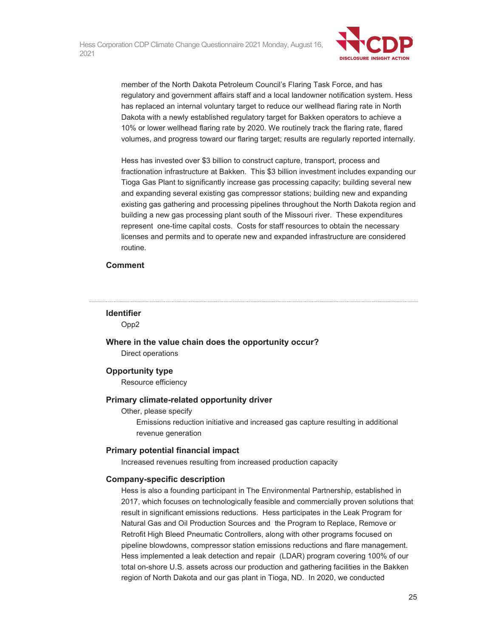

member of the North Dakota Petroleum Council's Flaring Task Force, and has regulatory and government affairs staff and a local landowner notification system. Hess has replaced an internal voluntary target to reduce our wellhead flaring rate in North Dakota with a newly established regulatory target for Bakken operators to achieve a 10% or lower wellhead flaring rate by 2020. We routinely track the flaring rate, flared volumes, and progress toward our flaring target; results are regularly reported internally.

Hess has invested over \$3 billion to construct capture, transport, process and fractionation infrastructure at Bakken. This \$3 billion investment includes expanding our Tioga Gas Plant to significantly increase gas processing capacity; building several new and expanding several existing gas compressor stations; building new and expanding existing gas gathering and processing pipelines throughout the North Dakota region and building a new gas processing plant south of the Missouri river. These expenditures represent one-time capital costs. Costs for staff resources to obtain the necessary licenses and permits and to operate new and expanded infrastructure are considered routine.

### **Comment**

# **Identifier**

Opp2

**Where in the value chain does the opportunity occur?**  Direct operations

# **Opportunity type**

Resource efficiency

### **Primary climate-related opportunity driver**

Other, please specify

Emissions reduction initiative and increased gas capture resulting in additional revenue generation

# **Primary potential financial impact**

Increased revenues resulting from increased production capacity

### **Company-specific description**

Hess is also a founding participant in The Environmental Partnership, established in 2017, which focuses on technologically feasible and commercially proven solutions that result in significant emissions reductions. Hess participates in the Leak Program for Natural Gas and Oil Production Sources and the Program to Replace, Remove or Retrofit High Bleed Pneumatic Controllers, along with other programs focused on pipeline blowdowns, compressor station emissions reductions and flare management. Hess implemented a leak detection and repair (LDAR) program covering 100% of our total on-shore U.S. assets across our production and gathering facilities in the Bakken region of North Dakota and our gas plant in Tioga, ND. In 2020, we conducted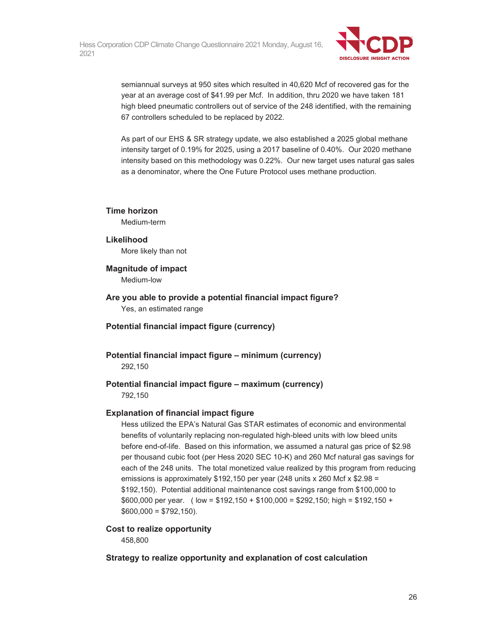

semiannual surveys at 950 sites which resulted in 40,620 Mcf of recovered gas for the year at an average cost of \$41.99 per Mcf. In addition, thru 2020 we have taken 181 high bleed pneumatic controllers out of service of the 248 identified, with the remaining 67 controllers scheduled to be replaced by 2022.

As part of our EHS & SR strategy update, we also established a 2025 global methane intensity target of 0.19% for 2025, using a 2017 baseline of 0.40%. Our 2020 methane intensity based on this methodology was 0.22%. Our new target uses natural gas sales as a denominator, where the One Future Protocol uses methane production.

## **Time horizon**

Medium-term

# **Likelihood**

More likely than not

## **Magnitude of impact**

Medium-low

- **Are you able to provide a potential financial impact figure?**  Yes, an estimated range
- **Potential financial impact figure (currency)**

# **Potential financial impact figure – minimum (currency)**  292,150

# **Potential financial impact figure – maximum (currency)**

792,150

# **Explanation of financial impact figure**

Hess utilized the EPA's Natural Gas STAR estimates of economic and environmental benefits of voluntarily replacing non-regulated high-bleed units with low bleed units before end-of-life. Based on this information, we assumed a natural gas price of \$2.98 per thousand cubic foot (per Hess 2020 SEC 10-K) and 260 Mcf natural gas savings for each of the 248 units. The total monetized value realized by this program from reducing emissions is approximately \$192,150 per year (248 units x 260 Mcf x \$2.98 = \$192,150). Potential additional maintenance cost savings range from \$100,000 to \$600,000 per year. ( low = \$192,150 + \$100,000 = \$292,150; high = \$192,150 +  $$600,000 = $792,150$ .

# **Cost to realize opportunity**

458,800

# **Strategy to realize opportunity and explanation of cost calculation**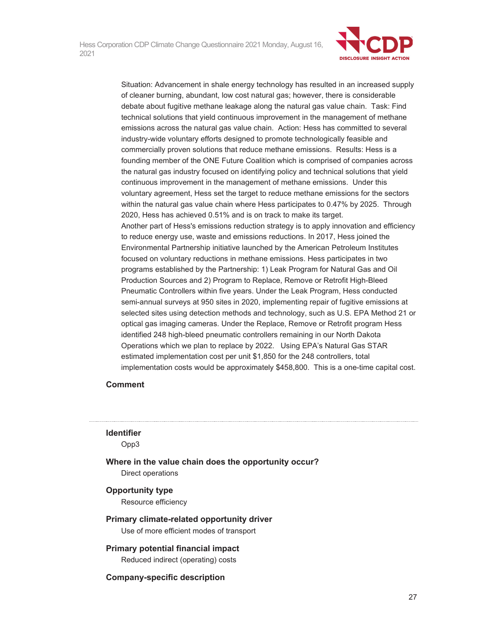

Situation: Advancement in shale energy technology has resulted in an increased supply of cleaner burning, abundant, low cost natural gas; however, there is considerable debate about fugitive methane leakage along the natural gas value chain. Task: Find technical solutions that yield continuous improvement in the management of methane emissions across the natural gas value chain. Action: Hess has committed to several industry-wide voluntary efforts designed to promote technologically feasible and commercially proven solutions that reduce methane emissions. Results: Hess is a founding member of the ONE Future Coalition which is comprised of companies across the natural gas industry focused on identifying policy and technical solutions that yield continuous improvement in the management of methane emissions. Under this voluntary agreement, Hess set the target to reduce methane emissions for the sectors within the natural gas value chain where Hess participates to 0.47% by 2025. Through 2020, Hess has achieved 0.51% and is on track to make its target. Another part of Hess's emissions reduction strategy is to apply innovation and efficiency to reduce energy use, waste and emissions reductions. In 2017, Hess joined the Environmental Partnership initiative launched by the American Petroleum Institutes focused on voluntary reductions in methane emissions. Hess participates in two programs established by the Partnership: 1) Leak Program for Natural Gas and Oil Production Sources and 2) Program to Replace, Remove or Retrofit High-Bleed Pneumatic Controllers within five years. Under the Leak Program, Hess conducted semi-annual surveys at 950 sites in 2020, implementing repair of fugitive emissions at selected sites using detection methods and technology, such as U.S. EPA Method 21 or optical gas imaging cameras. Under the Replace, Remove or Retrofit program Hess identified 248 high-bleed pneumatic controllers remaining in our North Dakota Operations which we plan to replace by 2022. Using EPA's Natural Gas STAR estimated implementation cost per unit \$1,850 for the 248 controllers, total implementation costs would be approximately \$458,800. This is a one-time capital cost.

### **Comment**

#### **Identifier**

Opp3

**Where in the value chain does the opportunity occur?** 

Direct operations

#### **Opportunity type**

Resource efficiency

- **Primary climate-related opportunity driver**  Use of more efficient modes of transport
- **Primary potential financial impact**  Reduced indirect (operating) costs

**Company-specific description**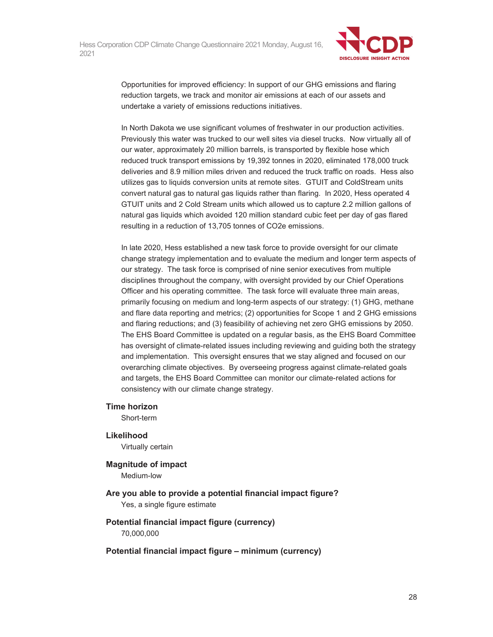

Opportunities for improved efficiency: In support of our GHG emissions and flaring reduction targets, we track and monitor air emissions at each of our assets and undertake a variety of emissions reductions initiatives.

In North Dakota we use significant volumes of freshwater in our production activities. Previously this water was trucked to our well sites via diesel trucks. Now virtually all of our water, approximately 20 million barrels, is transported by flexible hose which reduced truck transport emissions by 19,392 tonnes in 2020, eliminated 178,000 truck deliveries and 8.9 million miles driven and reduced the truck traffic on roads. Hess also utilizes gas to liquids conversion units at remote sites. GTUIT and ColdStream units convert natural gas to natural gas liquids rather than flaring. In 2020, Hess operated 4 GTUIT units and 2 Cold Stream units which allowed us to capture 2.2 million gallons of natural gas liquids which avoided 120 million standard cubic feet per day of gas flared resulting in a reduction of 13,705 tonnes of CO2e emissions.

In late 2020, Hess established a new task force to provide oversight for our climate change strategy implementation and to evaluate the medium and longer term aspects of our strategy. The task force is comprised of nine senior executives from multiple disciplines throughout the company, with oversight provided by our Chief Operations Officer and his operating committee. The task force will evaluate three main areas, primarily focusing on medium and long-term aspects of our strategy: (1) GHG, methane and flare data reporting and metrics; (2) opportunities for Scope 1 and 2 GHG emissions and flaring reductions; and (3) feasibility of achieving net zero GHG emissions by 2050. The EHS Board Committee is updated on a regular basis, as the EHS Board Committee has oversight of climate-related issues including reviewing and guiding both the strategy and implementation. This oversight ensures that we stay aligned and focused on our overarching climate objectives. By overseeing progress against climate-related goals and targets, the EHS Board Committee can monitor our climate-related actions for consistency with our climate change strategy.

#### **Time horizon**

Short-term

### **Likelihood**

Virtually certain

# **Magnitude of impact**

Medium-low

**Are you able to provide a potential financial impact figure?**  Yes, a single figure estimate

# **Potential financial impact figure (currency)**  70,000,000

# **Potential financial impact figure – minimum (currency)**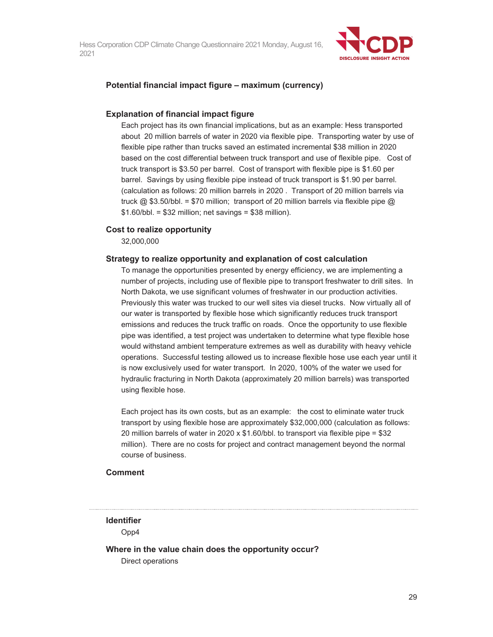

### **Potential financial impact figure – maximum (currency)**

#### **Explanation of financial impact figure**

Each project has its own financial implications, but as an example: Hess transported about 20 million barrels of water in 2020 via flexible pipe. Transporting water by use of flexible pipe rather than trucks saved an estimated incremental \$38 million in 2020 based on the cost differential between truck transport and use of flexible pipe. Cost of truck transport is \$3.50 per barrel. Cost of transport with flexible pipe is \$1.60 per barrel. Savings by using flexible pipe instead of truck transport is \$1.90 per barrel. (calculation as follows: 20 million barrels in 2020 . Transport of 20 million barrels via truck  $\omega$  \$3.50/bbl. = \$70 million; transport of 20 million barrels via flexible pipe  $\omega$  $$1.60/bbl. = $32$  million; net savings = \$38 million).

#### **Cost to realize opportunity**

32,000,000

#### **Strategy to realize opportunity and explanation of cost calculation**

To manage the opportunities presented by energy efficiency, we are implementing a number of projects, including use of flexible pipe to transport freshwater to drill sites. In North Dakota, we use significant volumes of freshwater in our production activities. Previously this water was trucked to our well sites via diesel trucks. Now virtually all of our water is transported by flexible hose which significantly reduces truck transport emissions and reduces the truck traffic on roads. Once the opportunity to use flexible pipe was identified, a test project was undertaken to determine what type flexible hose would withstand ambient temperature extremes as well as durability with heavy vehicle operations. Successful testing allowed us to increase flexible hose use each year until it is now exclusively used for water transport. In 2020, 100% of the water we used for hydraulic fracturing in North Dakota (approximately 20 million barrels) was transported using flexible hose.

Each project has its own costs, but as an example: the cost to eliminate water truck transport by using flexible hose are approximately \$32,000,000 (calculation as follows: 20 million barrels of water in 2020 x \$1.60/bbl. to transport via flexible pipe = \$32 million). There are no costs for project and contract management beyond the normal course of business.

### **Comment**

**Identifier** 

Opp4

**Where in the value chain does the opportunity occur?**  Direct operations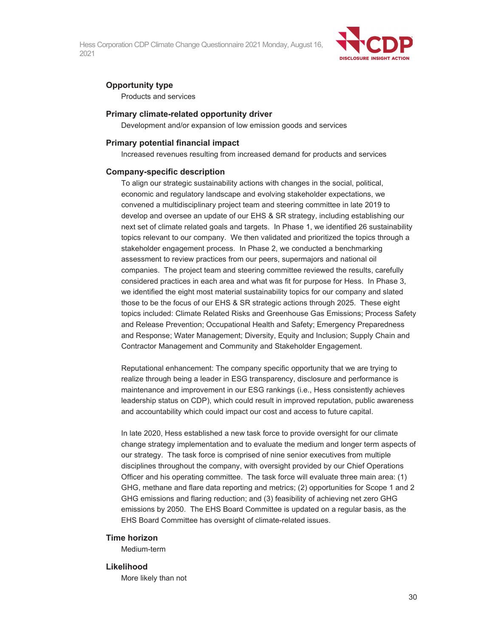

# **Opportunity type**

Products and services

### **Primary climate-related opportunity driver**

Development and/or expansion of low emission goods and services

#### **Primary potential financial impact**

Increased revenues resulting from increased demand for products and services

#### **Company-specific description**

To align our strategic sustainability actions with changes in the social, political, economic and regulatory landscape and evolving stakeholder expectations, we convened a multidisciplinary project team and steering committee in late 2019 to develop and oversee an update of our EHS & SR strategy, including establishing our next set of climate related goals and targets. In Phase 1, we identified 26 sustainability topics relevant to our company. We then validated and prioritized the topics through a stakeholder engagement process. In Phase 2, we conducted a benchmarking assessment to review practices from our peers, supermajors and national oil companies. The project team and steering committee reviewed the results, carefully considered practices in each area and what was fit for purpose for Hess. In Phase 3, we identified the eight most material sustainability topics for our company and slated those to be the focus of our EHS & SR strategic actions through 2025. These eight topics included: Climate Related Risks and Greenhouse Gas Emissions; Process Safety and Release Prevention; Occupational Health and Safety; Emergency Preparedness and Response; Water Management; Diversity, Equity and Inclusion; Supply Chain and Contractor Management and Community and Stakeholder Engagement.

Reputational enhancement: The company specific opportunity that we are trying to realize through being a leader in ESG transparency, disclosure and performance is maintenance and improvement in our ESG rankings (i.e., Hess consistently achieves leadership status on CDP), which could result in improved reputation, public awareness and accountability which could impact our cost and access to future capital.

In late 2020, Hess established a new task force to provide oversight for our climate change strategy implementation and to evaluate the medium and longer term aspects of our strategy. The task force is comprised of nine senior executives from multiple disciplines throughout the company, with oversight provided by our Chief Operations Officer and his operating committee. The task force will evaluate three main area: (1) GHG, methane and flare data reporting and metrics; (2) opportunities for Scope 1 and 2 GHG emissions and flaring reduction; and (3) feasibility of achieving net zero GHG emissions by 2050. The EHS Board Committee is updated on a regular basis, as the EHS Board Committee has oversight of climate-related issues.

#### **Time horizon**

Medium-term

#### **Likelihood**

More likely than not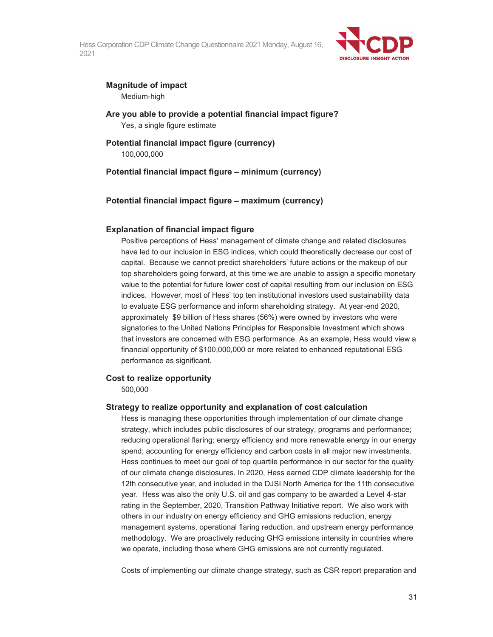

# **Magnitude of impact**

Medium-high

**Are you able to provide a potential financial impact figure?**  Yes, a single figure estimate

## **Potential financial impact figure (currency)**  100,000,000

**Potential financial impact figure – minimum (currency)** 

# **Potential financial impact figure – maximum (currency)**

## **Explanation of financial impact figure**

Positive perceptions of Hess' management of climate change and related disclosures have led to our inclusion in ESG indices, which could theoretically decrease our cost of capital. Because we cannot predict shareholders' future actions or the makeup of our top shareholders going forward, at this time we are unable to assign a specific monetary value to the potential for future lower cost of capital resulting from our inclusion on ESG indices. However, most of Hess' top ten institutional investors used sustainability data to evaluate ESG performance and inform shareholding strategy. At year-end 2020, approximately \$9 billion of Hess shares (56%) were owned by investors who were signatories to the United Nations Principles for Responsible Investment which shows that investors are concerned with ESG performance. As an example, Hess would view a financial opportunity of \$100,000,000 or more related to enhanced reputational ESG performance as significant.

### **Cost to realize opportunity**

500,000

### **Strategy to realize opportunity and explanation of cost calculation**

Hess is managing these opportunities through implementation of our climate change strategy, which includes public disclosures of our strategy, programs and performance; reducing operational flaring; energy efficiency and more renewable energy in our energy spend; accounting for energy efficiency and carbon costs in all major new investments. Hess continues to meet our goal of top quartile performance in our sector for the quality of our climate change disclosures. In 2020, Hess earned CDP climate leadership for the 12th consecutive year, and included in the DJSI North America for the 11th consecutive year. Hess was also the only U.S. oil and gas company to be awarded a Level 4-star rating in the September, 2020, Transition Pathway Initiative report. We also work with others in our industry on energy efficiency and GHG emissions reduction, energy management systems, operational flaring reduction, and upstream energy performance methodology. We are proactively reducing GHG emissions intensity in countries where we operate, including those where GHG emissions are not currently regulated.

Costs of implementing our climate change strategy, such as CSR report preparation and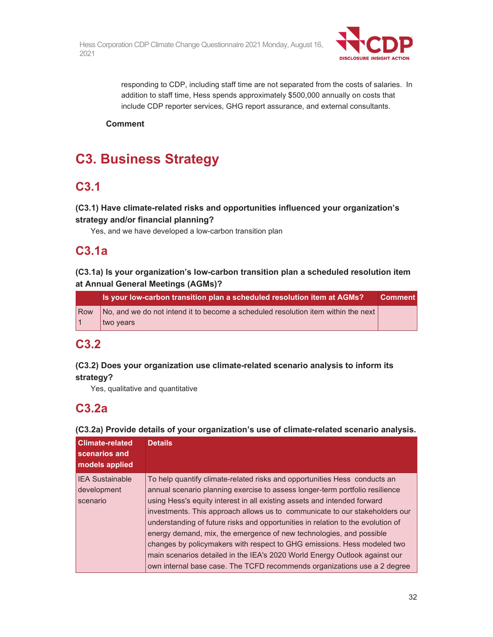

responding to CDP, including staff time are not separated from the costs of salaries. In addition to staff time, Hess spends approximately \$500,000 annually on costs that include CDP reporter services, GHG report assurance, and external consultants.

**Comment** 

# **C3. Business Strategy**

# **C3.1**

# **(C3.1) Have climate-related risks and opportunities influenced your organization's strategy and/or financial planning?**

Yes, and we have developed a low-carbon transition plan

# **C3.1a**

# **(C3.1a) Is your organization's low-carbon transition plan a scheduled resolution item at Annual General Meetings (AGMs)?**

|     | Is your low-carbon transition plan a scheduled resolution item at AGMs?           | <b>Comment</b> |
|-----|-----------------------------------------------------------------------------------|----------------|
| Row | No, and we do not intend it to become a scheduled resolution item within the next |                |
| l 1 | wo vears                                                                          |                |

# **C3.2**

# **(C3.2) Does your organization use climate-related scenario analysis to inform its strategy?**

Yes, qualitative and quantitative

# **C3.2a**

**(C3.2a) Provide details of your organization's use of climate-related scenario analysis.** 

| <b>Climate-related</b><br>scenarios and<br>models applied | <b>Details</b>                                                                  |  |  |
|-----------------------------------------------------------|---------------------------------------------------------------------------------|--|--|
| <b>IEA Sustainable</b>                                    | To help quantify climate-related risks and opportunities Hess conducts an       |  |  |
| development                                               | annual scenario planning exercise to assess longer-term portfolio resilience    |  |  |
| scenario                                                  | using Hess's equity interest in all existing assets and intended forward        |  |  |
|                                                           | investments. This approach allows us to communicate to our stakeholders our     |  |  |
|                                                           | understanding of future risks and opportunities in relation to the evolution of |  |  |
|                                                           | energy demand, mix, the emergence of new technologies, and possible             |  |  |
|                                                           | changes by policymakers with respect to GHG emissions. Hess modeled two         |  |  |
|                                                           | main scenarios detailed in the IEA's 2020 World Energy Outlook against our      |  |  |
|                                                           | own internal base case. The TCFD recommends organizations use a 2 degree        |  |  |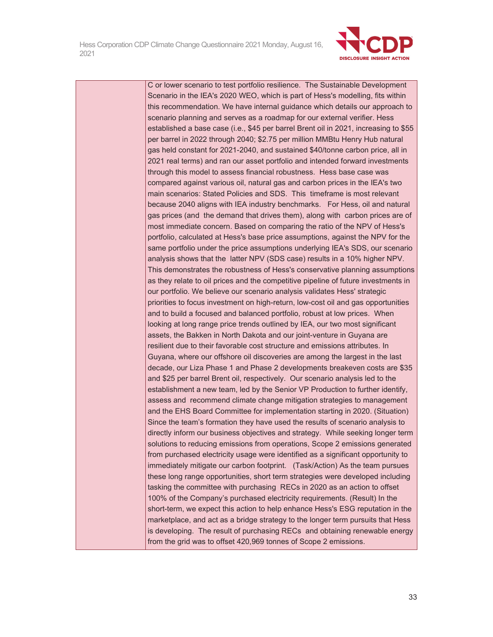

C or lower scenario to test portfolio resilience. The Sustainable Development Scenario in the IEA's 2020 WEO, which is part of Hess's modelling, fits within this recommendation. We have internal guidance which details our approach to scenario planning and serves as a roadmap for our external verifier. Hess established a base case (i.e., \$45 per barrel Brent oil in 2021, increasing to \$55 per barrel in 2022 through 2040; \$2.75 per million MMBtu Henry Hub natural gas held constant for 2021-2040, and sustained \$40/tonne carbon price, all in 2021 real terms) and ran our asset portfolio and intended forward investments through this model to assess financial robustness. Hess base case was compared against various oil, natural gas and carbon prices in the IEA's two main scenarios: Stated Policies and SDS. This timeframe is most relevant because 2040 aligns with IEA industry benchmarks. For Hess, oil and natural gas prices (and the demand that drives them), along with carbon prices are of most immediate concern. Based on comparing the ratio of the NPV of Hess's portfolio, calculated at Hess's base price assumptions, against the NPV for the same portfolio under the price assumptions underlying IEA's SDS, our scenario analysis shows that the latter NPV (SDS case) results in a 10% higher NPV. This demonstrates the robustness of Hess's conservative planning assumptions as they relate to oil prices and the competitive pipeline of future investments in our portfolio. We believe our scenario analysis validates Hess' strategic priorities to focus investment on high-return, low-cost oil and gas opportunities and to build a focused and balanced portfolio, robust at low prices. When looking at long range price trends outlined by IEA, our two most significant assets, the Bakken in North Dakota and our joint-venture in Guyana are resilient due to their favorable cost structure and emissions attributes. In Guyana, where our offshore oil discoveries are among the largest in the last decade, our Liza Phase 1 and Phase 2 developments breakeven costs are \$35 and \$25 per barrel Brent oil, respectively. Our scenario analysis led to the establishment a new team, led by the Senior VP Production to further identify, assess and recommend climate change mitigation strategies to management and the EHS Board Committee for implementation starting in 2020. (Situation) Since the team's formation they have used the results of scenario analysis to directly inform our business objectives and strategy. While seeking longer term solutions to reducing emissions from operations, Scope 2 emissions generated from purchased electricity usage were identified as a significant opportunity to immediately mitigate our carbon footprint. (Task/Action) As the team pursues these long range opportunities, short term strategies were developed including tasking the committee with purchasing RECs in 2020 as an action to offset 100% of the Company's purchased electricity requirements. (Result) In the short-term, we expect this action to help enhance Hess's ESG reputation in the marketplace, and act as a bridge strategy to the longer term pursuits that Hess is developing. The result of purchasing RECs and obtaining renewable energy from the grid was to offset 420,969 tonnes of Scope 2 emissions.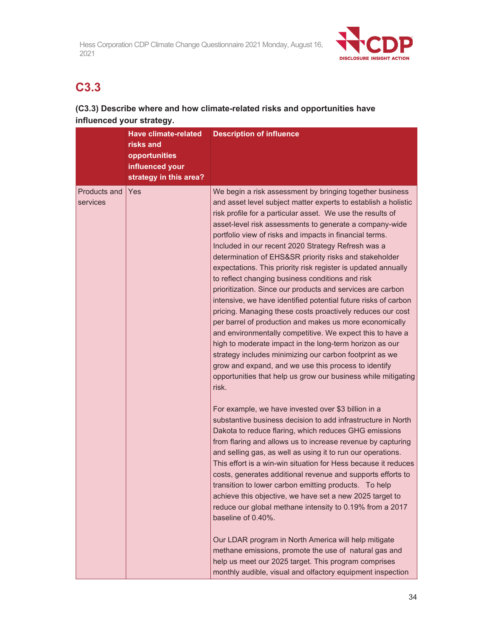

# **C3.3**

# **(C3.3) Describe where and how climate-related risks and opportunities have influenced your strategy.**

|                                 | <b>Have climate-related</b><br>risks and<br>opportunities<br>influenced your<br>strategy in this area? | <b>Description of influence</b>                                                                                                                                                                                                                                                                                                                                                                                                                                                                                                                                                                                                                                                                                                                                                                                                                                                                                                                                                                                                                                                                                                   |
|---------------------------------|--------------------------------------------------------------------------------------------------------|-----------------------------------------------------------------------------------------------------------------------------------------------------------------------------------------------------------------------------------------------------------------------------------------------------------------------------------------------------------------------------------------------------------------------------------------------------------------------------------------------------------------------------------------------------------------------------------------------------------------------------------------------------------------------------------------------------------------------------------------------------------------------------------------------------------------------------------------------------------------------------------------------------------------------------------------------------------------------------------------------------------------------------------------------------------------------------------------------------------------------------------|
| <b>Products and</b><br>services | <b>Yes</b>                                                                                             | We begin a risk assessment by bringing together business<br>and asset level subject matter experts to establish a holistic<br>risk profile for a particular asset. We use the results of<br>asset-level risk assessments to generate a company-wide<br>portfolio view of risks and impacts in financial terms.<br>Included in our recent 2020 Strategy Refresh was a<br>determination of EHS&SR priority risks and stakeholder<br>expectations. This priority risk register is updated annually<br>to reflect changing business conditions and risk<br>prioritization. Since our products and services are carbon<br>intensive, we have identified potential future risks of carbon<br>pricing. Managing these costs proactively reduces our cost<br>per barrel of production and makes us more economically<br>and environmentally competitive. We expect this to have a<br>high to moderate impact in the long-term horizon as our<br>strategy includes minimizing our carbon footprint as we<br>grow and expand, and we use this process to identify<br>opportunities that help us grow our business while mitigating<br>risk. |
|                                 |                                                                                                        | For example, we have invested over \$3 billion in a<br>substantive business decision to add infrastructure in North<br>Dakota to reduce flaring, which reduces GHG emissions<br>from flaring and allows us to increase revenue by capturing<br>and selling gas, as well as using it to run our operations.<br>This effort is a win-win situation for Hess because it reduces<br>costs, generates additional revenue and supports efforts to<br>transition to lower carbon emitting products. To help<br>achieve this objective, we have set a new 2025 target to<br>reduce our global methane intensity to 0.19% from a 2017<br>baseline of 0.40%.<br>Our LDAR program in North America will help mitigate<br>methane emissions, promote the use of natural gas and<br>help us meet our 2025 target. This program comprises<br>monthly audible, visual and olfactory equipment inspection                                                                                                                                                                                                                                         |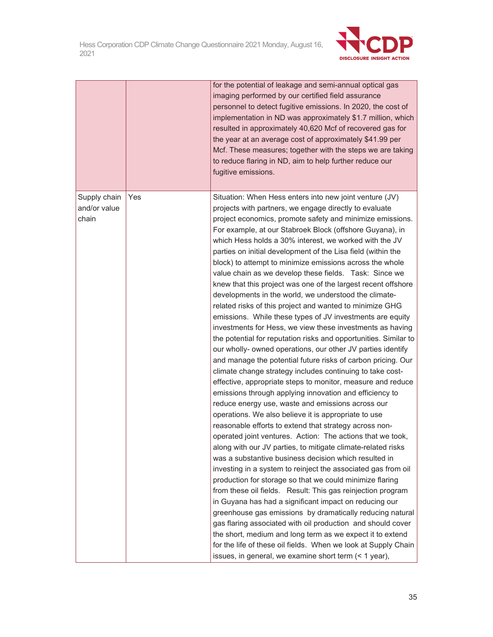

|                                       |     | for the potential of leakage and semi-annual optical gas<br>imaging performed by our certified field assurance<br>personnel to detect fugitive emissions. In 2020, the cost of<br>implementation in ND was approximately \$1.7 million, which<br>resulted in approximately 40,620 Mcf of recovered gas for<br>the year at an average cost of approximately \$41.99 per<br>Mcf. These measures; together with the steps we are taking<br>to reduce flaring in ND, aim to help further reduce our<br>fugitive emissions.                                                                                                                                                                                                                                                                                                                                                                                                                                                                                                                                                                                                                                                                                                                                                                                                                                                                                                                                                                                                                                                                                                                                                                                                                                                                                                                                                                                                                                                                                                                                                                                                                       |
|---------------------------------------|-----|----------------------------------------------------------------------------------------------------------------------------------------------------------------------------------------------------------------------------------------------------------------------------------------------------------------------------------------------------------------------------------------------------------------------------------------------------------------------------------------------------------------------------------------------------------------------------------------------------------------------------------------------------------------------------------------------------------------------------------------------------------------------------------------------------------------------------------------------------------------------------------------------------------------------------------------------------------------------------------------------------------------------------------------------------------------------------------------------------------------------------------------------------------------------------------------------------------------------------------------------------------------------------------------------------------------------------------------------------------------------------------------------------------------------------------------------------------------------------------------------------------------------------------------------------------------------------------------------------------------------------------------------------------------------------------------------------------------------------------------------------------------------------------------------------------------------------------------------------------------------------------------------------------------------------------------------------------------------------------------------------------------------------------------------------------------------------------------------------------------------------------------------|
| Supply chain<br>and/or value<br>chain | Yes | Situation: When Hess enters into new joint venture (JV)<br>projects with partners, we engage directly to evaluate<br>project economics, promote safety and minimize emissions.<br>For example, at our Stabroek Block (offshore Guyana), in<br>which Hess holds a 30% interest, we worked with the JV<br>parties on initial development of the Lisa field (within the<br>block) to attempt to minimize emissions across the whole<br>value chain as we develop these fields. Task: Since we<br>knew that this project was one of the largest recent offshore<br>developments in the world, we understood the climate-<br>related risks of this project and wanted to minimize GHG<br>emissions. While these types of JV investments are equity<br>investments for Hess, we view these investments as having<br>the potential for reputation risks and opportunities. Similar to<br>our wholly- owned operations, our other JV parties identify<br>and manage the potential future risks of carbon pricing. Our<br>climate change strategy includes continuing to take cost-<br>effective, appropriate steps to monitor, measure and reduce<br>emissions through applying innovation and efficiency to<br>reduce energy use, waste and emissions across our<br>operations. We also believe it is appropriate to use<br>reasonable efforts to extend that strategy across non-<br>operated joint ventures. Action: The actions that we took,<br>along with our JV parties, to mitigate climate-related risks<br>was a substantive business decision which resulted in<br>investing in a system to reinject the associated gas from oil<br>production for storage so that we could minimize flaring<br>from these oil fields. Result: This gas reinjection program<br>in Guyana has had a significant impact on reducing our<br>greenhouse gas emissions by dramatically reducing natural<br>gas flaring associated with oil production and should cover<br>the short, medium and long term as we expect it to extend<br>for the life of these oil fields. When we look at Supply Chain<br>issues, in general, we examine short term (< 1 year), |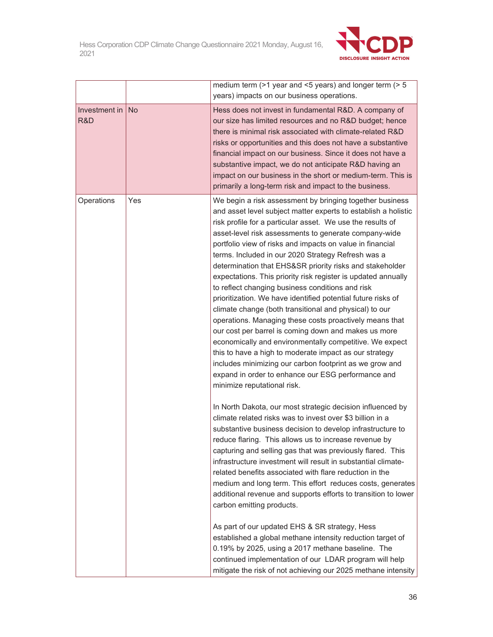

|                      |           | medium term ( $>1$ year and <5 years) and longer term ( $>5$<br>years) impacts on our business operations.                                                                                                                                                                                                                                                                                                                                                                                                                                                                                                                                                                                                                                                                                                                                                                                                                                                                                                                                                              |
|----------------------|-----------|-------------------------------------------------------------------------------------------------------------------------------------------------------------------------------------------------------------------------------------------------------------------------------------------------------------------------------------------------------------------------------------------------------------------------------------------------------------------------------------------------------------------------------------------------------------------------------------------------------------------------------------------------------------------------------------------------------------------------------------------------------------------------------------------------------------------------------------------------------------------------------------------------------------------------------------------------------------------------------------------------------------------------------------------------------------------------|
| Investment in<br>R&D | <b>No</b> | Hess does not invest in fundamental R&D. A company of<br>our size has limited resources and no R&D budget; hence<br>there is minimal risk associated with climate-related R&D<br>risks or opportunities and this does not have a substantive<br>financial impact on our business. Since it does not have a<br>substantive impact, we do not anticipate R&D having an<br>impact on our business in the short or medium-term. This is<br>primarily a long-term risk and impact to the business.                                                                                                                                                                                                                                                                                                                                                                                                                                                                                                                                                                           |
| Operations           | Yes       | We begin a risk assessment by bringing together business<br>and asset level subject matter experts to establish a holistic<br>risk profile for a particular asset. We use the results of<br>asset-level risk assessments to generate company-wide<br>portfolio view of risks and impacts on value in financial<br>terms. Included in our 2020 Strategy Refresh was a<br>determination that EHS&SR priority risks and stakeholder<br>expectations. This priority risk register is updated annually<br>to reflect changing business conditions and risk<br>prioritization. We have identified potential future risks of<br>climate change (both transitional and physical) to our<br>operations. Managing these costs proactively means that<br>our cost per barrel is coming down and makes us more<br>economically and environmentally competitive. We expect<br>this to have a high to moderate impact as our strategy<br>includes minimizing our carbon footprint as we grow and<br>expand in order to enhance our ESG performance and<br>minimize reputational risk. |
|                      |           | In North Dakota, our most strategic decision influenced by<br>climate related risks was to invest over \$3 billion in a<br>substantive business decision to develop infrastructure to<br>reduce flaring. This allows us to increase revenue by<br>capturing and selling gas that was previously flared. This<br>infrastructure investment will result in substantial climate-<br>related benefits associated with flare reduction in the<br>medium and long term. This effort reduces costs, generates<br>additional revenue and supports efforts to transition to lower<br>carbon emitting products.<br>As part of our updated EHS & SR strategy, Hess<br>established a global methane intensity reduction target of<br>0.19% by 2025, using a 2017 methane baseline. The<br>continued implementation of our LDAR program will help<br>mitigate the risk of not achieving our 2025 methane intensity                                                                                                                                                                   |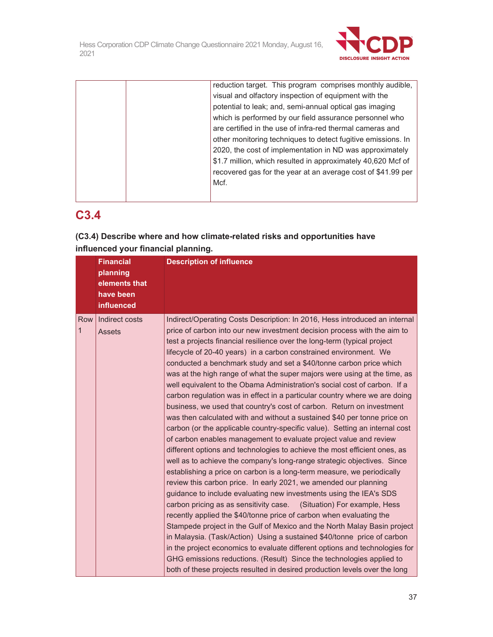

| reduction target. This program comprises monthly audible,    |
|--------------------------------------------------------------|
| visual and olfactory inspection of equipment with the        |
| potential to leak; and, semi-annual optical gas imaging      |
| which is performed by our field assurance personnel who      |
| are certified in the use of infra-red thermal cameras and    |
| other monitoring techniques to detect fugitive emissions. In |
| 2020, the cost of implementation in ND was approximately     |
| \$1.7 million, which resulted in approximately 40,620 Mcf of |
| recovered gas for the year at an average cost of \$41.99 per |
| Mcf.                                                         |
|                                                              |

# **C3.4**

**(C3.4) Describe where and how climate-related risks and opportunities have influenced your financial planning.** 

|                     | <b>Financial</b><br>planning<br>elements that<br>have been<br>influenced | <b>Description of influence</b>                                                                                                                                                                                                                                                                                                                                                                                                                                                                                                                                                                                                                                                                                                                                                                                                                                                                                                                                                                                                                                                                                                                                                                                                                                                                                                                                                                                                                                                                                                                                                                                                                                                                                                                                                                                                                        |
|---------------------|--------------------------------------------------------------------------|--------------------------------------------------------------------------------------------------------------------------------------------------------------------------------------------------------------------------------------------------------------------------------------------------------------------------------------------------------------------------------------------------------------------------------------------------------------------------------------------------------------------------------------------------------------------------------------------------------------------------------------------------------------------------------------------------------------------------------------------------------------------------------------------------------------------------------------------------------------------------------------------------------------------------------------------------------------------------------------------------------------------------------------------------------------------------------------------------------------------------------------------------------------------------------------------------------------------------------------------------------------------------------------------------------------------------------------------------------------------------------------------------------------------------------------------------------------------------------------------------------------------------------------------------------------------------------------------------------------------------------------------------------------------------------------------------------------------------------------------------------------------------------------------------------------------------------------------------------|
| Row<br>$\mathbf{1}$ | Indirect costs<br><b>Assets</b>                                          | Indirect/Operating Costs Description: In 2016, Hess introduced an internal<br>price of carbon into our new investment decision process with the aim to<br>test a projects financial resilience over the long-term (typical project<br>lifecycle of 20-40 years) in a carbon constrained environment. We<br>conducted a benchmark study and set a \$40/tonne carbon price which<br>was at the high range of what the super majors were using at the time, as<br>well equivalent to the Obama Administration's social cost of carbon. If a<br>carbon regulation was in effect in a particular country where we are doing<br>business, we used that country's cost of carbon. Return on investment<br>was then calculated with and without a sustained \$40 per tonne price on<br>carbon (or the applicable country-specific value). Setting an internal cost<br>of carbon enables management to evaluate project value and review<br>different options and technologies to achieve the most efficient ones, as<br>well as to achieve the company's long-range strategic objectives. Since<br>establishing a price on carbon is a long-term measure, we periodically<br>review this carbon price. In early 2021, we amended our planning<br>guidance to include evaluating new investments using the IEA's SDS<br>carbon pricing as as sensitivity case. (Situation) For example, Hess<br>recently applied the \$40/tonne price of carbon when evaluating the<br>Stampede project in the Gulf of Mexico and the North Malay Basin project<br>in Malaysia. (Task/Action) Using a sustained \$40/tonne price of carbon<br>in the project economics to evaluate different options and technologies for<br>GHG emissions reductions. (Result) Since the technologies applied to<br>both of these projects resulted in desired production levels over the long |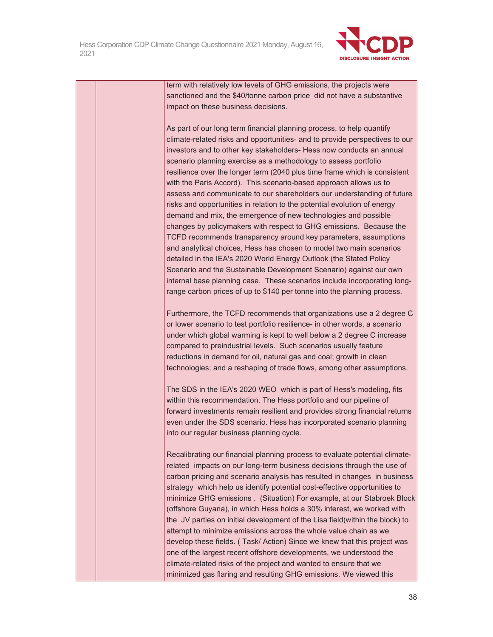

term with relatively low levels of GHG emissions, the projects were sanctioned and the \$40/tonne carbon price did not have a substantive impact on these business decisions.

As part of our long term financial planning process, to help quantify climate-related risks and opportunities- and to provide perspectives to our investors and to other key stakeholders- Hess now conducts an annual scenario planning exercise as a methodology to assess portfolio resilience over the longer term (2040 plus time frame which is consistent with the Paris Accord). This scenario-based approach allows us to assess and communicate to our shareholders our understanding of future risks and opportunities in relation to the potential evolution of energy demand and mix, the emergence of new technologies and possible changes by policymakers with respect to GHG emissions. Because the TCFD recommends transparency around key parameters, assumptions and analytical choices, Hess has chosen to model two main scenarios detailed in the IEA's 2020 World Energy Outlook (the Stated Policy Scenario and the Sustainable Development Scenario) against our own internal base planning case. These scenarios include incorporating longrange carbon prices of up to \$140 per tonne into the planning process.

Furthermore, the TCFD recommends that organizations use a 2 degree C or lower scenario to test portfolio resilience- in other words, a scenario under which global warming is kept to well below a 2 degree C increase compared to preindustrial levels. Such scenarios usually feature reductions in demand for oil, natural gas and coal; growth in clean technologies; and a reshaping of trade flows, among other assumptions.

The SDS in the IEA's 2020 WEO which is part of Hess's modeling, fits within this recommendation. The Hess portfolio and our pipeline of forward investments remain resilient and provides strong financial returns even under the SDS scenario. Hess has incorporated scenario planning into our regular business planning cycle.

Recalibrating our financial planning process to evaluate potential climaterelated impacts on our long-term business decisions through the use of carbon pricing and scenario analysis has resulted in changes in business strategy which help us identify potential cost-effective opportunities to minimize GHG emissions . (Situation) For example, at our Stabroek Block (offshore Guyana), in which Hess holds a 30% interest, we worked with the JV parties on initial development of the Lisa field(within the block) to attempt to minimize emissions across the whole value chain as we develop these fields. ( Task/ Action) Since we knew that this project was one of the largest recent offshore developments, we understood the climate-related risks of the project and wanted to ensure that we minimized gas flaring and resulting GHG emissions. We viewed this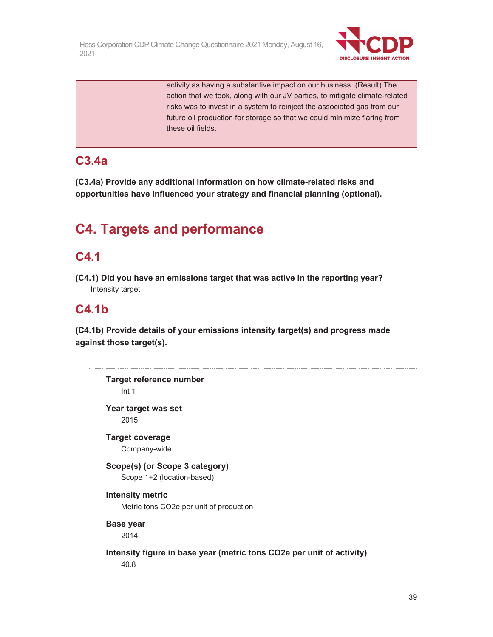

activity as having a substantive impact on our business (Result) The action that we took, along with our JV parties, to mitigate climate-related risks was to invest in a system to reinject the associated gas from our future oil production for storage so that we could minimize flaring from these oil fields.

## **C3.4a**

**(C3.4a) Provide any additional information on how climate-related risks and opportunities have influenced your strategy and financial planning (optional).** 

# **C4. Targets and performance**

## **C4.1**

**(C4.1) Did you have an emissions target that was active in the reporting year?**  Intensity target

## **C4.1b**

**(C4.1b) Provide details of your emissions intensity target(s) and progress made against those target(s).** 

```
Target reference number 
    Int 1 
Year target was set 
    2015 
Target coverage 
    Company-wide 
Scope(s) (or Scope 3 category) 
    Scope 1+2 (location-based) 
Intensity metric 
    Metric tons CO2e per unit of production 
Base year 
    2014 
Intensity figure in base year (metric tons CO2e per unit of activity) 
    40.8
```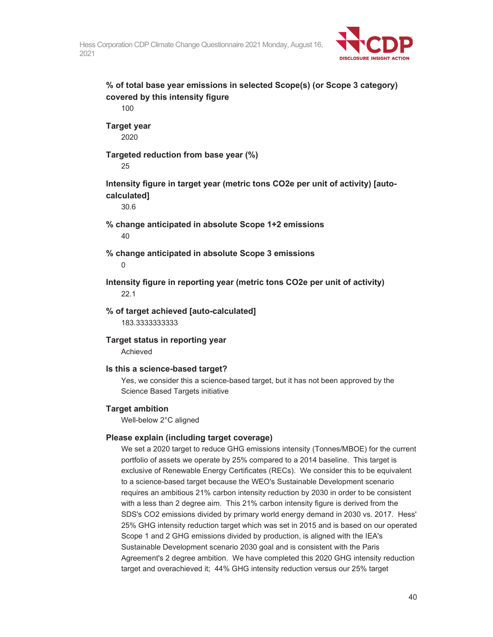

```
% of total base year emissions in selected Scope(s) (or Scope 3 category) 
covered by this intensity figure 
    100 
Target year 
    2020 
Targeted reduction from base year (%) 
    25 
Intensity figure in target year (metric tons CO2e per unit of activity) [auto-
calculated] 
    30.6 
% change anticipated in absolute Scope 1+2 emissions 
    40 
% change anticipated in absolute Scope 3 emissions 
    \OmegaIntensity figure in reporting year (metric tons CO2e per unit of activity) 
    22.1 
% of target achieved [auto-calculated] 
    183.3333333333 
Target status in reporting year 
    Achieved 
Is this a science-based target? 
    Yes, we consider this a science-based target, but it has not been approved by the 
    Science Based Targets initiative 
Target ambition 
    Well-below 2°C aligned 
Please explain (including target coverage) 
    We set a 2020 target to reduce GHG emissions intensity (Tonnes/MBOE) for the current 
    portfolio of assets we operate by 25% compared to a 2014 baseline. This target is 
    exclusive of Renewable Energy Certificates (RECs). We consider this to be equivalent 
    to a science-based target because the WEO's Sustainable Development scenario 
    requires an ambitious 21% carbon intensity reduction by 2030 in order to be consistent 
    with a less than 2 degree aim. This 21% carbon intensity figure is derived from the 
    SDS's CO2 emissions divided by primary world energy demand in 2030 vs. 2017. Hess' 
    25% GHG intensity reduction target which was set in 2015 and is based on our operated
```
Scope 1 and 2 GHG emissions divided by production, is aligned with the IEA's Sustainable Development scenario 2030 goal and is consistent with the Paris Agreement's 2 degree ambition. We have completed this 2020 GHG intensity reduction target and overachieved it; 44% GHG intensity reduction versus our 25% target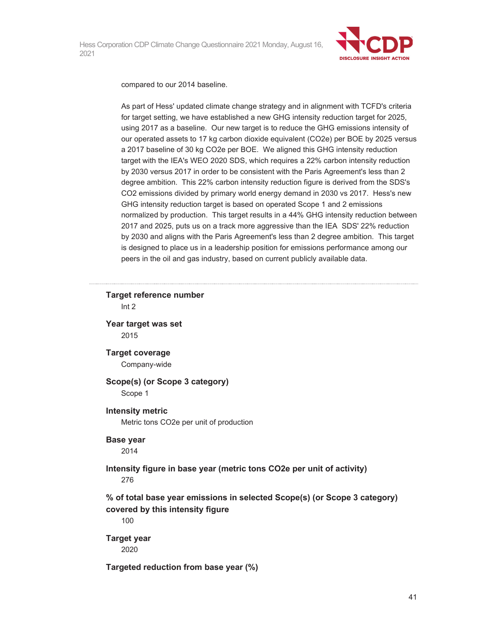

compared to our 2014 baseline.

As part of Hess' updated climate change strategy and in alignment with TCFD's criteria for target setting, we have established a new GHG intensity reduction target for 2025, using 2017 as a baseline. Our new target is to reduce the GHG emissions intensity of our operated assets to 17 kg carbon dioxide equivalent (CO2e) per BOE by 2025 versus a 2017 baseline of 30 kg CO2e per BOE. We aligned this GHG intensity reduction target with the IEA's WEO 2020 SDS, which requires a 22% carbon intensity reduction by 2030 versus 2017 in order to be consistent with the Paris Agreement's less than 2 degree ambition. This 22% carbon intensity reduction figure is derived from the SDS's CO2 emissions divided by primary world energy demand in 2030 vs 2017. Hess's new GHG intensity reduction target is based on operated Scope 1 and 2 emissions normalized by production. This target results in a 44% GHG intensity reduction between 2017 and 2025, puts us on a track more aggressive than the IEA SDS' 22% reduction by 2030 and aligns with the Paris Agreement's less than 2 degree ambition. This target is designed to place us in a leadership position for emissions performance among our peers in the oil and gas industry, based on current publicly available data.

### **Target reference number**  Int 2

**Year target was set**  2015

### **Target coverage**

Company-wide

#### **Scope(s) (or Scope 3 category)**  Scope 1

#### **Intensity metric**

Metric tons CO2e per unit of production

#### **Base year**

2014

#### **Intensity figure in base year (metric tons CO2e per unit of activity)**  276

### **% of total base year emissions in selected Scope(s) (or Scope 3 category) covered by this intensity figure**

100

# **Target year**

2020

### **Targeted reduction from base year (%)**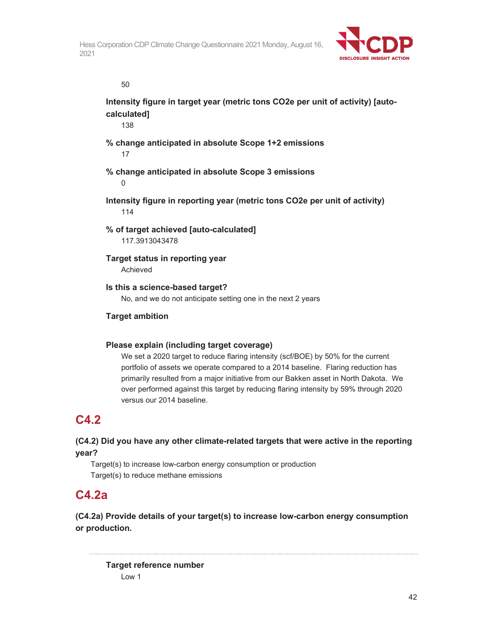

50

**Intensity figure in target year (metric tons CO2e per unit of activity) [autocalculated]** 

138

### **% change anticipated in absolute Scope 1+2 emissions**  17

### **% change anticipated in absolute Scope 3 emissions**

0

**Intensity figure in reporting year (metric tons CO2e per unit of activity)**  114

**% of target achieved [auto-calculated]** 

117.3913043478

**Target status in reporting year**  Achieved

**Is this a science-based target?** 

No, and we do not anticipate setting one in the next 2 years

### **Target ambition**

### **Please explain (including target coverage)**

We set a 2020 target to reduce flaring intensity (scf/BOE) by 50% for the current portfolio of assets we operate compared to a 2014 baseline. Flaring reduction has primarily resulted from a major initiative from our Bakken asset in North Dakota. We over performed against this target by reducing flaring intensity by 59% through 2020 versus our 2014 baseline.

## **C4.2**

### **(C4.2) Did you have any other climate-related targets that were active in the reporting year?**

Target(s) to increase low-carbon energy consumption or production Target(s) to reduce methane emissions

## **C4.2a**

**(C4.2a) Provide details of your target(s) to increase low-carbon energy consumption or production.** 

**Target reference number**  Low 1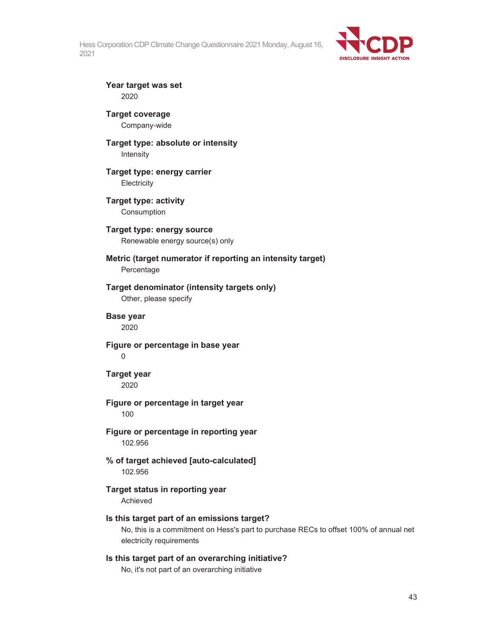

**Year target was set**  2020

**Target coverage**  Company-wide

#### **Target type: absolute or intensity**  Intensity

**Target type: energy carrier Electricity** 

**Target type: activity**  Consumption

### **Target type: energy source**  Renewable energy source(s) only

**Metric (target numerator if reporting an intensity target)** 

Percentage

### **Target denominator (intensity targets only)**

Other, please specify

### **Base year**

2020

**Figure or percentage in base year** 

0

**Target year**  2020

### **Figure or percentage in target year**

100

### **Figure or percentage in reporting year**  102.956

**% of target achieved [auto-calculated]**  102.956

## **Target status in reporting year**

Achieved

### **Is this target part of an emissions target?**

No, this is a commitment on Hess's part to purchase RECs to offset 100% of annual net electricity requirements

### **Is this target part of an overarching initiative?**

No, it's not part of an overarching initiative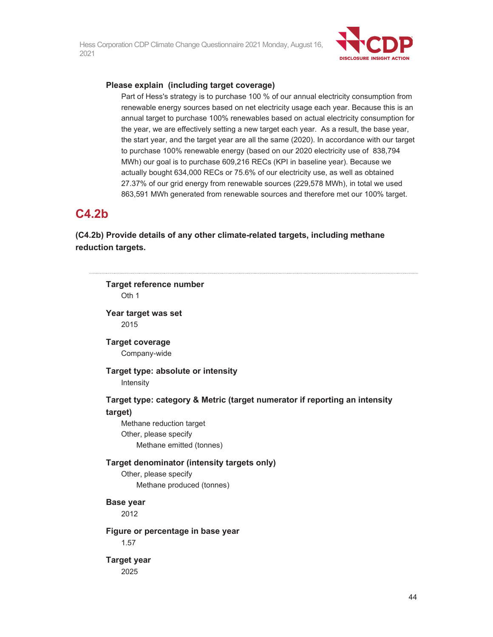

#### **Please explain (including target coverage)**

Part of Hess's strategy is to purchase 100 % of our annual electricity consumption from renewable energy sources based on net electricity usage each year. Because this is an annual target to purchase 100% renewables based on actual electricity consumption for the year, we are effectively setting a new target each year. As a result, the base year, the start year, and the target year are all the same (2020). In accordance with our target to purchase 100% renewable energy (based on our 2020 electricity use of 838,794 MWh) our goal is to purchase 609,216 RECs (KPI in baseline year). Because we actually bought 634,000 RECs or 75.6% of our electricity use, as well as obtained 27.37% of our grid energy from renewable sources (229,578 MWh), in total we used 863,591 MWh generated from renewable sources and therefore met our 100% target.

## **C4.2b**

**(C4.2b) Provide details of any other climate-related targets, including methane reduction targets.** 

| <b>Target reference number</b><br>Oth 1                                                                                                                                |  |
|------------------------------------------------------------------------------------------------------------------------------------------------------------------------|--|
| Year target was set<br>2015                                                                                                                                            |  |
| <b>Target coverage</b><br>Company-wide                                                                                                                                 |  |
| Target type: absolute or intensity<br>Intensity                                                                                                                        |  |
| Target type: category & Metric (target numerator if reporting an intensity<br>target)<br>Methane reduction target<br>Other, please specify<br>Methane emitted (tonnes) |  |
| Target denominator (intensity targets only)<br>Other, please specify<br>Methane produced (tonnes)                                                                      |  |
| <b>Base year</b><br>2012                                                                                                                                               |  |
| Figure or percentage in base year<br>1.57                                                                                                                              |  |
| <b>Target year</b><br>2025                                                                                                                                             |  |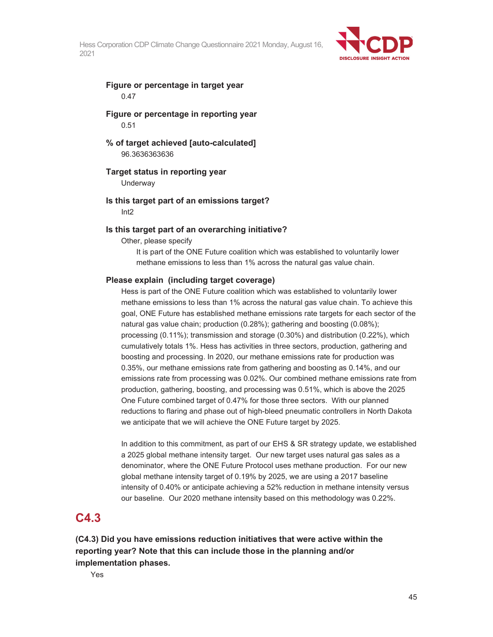

#### **Figure or percentage in target year**  0.47

#### **Figure or percentage in reporting year**  0.51

#### **% of target achieved [auto-calculated]**  96.3636363636

#### **Target status in reporting year**

**Underway** 

#### **Is this target part of an emissions target?**

Int2

#### **Is this target part of an overarching initiative?**

Other, please specify

It is part of the ONE Future coalition which was established to voluntarily lower methane emissions to less than 1% across the natural gas value chain.

#### **Please explain (including target coverage)**

Hess is part of the ONE Future coalition which was established to voluntarily lower methane emissions to less than 1% across the natural gas value chain. To achieve this goal, ONE Future has established methane emissions rate targets for each sector of the natural gas value chain; production (0.28%); gathering and boosting (0.08%); processing (0.11%); transmission and storage (0.30%) and distribution (0.22%), which cumulatively totals 1%. Hess has activities in three sectors, production, gathering and boosting and processing. In 2020, our methane emissions rate for production was 0.35%, our methane emissions rate from gathering and boosting as 0.14%, and our emissions rate from processing was 0.02%. Our combined methane emissions rate from production, gathering, boosting, and processing was 0.51%, which is above the 2025 One Future combined target of 0.47% for those three sectors. With our planned reductions to flaring and phase out of high-bleed pneumatic controllers in North Dakota we anticipate that we will achieve the ONE Future target by 2025.

In addition to this commitment, as part of our EHS & SR strategy update, we established a 2025 global methane intensity target. Our new target uses natural gas sales as a denominator, where the ONE Future Protocol uses methane production. For our new global methane intensity target of 0.19% by 2025, we are using a 2017 baseline intensity of 0.40% or anticipate achieving a 52% reduction in methane intensity versus our baseline. Our 2020 methane intensity based on this methodology was 0.22%.

## **C4.3**

**(C4.3) Did you have emissions reduction initiatives that were active within the reporting year? Note that this can include those in the planning and/or implementation phases.** 

Yes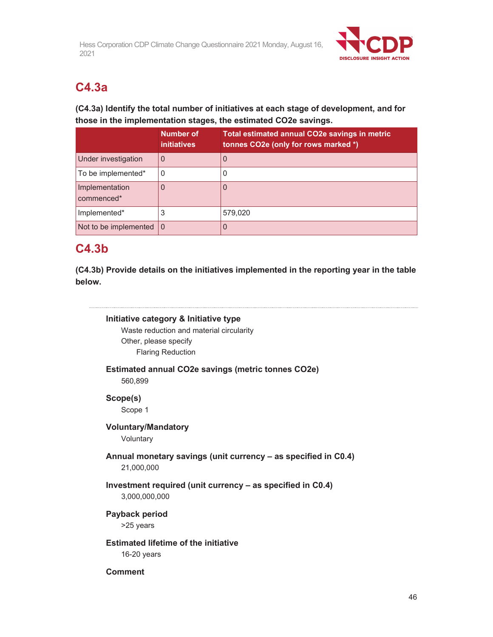

# **C4.3a**

### **(C4.3a) Identify the total number of initiatives at each stage of development, and for those in the implementation stages, the estimated CO2e savings.**

|                               | <b>Number of</b><br><i>initiatives</i> | Total estimated annual CO2e savings in metric<br>tonnes CO2e (only for rows marked *) |
|-------------------------------|----------------------------------------|---------------------------------------------------------------------------------------|
| Under investigation           |                                        | 0                                                                                     |
| To be implemented*            |                                        | 0                                                                                     |
| Implementation<br>commenced*  |                                        | 0                                                                                     |
| Implemented*                  | 3                                      | 579,020                                                                               |
| Not to be implemented $\vert$ | l 0                                    | 0                                                                                     |

## **C4.3b**

**(C4.3b) Provide details on the initiatives implemented in the reporting year in the table below.** 

### **Initiative category & Initiative type**

Waste reduction and material circularity Other, please specify Flaring Reduction

### **Estimated annual CO2e savings (metric tonnes CO2e)**  560,899

**Scope(s)** 

Scope 1

### **Voluntary/Mandatory**

**Voluntary** 

### **Annual monetary savings (unit currency – as specified in C0.4)**  21,000,000

### **Investment required (unit currency – as specified in C0.4)** 3,000,000,000

**Payback period**  >25 years

**Estimated lifetime of the initiative**  16-20 years

### **Comment**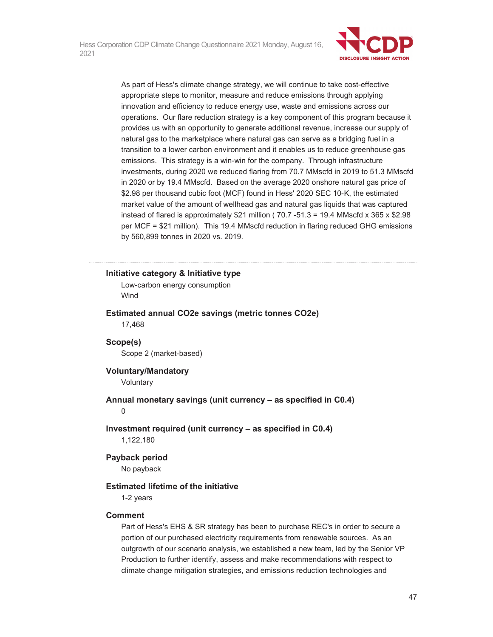

As part of Hess's climate change strategy, we will continue to take cost-effective appropriate steps to monitor, measure and reduce emissions through applying innovation and efficiency to reduce energy use, waste and emissions across our operations. Our flare reduction strategy is a key component of this program because it provides us with an opportunity to generate additional revenue, increase our supply of natural gas to the marketplace where natural gas can serve as a bridging fuel in a transition to a lower carbon environment and it enables us to reduce greenhouse gas emissions. This strategy is a win-win for the company. Through infrastructure investments, during 2020 we reduced flaring from 70.7 MMscfd in 2019 to 51.3 MMscfd in 2020 or by 19.4 MMscfd. Based on the average 2020 onshore natural gas price of \$2.98 per thousand cubic foot (MCF) found in Hess' 2020 SEC 10-K, the estimated market value of the amount of wellhead gas and natural gas liquids that was captured instead of flared is approximately \$21 million ( $70.7 -51.3 = 19.4$  MMscfd x 365 x \$2.98 per MCF = \$21 million). This 19.4 MMscfd reduction in flaring reduced GHG emissions by 560,899 tonnes in 2020 vs. 2019.

#### **Initiative category & Initiative type**

Low-carbon energy consumption Wind

#### **Estimated annual CO2e savings (metric tonnes CO2e)**  17,468

#### **Scope(s)**  Scope 2 (market-based)

#### **Voluntary/Mandatory**

**Voluntary** 

## **Annual monetary savings (unit currency – as specified in C0.4)**

0

### **Investment required (unit currency – as specified in C0.4)**  1,122,180

### **Payback period**

No payback

### **Estimated lifetime of the initiative**

1-2 years

### **Comment**

Part of Hess's EHS & SR strategy has been to purchase REC's in order to secure a portion of our purchased electricity requirements from renewable sources. As an outgrowth of our scenario analysis, we established a new team, led by the Senior VP Production to further identify, assess and make recommendations with respect to climate change mitigation strategies, and emissions reduction technologies and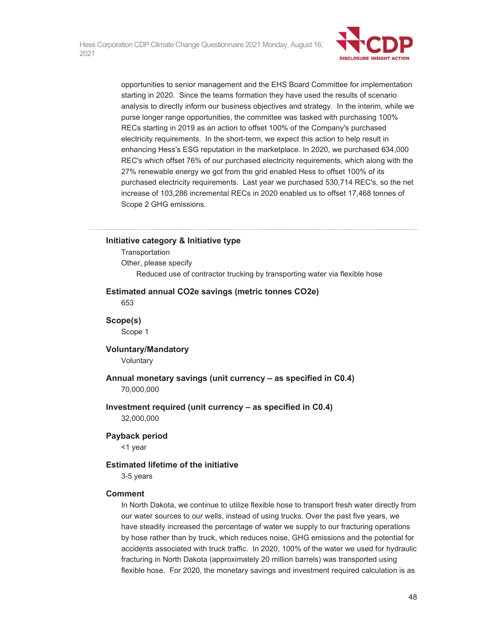

opportunities to senior management and the EHS Board Committee for implementation starting in 2020. Since the teams formation they have used the results of scenario analysis to directly inform our business objectives and strategy. In the interim, while we purse longer range opportunities, the committee was tasked with purchasing 100% RECs starting in 2019 as an action to offset 100% of the Company's purchased electricity requirements. In the short-term, we expect this action to help result in enhancing Hess's ESG reputation in the marketplace. In 2020, we purchased 634,000 REC's which offset 76% of our purchased electricity requirements, which along with the 27% renewable energy we got from the grid enabled Hess to offset 100% of its purchased electricity requirements. Last year we purchased 530,714 REC's, so the net increase of 103,286 incremental RECs in 2020 enabled us to offset 17,468 tonnes of Scope 2 GHG emissions.

#### **Initiative category & Initiative type**

**Transportation** Other, please specify Reduced use of contractor trucking by transporting water via flexible hose

#### **Estimated annual CO2e savings (metric tonnes CO2e)**

653

**Scope(s)**  Scope 1

# **Voluntary/Mandatory**

Voluntary

### **Annual monetary savings (unit currency – as specified in C0.4)**  70,000,000

#### **Investment required (unit currency – as specified in C0.4)**  32,000,000

#### **Payback period**

<1 year

#### **Estimated lifetime of the initiative**

3-5 years

#### **Comment**

In North Dakota, we continue to utilize flexible hose to transport fresh water directly from our water sources to our wells, instead of using trucks. Over the past five years, we have steadily increased the percentage of water we supply to our fracturing operations by hose rather than by truck, which reduces noise, GHG emissions and the potential for accidents associated with truck traffic. In 2020, 100% of the water we used for hydraulic fracturing in North Dakota (approximately 20 million barrels) was transported using flexible hose. For 2020, the monetary savings and investment required calculation is as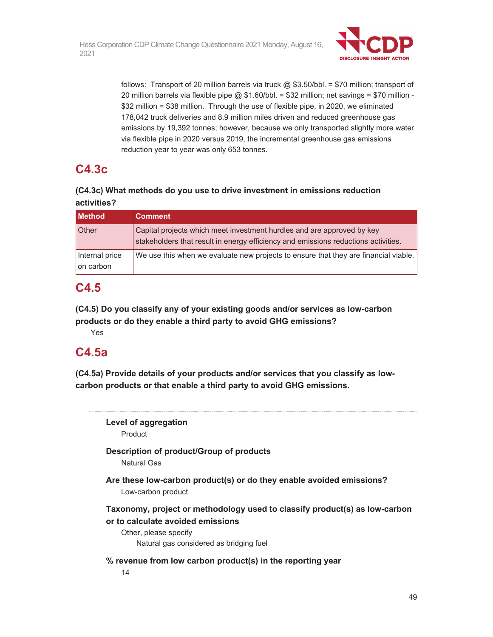

follows: Transport of 20 million barrels via truck  $@$  \$3.50/bbl. = \$70 million; transport of 20 million barrels via flexible pipe  $@$  \$1.60/bbl. = \$32 million; net savings = \$70 million -\$32 million = \$38 million. Through the use of flexible pipe, in 2020, we eliminated 178,042 truck deliveries and 8.9 million miles driven and reduced greenhouse gas emissions by 19,392 tonnes; however, because we only transported slightly more water via flexible pipe in 2020 versus 2019, the incremental greenhouse gas emissions reduction year to year was only 653 tonnes.

# **C4.3c**

### **(C4.3c) What methods do you use to drive investment in emissions reduction activities?**

| <b>Method</b>               | <b>Comment</b>                                                                                                                                               |
|-----------------------------|--------------------------------------------------------------------------------------------------------------------------------------------------------------|
| Other                       | Capital projects which meet investment hurdles and are approved by key<br>stakeholders that result in energy efficiency and emissions reductions activities. |
| Internal price<br>on carbon | We use this when we evaluate new projects to ensure that they are financial viable.                                                                          |

## **C4.5**

**(C4.5) Do you classify any of your existing goods and/or services as low-carbon products or do they enable a third party to avoid GHG emissions?** 

Yes

## **C4.5a**

**(C4.5a) Provide details of your products and/or services that you classify as lowcarbon products or that enable a third party to avoid GHG emissions.** 

**Level of aggregation**  Product **Description of product/Group of products**  Natural Gas **Are these low-carbon product(s) or do they enable avoided emissions?**  Low-carbon product **Taxonomy, project or methodology used to classify product(s) as low-carbon or to calculate avoided emissions**  Other, please specify Natural gas considered as bridging fuel **% revenue from low carbon product(s) in the reporting year**  14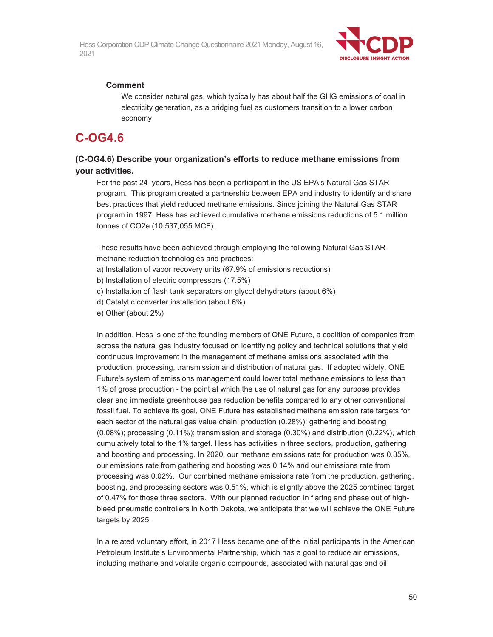

#### **Comment**

We consider natural gas, which typically has about half the GHG emissions of coal in electricity generation, as a bridging fuel as customers transition to a lower carbon economy

## **C-OG4.6**

### **(C-OG4.6) Describe your organization's efforts to reduce methane emissions from your activities.**

For the past 24 years, Hess has been a participant in the US EPA's Natural Gas STAR program. This program created a partnership between EPA and industry to identify and share best practices that yield reduced methane emissions. Since joining the Natural Gas STAR program in 1997, Hess has achieved cumulative methane emissions reductions of 5.1 million tonnes of CO2e (10,537,055 MCF).

These results have been achieved through employing the following Natural Gas STAR methane reduction technologies and practices:

a) Installation of vapor recovery units (67.9% of emissions reductions)

b) Installation of electric compressors (17.5%)

c) Installation of flash tank separators on glycol dehydrators (about 6%)

d) Catalytic converter installation (about 6%)

e) Other (about 2%)

In addition, Hess is one of the founding members of ONE Future, a coalition of companies from across the natural gas industry focused on identifying policy and technical solutions that yield continuous improvement in the management of methane emissions associated with the production, processing, transmission and distribution of natural gas. If adopted widely, ONE Future's system of emissions management could lower total methane emissions to less than 1% of gross production - the point at which the use of natural gas for any purpose provides clear and immediate greenhouse gas reduction benefits compared to any other conventional fossil fuel. To achieve its goal, ONE Future has established methane emission rate targets for each sector of the natural gas value chain: production (0.28%); gathering and boosting (0.08%); processing (0.11%); transmission and storage (0.30%) and distribution (0.22%), which cumulatively total to the 1% target. Hess has activities in three sectors, production, gathering and boosting and processing. In 2020, our methane emissions rate for production was 0.35%, our emissions rate from gathering and boosting was 0.14% and our emissions rate from processing was 0.02%. Our combined methane emissions rate from the production, gathering, boosting, and processing sectors was 0.51%, which is slightly above the 2025 combined target of 0.47% for those three sectors. With our planned reduction in flaring and phase out of highbleed pneumatic controllers in North Dakota, we anticipate that we will achieve the ONE Future targets by 2025.

In a related voluntary effort, in 2017 Hess became one of the initial participants in the American Petroleum Institute's Environmental Partnership, which has a goal to reduce air emissions, including methane and volatile organic compounds, associated with natural gas and oil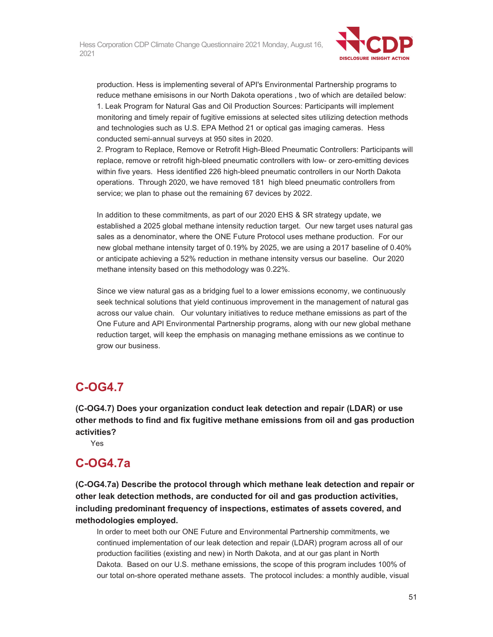

production. Hess is implementing several of API's Environmental Partnership programs to reduce methane emisisons in our North Dakota operations , two of which are detailed below: 1. Leak Program for Natural Gas and Oil Production Sources: Participants will implement monitoring and timely repair of fugitive emissions at selected sites utilizing detection methods and technologies such as U.S. EPA Method 21 or optical gas imaging cameras. Hess conducted semi-annual surveys at 950 sites in 2020.

2. Program to Replace, Remove or Retrofit High-Bleed Pneumatic Controllers: Participants will replace, remove or retrofit high-bleed pneumatic controllers with low- or zero-emitting devices within five years. Hess identified 226 high-bleed pneumatic controllers in our North Dakota operations. Through 2020, we have removed 181 high bleed pneumatic controllers from service; we plan to phase out the remaining 67 devices by 2022.

In addition to these commitments, as part of our 2020 EHS & SR strategy update, we established a 2025 global methane intensity reduction target. Our new target uses natural gas sales as a denominator, where the ONE Future Protocol uses methane production. For our new global methane intensity target of 0.19% by 2025, we are using a 2017 baseline of 0.40% or anticipate achieving a 52% reduction in methane intensity versus our baseline. Our 2020 methane intensity based on this methodology was 0.22%.

Since we view natural gas as a bridging fuel to a lower emissions economy, we continuously seek technical solutions that yield continuous improvement in the management of natural gas across our value chain. Our voluntary initiatives to reduce methane emissions as part of the One Future and API Environmental Partnership programs, along with our new global methane reduction target, will keep the emphasis on managing methane emissions as we continue to grow our business.

## **C-OG4.7**

**(C-OG4.7) Does your organization conduct leak detection and repair (LDAR) or use other methods to find and fix fugitive methane emissions from oil and gas production activities?** 

Yes

## **C-OG4.7a**

**(C-OG4.7a) Describe the protocol through which methane leak detection and repair or other leak detection methods, are conducted for oil and gas production activities, including predominant frequency of inspections, estimates of assets covered, and methodologies employed.** 

In order to meet both our ONE Future and Environmental Partnership commitments, we continued implementation of our leak detection and repair (LDAR) program across all of our production facilities (existing and new) in North Dakota, and at our gas plant in North Dakota. Based on our U.S. methane emissions, the scope of this program includes 100% of our total on-shore operated methane assets. The protocol includes: a monthly audible, visual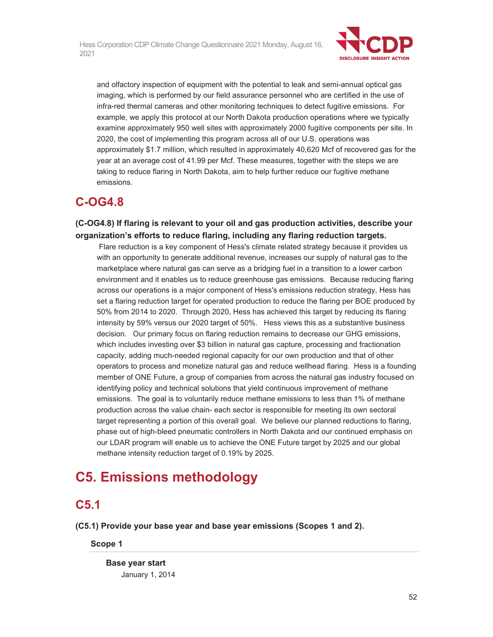

and olfactory inspection of equipment with the potential to leak and semi-annual optical gas imaging, which is performed by our field assurance personnel who are certified in the use of infra-red thermal cameras and other monitoring techniques to detect fugitive emissions. For example, we apply this protocol at our North Dakota production operations where we typically examine approximately 950 well sites with approximately 2000 fugitive components per site. In 2020, the cost of implementing this program across all of our U.S. operations was approximately \$1.7 million, which resulted in approximately 40,620 Mcf of recovered gas for the year at an average cost of 41.99 per Mcf. These measures, together with the steps we are taking to reduce flaring in North Dakota, aim to help further reduce our fugitive methane emissions.

# **C-OG4.8**

**(C-OG4.8) If flaring is relevant to your oil and gas production activities, describe your organization's efforts to reduce flaring, including any flaring reduction targets.** 

 Flare reduction is a key component of Hess's climate related strategy because it provides us with an opportunity to generate additional revenue, increases our supply of natural gas to the marketplace where natural gas can serve as a bridging fuel in a transition to a lower carbon environment and it enables us to reduce greenhouse gas emissions. Because reducing flaring across our operations is a major component of Hess's emissions reduction strategy, Hess has set a flaring reduction target for operated production to reduce the flaring per BOE produced by 50% from 2014 to 2020. Through 2020, Hess has achieved this target by reducing its flaring intensity by 59% versus our 2020 target of 50%. Hess views this as a substantive business decision. Our primary focus on flaring reduction remains to decrease our GHG emissions, which includes investing over \$3 billion in natural gas capture, processing and fractionation capacity, adding much-needed regional capacity for our own production and that of other operators to process and monetize natural gas and reduce wellhead flaring. Hess is a founding member of ONE Future, a group of companies from across the natural gas industry focused on identifying policy and technical solutions that yield continuous improvement of methane emissions. The goal is to voluntarily reduce methane emissions to less than 1% of methane production across the value chain- each sector is responsible for meeting its own sectoral target representing a portion of this overall goal. We believe our planned reductions to flaring, phase out of high-bleed pneumatic controllers in North Dakota and our continued emphasis on our LDAR program will enable us to achieve the ONE Future target by 2025 and our global methane intensity reduction target of 0.19% by 2025.

# **C5. Emissions methodology**

# **C5.1**

**(C5.1) Provide your base year and base year emissions (Scopes 1 and 2).**

**Scope 1** 

**Base year start**  January 1, 2014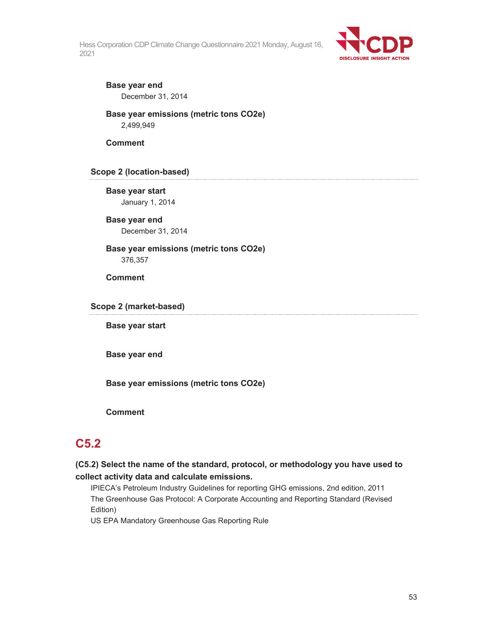

### **Base year end**  December 31, 2014

**Base year emissions (metric tons CO2e)**  2,499,949

**Comment** 

### **Scope 2 (location-based)**

**Base year start**  January 1, 2014

**Base year end**  December 31, 2014

**Base year emissions (metric tons CO2e)**  376,357

**Comment** 

**Scope 2 (market-based)** 

**Base year start** 

**Base year end** 

**Base year emissions (metric tons CO2e)** 

**Comment** 

## **C5.2**

**(C5.2) Select the name of the standard, protocol, or methodology you have used to collect activity data and calculate emissions.** 

IPIECA's Petroleum Industry Guidelines for reporting GHG emissions, 2nd edition, 2011 The Greenhouse Gas Protocol: A Corporate Accounting and Reporting Standard (Revised Edition)

US EPA Mandatory Greenhouse Gas Reporting Rule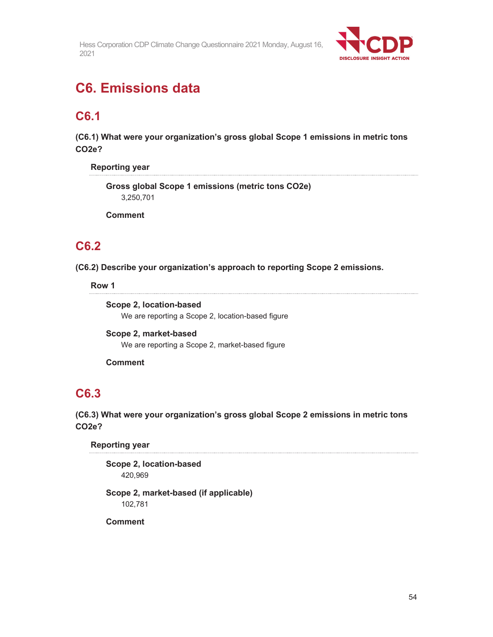

# **C6. Emissions data**

## **C6.1**

**(C6.1) What were your organization's gross global Scope 1 emissions in metric tons CO2e?** 

**Reporting year** 

**Gross global Scope 1 emissions (metric tons CO2e)**  3,250,701

**Comment** 

## **C6.2**

**(C6.2) Describe your organization's approach to reporting Scope 2 emissions.** 

**Row 1** 

**Scope 2, location-based**  We are reporting a Scope 2, location-based figure

**Scope 2, market-based**  We are reporting a Scope 2, market-based figure

**Comment** 

## **C6.3**

**(C6.3) What were your organization's gross global Scope 2 emissions in metric tons CO2e?** 

**Reporting year** 

**Scope 2, location-based**  420,969

**Scope 2, market-based (if applicable)**  102,781

**Comment**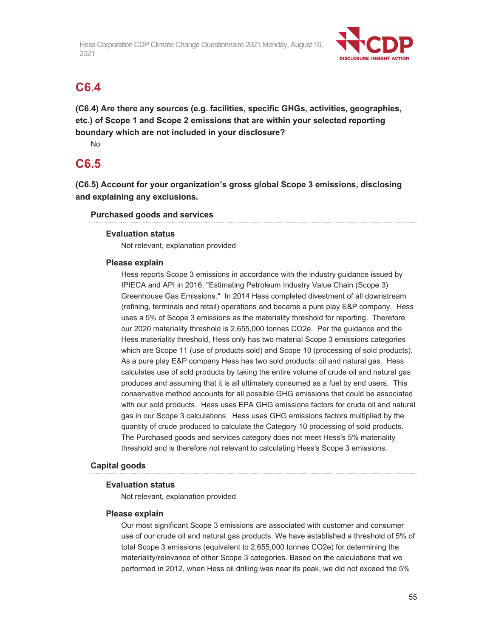

## **C6.4**

**(C6.4) Are there any sources (e.g. facilities, specific GHGs, activities, geographies, etc.) of Scope 1 and Scope 2 emissions that are within your selected reporting boundary which are not included in your disclosure?** 

No

## **C6.5**

**(C6.5) Account for your organization's gross global Scope 3 emissions, disclosing and explaining any exclusions.** 

### **Purchased goods and services**

### **Evaluation status**

Not relevant, explanation provided

### **Please explain**

Hess reports Scope 3 emissions in accordance with the industry guidance issued by IPIECA and API in 2016: "Estimating Petroleum Industry Value Chain (Scope 3) Greenhouse Gas Emissions." In 2014 Hess completed divestment of all downstream (refining, terminals and retail) operations and became a pure play E&P company. Hess uses a 5% of Scope 3 emissions as the materiality threshold for reporting. Therefore our 2020 materiality threshold is 2,655,000 tonnes CO2e. Per the guidance and the Hess materiality threshold, Hess only has two material Scope 3 emissions categories which are Scope 11 (use of products sold) and Scope 10 (processing of sold products). As a pure play E&P company Hess has two sold products: oil and natural gas. Hess calculates use of sold products by taking the entire volume of crude oil and natural gas produces and assuming that it is all ultimately consumed as a fuel by end users. This conservative method accounts for all possible GHG emissions that could be associated with our sold products. Hess uses EPA GHG emissions factors for crude oil and natural gas in our Scope 3 calculations. Hess uses GHG emissions factors multiplied by the quantity of crude produced to calculate the Category 10 processing of sold products. The Purchased goods and services category does not meet Hess's 5% materiality threshold and is therefore not relevant to calculating Hess's Scope 3 emissions.

### **Capital goods**

### **Evaluation status**

Not relevant, explanation provided

### **Please explain**

Our most significant Scope 3 emissions are associated with customer and consumer use of our crude oil and natural gas products. We have established a threshold of 5% of total Scope 3 emissions (equivalent to 2,655,000 tonnes CO2e) for determining the materiality/relevance of other Scope 3 categories. Based on the calculations that we performed in 2012, when Hess oil drilling was near its peak, we did not exceed the 5%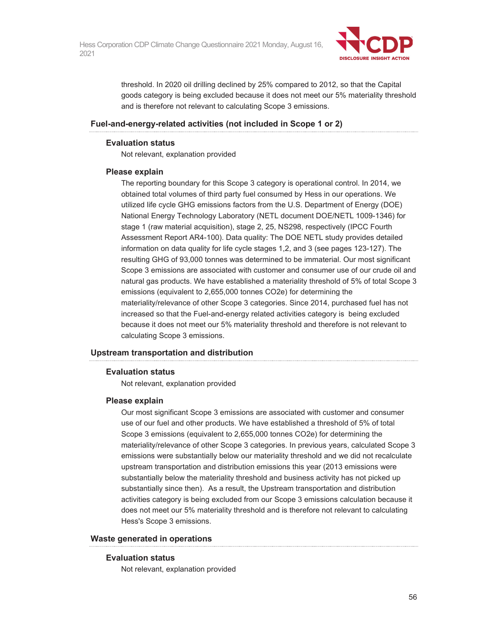

threshold. In 2020 oil drilling declined by 25% compared to 2012, so that the Capital goods category is being excluded because it does not meet our 5% materiality threshold and is therefore not relevant to calculating Scope 3 emissions.

#### **Fuel-and-energy-related activities (not included in Scope 1 or 2)**

#### **Evaluation status**

Not relevant, explanation provided

#### **Please explain**

The reporting boundary for this Scope 3 category is operational control. In 2014, we obtained total volumes of third party fuel consumed by Hess in our operations. We utilized life cycle GHG emissions factors from the U.S. Department of Energy (DOE) National Energy Technology Laboratory (NETL document DOE/NETL 1009-1346) for stage 1 (raw material acquisition), stage 2, 25, NS298, respectively (IPCC Fourth Assessment Report AR4-100). Data quality: The DOE NETL study provides detailed information on data quality for life cycle stages 1,2, and 3 (see pages 123-127). The resulting GHG of 93,000 tonnes was determined to be immaterial. Our most significant Scope 3 emissions are associated with customer and consumer use of our crude oil and natural gas products. We have established a materiality threshold of 5% of total Scope 3 emissions (equivalent to 2,655,000 tonnes CO2e) for determining the materiality/relevance of other Scope 3 categories. Since 2014, purchased fuel has not increased so that the Fuel-and-energy related activities category is being excluded because it does not meet our 5% materiality threshold and therefore is not relevant to calculating Scope 3 emissions.

### **Upstream transportation and distribution**

### **Evaluation status**

Not relevant, explanation provided

#### **Please explain**

Our most significant Scope 3 emissions are associated with customer and consumer use of our fuel and other products. We have established a threshold of 5% of total Scope 3 emissions (equivalent to 2,655,000 tonnes CO2e) for determining the materiality/relevance of other Scope 3 categories. In previous years, calculated Scope 3 emissions were substantially below our materiality threshold and we did not recalculate upstream transportation and distribution emissions this year (2013 emissions were substantially below the materiality threshold and business activity has not picked up substantially since then). As a result, the Upstream transportation and distribution activities category is being excluded from our Scope 3 emissions calculation because it does not meet our 5% materiality threshold and is therefore not relevant to calculating Hess's Scope 3 emissions.

#### **Waste generated in operations**

#### **Evaluation status**

Not relevant, explanation provided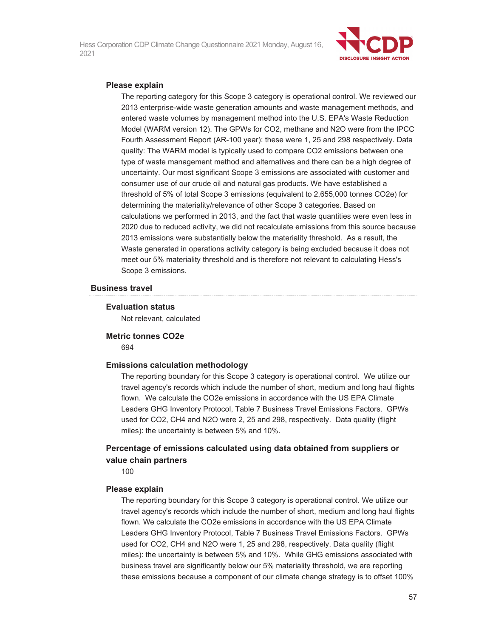

#### **Please explain**

The reporting category for this Scope 3 category is operational control. We reviewed our 2013 enterprise-wide waste generation amounts and waste management methods, and entered waste volumes by management method into the U.S. EPA's Waste Reduction Model (WARM version 12). The GPWs for CO2, methane and N2O were from the IPCC Fourth Assessment Report (AR-100 year): these were 1, 25 and 298 respectively. Data quality: The WARM model is typically used to compare CO2 emissions between one type of waste management method and alternatives and there can be a high degree of uncertainty. Our most significant Scope 3 emissions are associated with customer and consumer use of our crude oil and natural gas products. We have established a threshold of 5% of total Scope 3 emissions (equivalent to 2,655,000 tonnes CO2e) for determining the materiality/relevance of other Scope 3 categories. Based on calculations we performed in 2013, and the fact that waste quantities were even less in 2020 due to reduced activity, we did not recalculate emissions from this source because 2013 emissions were substantially below the materiality threshold. As a result, the Waste generated in operations activity category is being excluded because it does not meet our 5% materiality threshold and is therefore not relevant to calculating Hess's Scope 3 emissions.

#### **Business travel**

#### **Evaluation status**

Not relevant, calculated

**Metric tonnes CO2e**  694

#### **Emissions calculation methodology**

The reporting boundary for this Scope 3 category is operational control. We utilize our travel agency's records which include the number of short, medium and long haul flights flown. We calculate the CO2e emissions in accordance with the US EPA Climate Leaders GHG Inventory Protocol, Table 7 Business Travel Emissions Factors. GPWs used for CO2, CH4 and N2O were 2, 25 and 298, respectively. Data quality (flight miles): the uncertainty is between 5% and 10%.

### **Percentage of emissions calculated using data obtained from suppliers or value chain partners**

100

#### **Please explain**

The reporting boundary for this Scope 3 category is operational control. We utilize our travel agency's records which include the number of short, medium and long haul flights flown. We calculate the CO2e emissions in accordance with the US EPA Climate Leaders GHG Inventory Protocol, Table 7 Business Travel Emissions Factors. GPWs used for CO2, CH4 and N2O were 1, 25 and 298, respectively. Data quality (flight miles): the uncertainty is between 5% and 10%. While GHG emissions associated with business travel are significantly below our 5% materiality threshold, we are reporting these emissions because a component of our climate change strategy is to offset 100%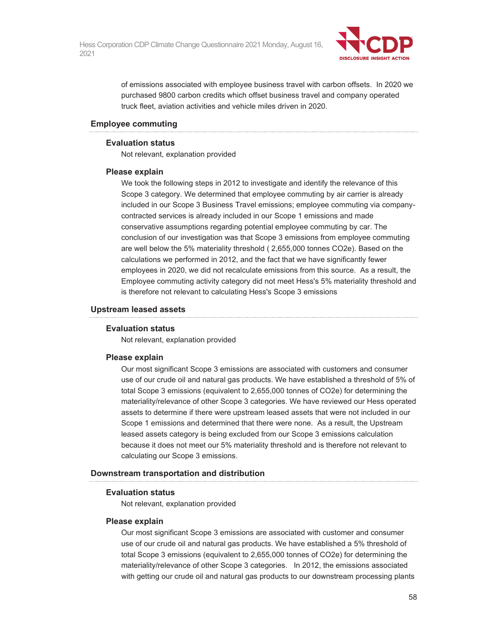

of emissions associated with employee business travel with carbon offsets. In 2020 we purchased 9800 carbon credits which offset business travel and company operated truck fleet, aviation activities and vehicle miles driven in 2020.

#### **Employee commuting**

#### **Evaluation status**

Not relevant, explanation provided

#### **Please explain**

We took the following steps in 2012 to investigate and identify the relevance of this Scope 3 category. We determined that employee commuting by air carrier is already included in our Scope 3 Business Travel emissions; employee commuting via companycontracted services is already included in our Scope 1 emissions and made conservative assumptions regarding potential employee commuting by car. The conclusion of our investigation was that Scope 3 emissions from employee commuting are well below the 5% materiality threshold ( 2,655,000 tonnes CO2e). Based on the calculations we performed in 2012, and the fact that we have significantly fewer employees in 2020, we did not recalculate emissions from this source. As a result, the Employee commuting activity category did not meet Hess's 5% materiality threshold and is therefore not relevant to calculating Hess's Scope 3 emissions

#### **Upstream leased assets**

#### **Evaluation status**

Not relevant, explanation provided

#### **Please explain**

Our most significant Scope 3 emissions are associated with customers and consumer use of our crude oil and natural gas products. We have established a threshold of 5% of total Scope 3 emissions (equivalent to 2,655,000 tonnes of CO2e) for determining the materiality/relevance of other Scope 3 categories. We have reviewed our Hess operated assets to determine if there were upstream leased assets that were not included in our Scope 1 emissions and determined that there were none. As a result, the Upstream leased assets category is being excluded from our Scope 3 emissions calculation because it does not meet our 5% materiality threshold and is therefore not relevant to calculating our Scope 3 emissions.

### **Downstream transportation and distribution**

#### **Evaluation status**

Not relevant, explanation provided

#### **Please explain**

Our most significant Scope 3 emissions are associated with customer and consumer use of our crude oil and natural gas products. We have established a 5% threshold of total Scope 3 emissions (equivalent to 2,655,000 tonnes of CO2e) for determining the materiality/relevance of other Scope 3 categories. In 2012, the emissions associated with getting our crude oil and natural gas products to our downstream processing plants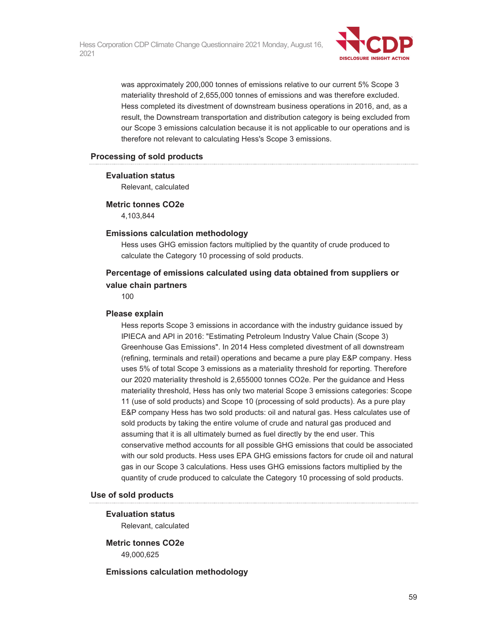

was approximately 200,000 tonnes of emissions relative to our current 5% Scope 3 materiality threshold of 2,655,000 tonnes of emissions and was therefore excluded. Hess completed its divestment of downstream business operations in 2016, and, as a result, the Downstream transportation and distribution category is being excluded from our Scope 3 emissions calculation because it is not applicable to our operations and is therefore not relevant to calculating Hess's Scope 3 emissions.

#### **Processing of sold products**

#### **Evaluation status**

Relevant, calculated

#### **Metric tonnes CO2e**

4,103,844

#### **Emissions calculation methodology**

Hess uses GHG emission factors multiplied by the quantity of crude produced to calculate the Category 10 processing of sold products.

### **Percentage of emissions calculated using data obtained from suppliers or value chain partners**

100

#### **Please explain**

Hess reports Scope 3 emissions in accordance with the industry guidance issued by IPIECA and API in 2016: "Estimating Petroleum Industry Value Chain (Scope 3) Greenhouse Gas Emissions". In 2014 Hess completed divestment of all downstream (refining, terminals and retail) operations and became a pure play E&P company. Hess uses 5% of total Scope 3 emissions as a materiality threshold for reporting. Therefore our 2020 materiality threshold is 2,655000 tonnes CO2e. Per the guidance and Hess materiality threshold, Hess has only two material Scope 3 emissions categories: Scope 11 (use of sold products) and Scope 10 (processing of sold products). As a pure play E&P company Hess has two sold products: oil and natural gas. Hess calculates use of sold products by taking the entire volume of crude and natural gas produced and assuming that it is all ultimately burned as fuel directly by the end user. This conservative method accounts for all possible GHG emissions that could be associated with our sold products. Hess uses EPA GHG emissions factors for crude oil and natural gas in our Scope 3 calculations. Hess uses GHG emissions factors multiplied by the quantity of crude produced to calculate the Category 10 processing of sold products.

#### **Use of sold products**

#### **Evaluation status**

Relevant, calculated

## **Metric tonnes CO2e**

49,000,625

#### **Emissions calculation methodology**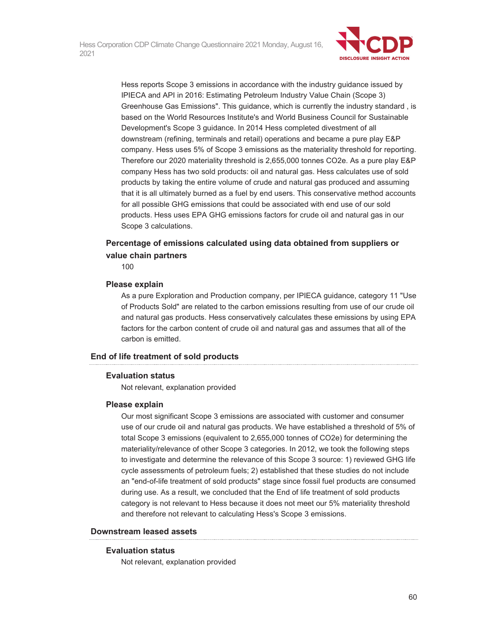

Hess reports Scope 3 emissions in accordance with the industry guidance issued by IPIECA and API in 2016: Estimating Petroleum Industry Value Chain (Scope 3) Greenhouse Gas Emissions". This guidance, which is currently the industry standard , is based on the World Resources Institute's and World Business Council for Sustainable Development's Scope 3 guidance. In 2014 Hess completed divestment of all downstream (refining, terminals and retail) operations and became a pure play E&P company. Hess uses 5% of Scope 3 emissions as the materiality threshold for reporting. Therefore our 2020 materiality threshold is 2,655,000 tonnes CO2e. As a pure play E&P company Hess has two sold products: oil and natural gas. Hess calculates use of sold products by taking the entire volume of crude and natural gas produced and assuming that it is all ultimately burned as a fuel by end users. This conservative method accounts for all possible GHG emissions that could be associated with end use of our sold products. Hess uses EPA GHG emissions factors for crude oil and natural gas in our Scope 3 calculations.

### **Percentage of emissions calculated using data obtained from suppliers or value chain partners**

100

#### **Please explain**

As a pure Exploration and Production company, per IPIECA guidance, category 11 "Use of Products Sold" are related to the carbon emissions resulting from use of our crude oil and natural gas products. Hess conservatively calculates these emissions by using EPA factors for the carbon content of crude oil and natural gas and assumes that all of the carbon is emitted.

### **End of life treatment of sold products**

#### **Evaluation status**

Not relevant, explanation provided

#### **Please explain**

Our most significant Scope 3 emissions are associated with customer and consumer use of our crude oil and natural gas products. We have established a threshold of 5% of total Scope 3 emissions (equivalent to 2,655,000 tonnes of CO2e) for determining the materiality/relevance of other Scope 3 categories. In 2012, we took the following steps to investigate and determine the relevance of this Scope 3 source: 1) reviewed GHG life cycle assessments of petroleum fuels; 2) established that these studies do not include an "end-of-life treatment of sold products" stage since fossil fuel products are consumed during use. As a result, we concluded that the End of life treatment of sold products category is not relevant to Hess because it does not meet our 5% materiality threshold and therefore not relevant to calculating Hess's Scope 3 emissions.

#### **Downstream leased assets**

#### **Evaluation status**

Not relevant, explanation provided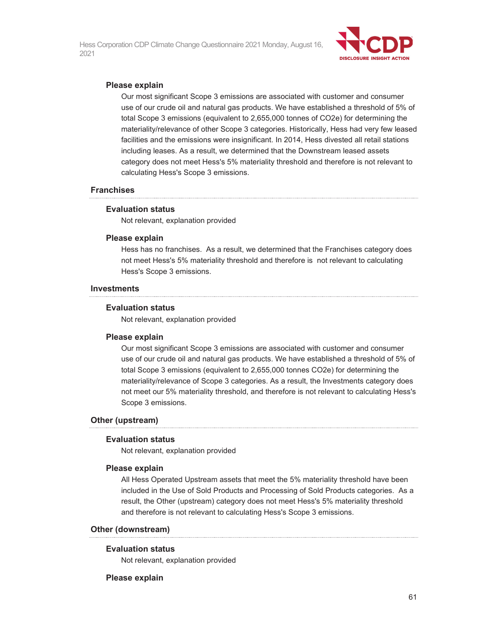

#### **Please explain**

Our most significant Scope 3 emissions are associated with customer and consumer use of our crude oil and natural gas products. We have established a threshold of 5% of total Scope 3 emissions (equivalent to 2,655,000 tonnes of CO2e) for determining the materiality/relevance of other Scope 3 categories. Historically, Hess had very few leased facilities and the emissions were insignificant. In 2014, Hess divested all retail stations including leases. As a result, we determined that the Downstream leased assets category does not meet Hess's 5% materiality threshold and therefore is not relevant to calculating Hess's Scope 3 emissions.

#### **Franchises**

#### **Evaluation status**

Not relevant, explanation provided

#### **Please explain**

Hess has no franchises. As a result, we determined that the Franchises category does not meet Hess's 5% materiality threshold and therefore is not relevant to calculating Hess's Scope 3 emissions.

#### **Investments**

#### **Evaluation status**

Not relevant, explanation provided

#### **Please explain**

Our most significant Scope 3 emissions are associated with customer and consumer use of our crude oil and natural gas products. We have established a threshold of 5% of total Scope 3 emissions (equivalent to 2,655,000 tonnes CO2e) for determining the materiality/relevance of Scope 3 categories. As a result, the Investments category does not meet our 5% materiality threshold, and therefore is not relevant to calculating Hess's Scope 3 emissions.

#### **Other (upstream)**

#### **Evaluation status**

Not relevant, explanation provided

#### **Please explain**

All Hess Operated Upstream assets that meet the 5% materiality threshold have been included in the Use of Sold Products and Processing of Sold Products categories. As a result, the Other (upstream) category does not meet Hess's 5% materiality threshold and therefore is not relevant to calculating Hess's Scope 3 emissions.

#### **Other (downstream)**

#### **Evaluation status**

Not relevant, explanation provided

#### **Please explain**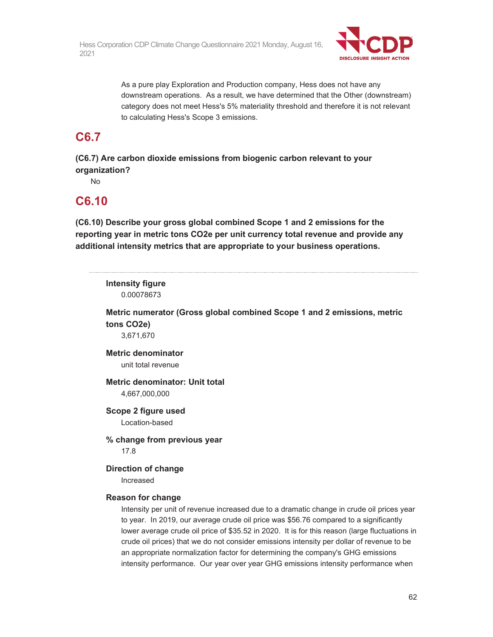

As a pure play Exploration and Production company, Hess does not have any downstream operations. As a result, we have determined that the Other (downstream) category does not meet Hess's 5% materiality threshold and therefore it is not relevant to calculating Hess's Scope 3 emissions.

## **C6.7**

**(C6.7) Are carbon dioxide emissions from biogenic carbon relevant to your organization?** 

No

## **C6.10**

**(C6.10) Describe your gross global combined Scope 1 and 2 emissions for the reporting year in metric tons CO2e per unit currency total revenue and provide any additional intensity metrics that are appropriate to your business operations.** 

## **Intensity figure**  0.00078673 **Metric numerator (Gross global combined Scope 1 and 2 emissions, metric tons CO2e)**  3,671,670 **Metric denominator**  unit total revenue **Metric denominator: Unit total**  4,667,000,000 **Scope 2 figure used**  Location-based **% change from previous year**  17.8 **Direction of change**  Increased **Reason for change**  Intensity per unit of revenue increased due to a dramatic change in crude oil prices year to year. In 2019, our average crude oil price was \$56.76 compared to a significantly lower average crude oil price of \$35.52 in 2020. It is for this reason (large fluctuations in crude oil prices) that we do not consider emissions intensity per dollar of revenue to be an appropriate normalization factor for determining the company's GHG emissions

intensity performance. Our year over year GHG emissions intensity performance when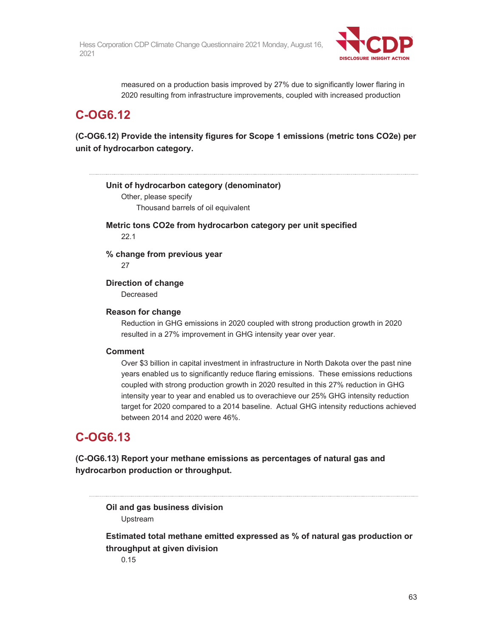

measured on a production basis improved by 27% due to significantly lower flaring in 2020 resulting from infrastructure improvements, coupled with increased production

## **C-OG6.12**

**(C-OG6.12) Provide the intensity figures for Scope 1 emissions (metric tons CO2e) per unit of hydrocarbon category.** 

**Unit of hydrocarbon category (denominator)**  Other, please specify Thousand barrels of oil equivalent **Metric tons CO2e from hydrocarbon category per unit specified**  22.1 **% change from previous year**  27 **Direction of change**  Decreased **Reason for change**  Reduction in GHG emissions in 2020 coupled with strong production growth in 2020 resulted in a 27% improvement in GHG intensity year over year. **Comment** 

Over \$3 billion in capital investment in infrastructure in North Dakota over the past nine years enabled us to significantly reduce flaring emissions. These emissions reductions coupled with strong production growth in 2020 resulted in this 27% reduction in GHG intensity year to year and enabled us to overachieve our 25% GHG intensity reduction target for 2020 compared to a 2014 baseline. Actual GHG intensity reductions achieved between 2014 and 2020 were 46%.

## **C-OG6.13**

**(C-OG6.13) Report your methane emissions as percentages of natural gas and hydrocarbon production or throughput.** 

**Oil and gas business division**  Upstream

**Estimated total methane emitted expressed as % of natural gas production or throughput at given division**  0.15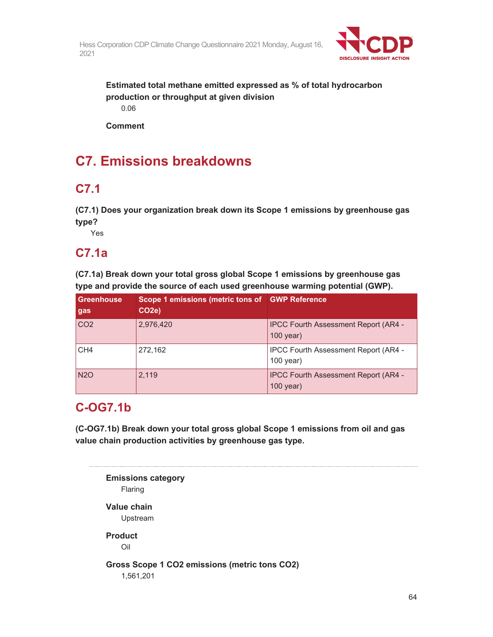

**Estimated total methane emitted expressed as % of total hydrocarbon production or throughput at given division**  0.06

**Comment** 

# **C7. Emissions breakdowns**

## **C7.1**

**(C7.1) Does your organization break down its Scope 1 emissions by greenhouse gas type?** 

Yes

## **C7.1a**

**(C7.1a) Break down your total gross global Scope 1 emissions by greenhouse gas type and provide the source of each used greenhouse warming potential (GWP).** 

| <b>Greenhouse</b><br>gas | Scope 1 emissions (metric tons of GWP Reference<br>CO <sub>2e</sub> ) |                                                            |
|--------------------------|-----------------------------------------------------------------------|------------------------------------------------------------|
| CO <sub>2</sub>          | 2,976,420                                                             | <b>IPCC Fourth Assessment Report (AR4 -</b><br>$100$ year) |
| CH <sub>4</sub>          | 272,162                                                               | <b>IPCC Fourth Assessment Report (AR4 -</b><br>$100$ year) |
| <b>N2O</b>               | 2,119                                                                 | <b>IPCC Fourth Assessment Report (AR4 -</b><br>$100$ year) |

# **C-OG7.1b**

**(C-OG7.1b) Break down your total gross global Scope 1 emissions from oil and gas value chain production activities by greenhouse gas type.** 

```
Emissions category 
   Flaring 
Value chain 
    Upstream 
Product 
   Oil 
Gross Scope 1 CO2 emissions (metric tons CO2) 
    1,561,201
```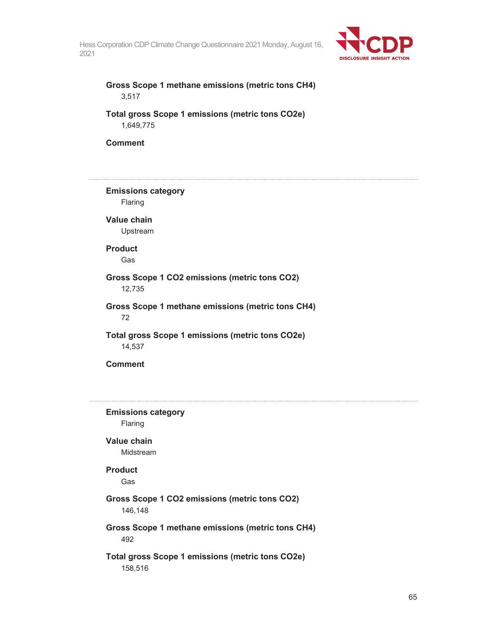

### **Gross Scope 1 methane emissions (metric tons CH4)**  3,517

**Total gross Scope 1 emissions (metric tons CO2e)**  1,649,775

**Comment** 

## **Emissions category**  Flaring **Value chain**  Upstream **Product**  Gas **Gross Scope 1 CO2 emissions (metric tons CO2)**  12,735 **Gross Scope 1 methane emissions (metric tons CH4)**  72 **Total gross Scope 1 emissions (metric tons CO2e)**  14,537 **Comment**

**Emissions category**  Flaring **Value chain**  Midstream **Product**  Gas **Gross Scope 1 CO2 emissions (metric tons CO2)**  146,148 **Gross Scope 1 methane emissions (metric tons CH4)**  492 **Total gross Scope 1 emissions (metric tons CO2e)**  158,516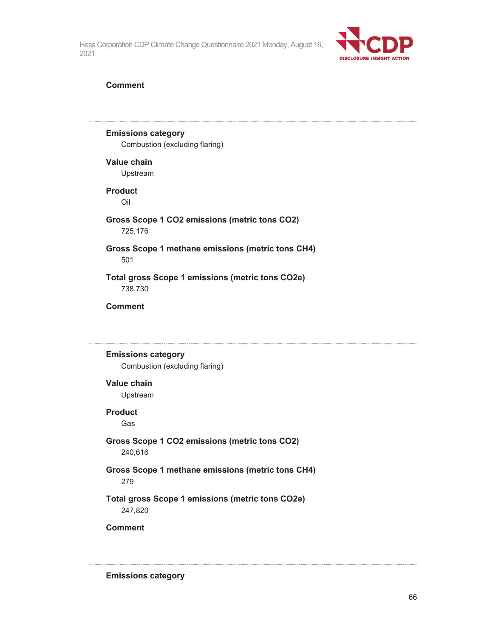

#### **Comment**

### **Emissions category**

Combustion (excluding flaring)

#### **Value chain**

Upstream

### **Product**

Oil

#### **Gross Scope 1 CO2 emissions (metric tons CO2)**  725,176

### **Gross Scope 1 methane emissions (metric tons CH4)**  501

### **Total gross Scope 1 emissions (metric tons CO2e)**  738,730

#### **Comment**

### **Emissions category**

Combustion (excluding flaring)

#### **Value chain**

Upstream

#### **Product**

Gas

### **Gross Scope 1 CO2 emissions (metric tons CO2)**  240,616

### **Gross Scope 1 methane emissions (metric tons CH4)**  279

### **Total gross Scope 1 emissions (metric tons CO2e)**  247,820

**Comment** 

**Emissions category**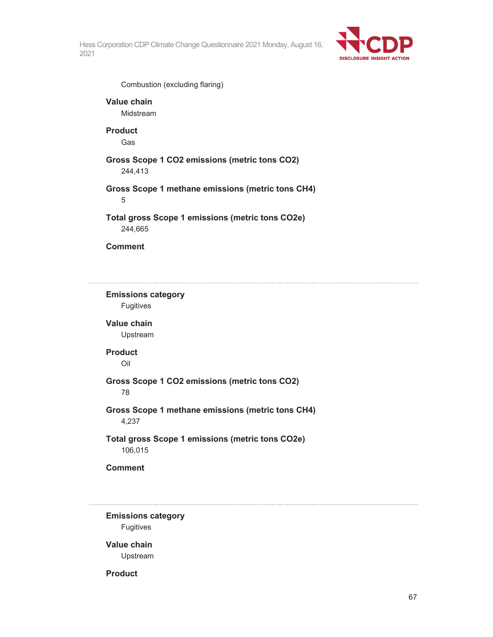

Combustion (excluding flaring)

**Value chain**  Midstream

**Product**  Gas

**Gross Scope 1 CO2 emissions (metric tons CO2)**  244,413

**Gross Scope 1 methane emissions (metric tons CH4)**  5

**Total gross Scope 1 emissions (metric tons CO2e)**  244,665

**Comment** 

**Emissions category**  Fugitives **Value chain**  Upstream **Product**  Oil **Gross Scope 1 CO2 emissions (metric tons CO2)**  78 **Gross Scope 1 methane emissions (metric tons CH4)**  4,237 **Total gross Scope 1 emissions (metric tons CO2e)**  106,015 **Comment** 

**Emissions category**  Fugitives

**Value chain**  Upstream

**Product**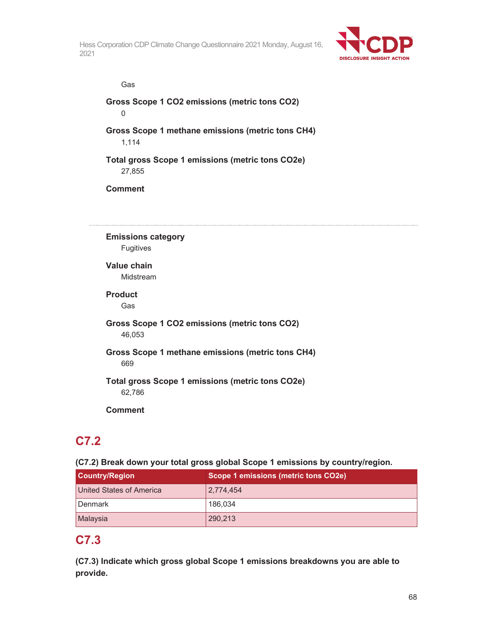

Gas

**Gross Scope 1 CO2 emissions (metric tons CO2)**  0

**Gross Scope 1 methane emissions (metric tons CH4)**  1,114

**Total gross Scope 1 emissions (metric tons CO2e)**  27,855

**Comment** 

**Emissions category**  Fugitives

**Value chain** 

Midstream

**Product** 

Gas

**Gross Scope 1 CO2 emissions (metric tons CO2)**  46,053

**Gross Scope 1 methane emissions (metric tons CH4)**  669

**Total gross Scope 1 emissions (metric tons CO2e)**  62,786

**Comment** 

## **C7.2**

**(C7.2) Break down your total gross global Scope 1 emissions by country/region.**

| <b>Country/Region</b>    | Scope 1 emissions (metric tons CO2e) |
|--------------------------|--------------------------------------|
| United States of America | 2,774,454                            |
| Denmark                  | 186,034                              |
| Malaysia                 | 290,213                              |

## **C7.3**

**(C7.3) Indicate which gross global Scope 1 emissions breakdowns you are able to provide.**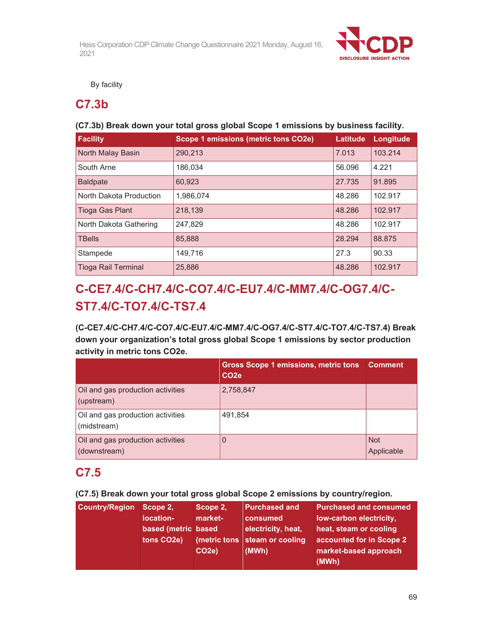

By facility

### **C7.3b**

### **(C7.3b) Break down your total gross global Scope 1 emissions by business facility.**

| <b>Facility</b>            | Scope 1 emissions (metric tons CO2e) | Latitude | Longitude |
|----------------------------|--------------------------------------|----------|-----------|
| North Malay Basin          | 290,213                              | 7.013    | 103.214   |
| South Arne                 | 186.034                              | 56.096   | 4.221     |
| <b>Baldpate</b>            | 60,923                               | 27.735   | 91.895    |
| North Dakota Production    | 1,986,074                            | 48.286   | 102.917   |
| <b>Tioga Gas Plant</b>     | 218,139                              | 48.286   | 102.917   |
| North Dakota Gathering     | 247,829                              | 48.286   | 102.917   |
| <b>TBells</b>              | 85,888                               | 28.294   | 88.875    |
| Stampede                   | 149,716                              | 27.3     | 90.33     |
| <b>Tioga Rail Terminal</b> | 25,886                               | 48.286   | 102.917   |

# **C-CE7.4/C-CH7.4/C-CO7.4/C-EU7.4/C-MM7.4/C-OG7.4/C-ST7.4/C-TO7.4/C-TS7.4**

**(C-CE7.4/C-CH7.4/C-CO7.4/C-EU7.4/C-MM7.4/C-OG7.4/C-ST7.4/C-TO7.4/C-TS7.4) Break down your organization's total gross global Scope 1 emissions by sector production activity in metric tons CO2e.** 

|                                                   | <b>Gross Scope 1 emissions, metric tons Comment</b><br>CO <sub>2e</sub> |                          |
|---------------------------------------------------|-------------------------------------------------------------------------|--------------------------|
| Oil and gas production activities<br>(upstream)   | 2,758,847                                                               |                          |
| Oil and gas production activities<br>(midstream)  | 491,854                                                                 |                          |
| Oil and gas production activities<br>(downstream) | 0                                                                       | <b>Not</b><br>Applicable |

## **C7.5**

**(C7.5) Break down your total gross global Scope 2 emissions by country/region.** 

| <b>Country/Region</b><br>Scope 2.<br>Scope 2.<br>market-<br>location-<br>based (metric based<br>tons CO <sub>2</sub> e)<br>CO <sub>2e</sub> ) | <b>Purchased and</b><br>consumed<br>electricity, heat,<br>(metric tons steam or cooling<br>(MWh) | <b>Purchased and consumed</b><br>low-carbon electricity.<br>heat, steam or cooling<br>accounted for in Scope 2<br>market-based approach<br>(MWh) |
|-----------------------------------------------------------------------------------------------------------------------------------------------|--------------------------------------------------------------------------------------------------|--------------------------------------------------------------------------------------------------------------------------------------------------|
|-----------------------------------------------------------------------------------------------------------------------------------------------|--------------------------------------------------------------------------------------------------|--------------------------------------------------------------------------------------------------------------------------------------------------|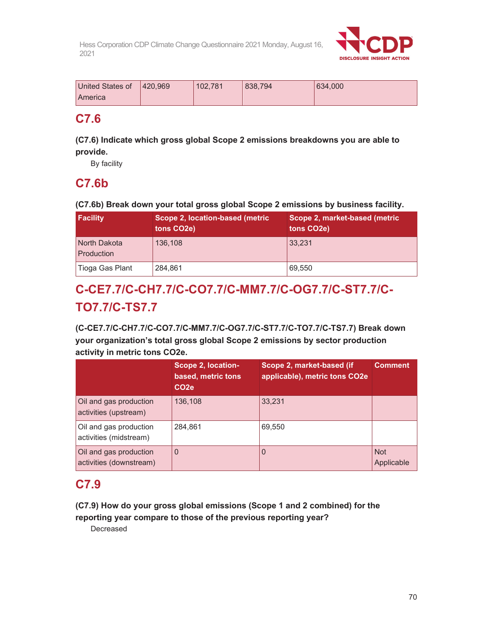

| United States of | 420.969 | 102.781 | 838.794 | 634,000 |
|------------------|---------|---------|---------|---------|
| America          |         |         |         |         |

## **C7.6**

### **(C7.6) Indicate which gross global Scope 2 emissions breakdowns you are able to provide.**

By facility

## **C7.6b**

**(C7.6b) Break down your total gross global Scope 2 emissions by business facility.** 

| <b>Facility</b>            | Scope 2, location-based (metric<br>tons CO <sub>2</sub> e) | Scope 2, market-based (metric<br>tons CO <sub>2</sub> e) |
|----------------------------|------------------------------------------------------------|----------------------------------------------------------|
| North Dakota<br>Production | 136,108                                                    | 33.231                                                   |
| Tioga Gas Plant            | 284,861                                                    | 69,550                                                   |

# **C-CE7.7/C-CH7.7/C-CO7.7/C-MM7.7/C-OG7.7/C-ST7.7/C-TO7.7/C-TS7.7**

**(C-CE7.7/C-CH7.7/C-CO7.7/C-MM7.7/C-OG7.7/C-ST7.7/C-TO7.7/C-TS7.7) Break down your organization's total gross global Scope 2 emissions by sector production activity in metric tons CO2e.** 

|                                                   | Scope 2, location-<br>based, metric tons<br>CO <sub>2e</sub> | Scope 2, market-based (if<br>applicable), metric tons CO2e | <b>Comment</b>           |
|---------------------------------------------------|--------------------------------------------------------------|------------------------------------------------------------|--------------------------|
| Oil and gas production<br>activities (upstream)   | 136,108                                                      | 33.231                                                     |                          |
| Oil and gas production<br>activities (midstream)  | 284,861                                                      | 69,550                                                     |                          |
| Oil and gas production<br>activities (downstream) | $\Omega$                                                     | 0                                                          | <b>Not</b><br>Applicable |

## **C7.9**

**(C7.9) How do your gross global emissions (Scope 1 and 2 combined) for the reporting year compare to those of the previous reporting year?** 

Decreased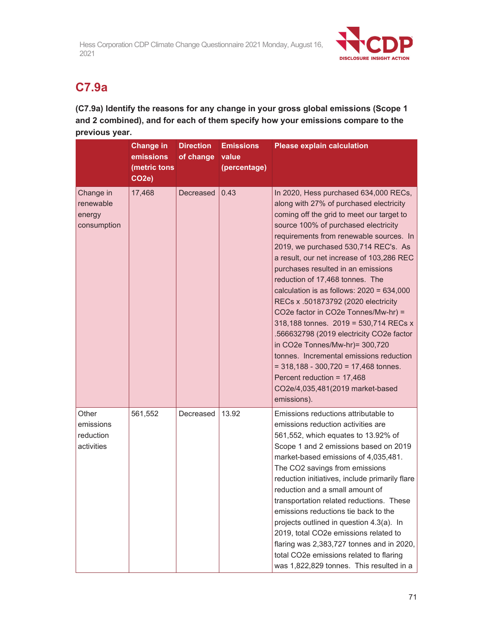

# **C7.9a**

**(C7.9a) Identify the reasons for any change in your gross global emissions (Scope 1 and 2 combined), and for each of them specify how your emissions compare to the previous year.** 

|                                                 | <b>Change in</b><br>emissions<br>(metric tons<br>CO <sub>2e</sub> ) | <b>Direction</b><br>of change | <b>Emissions</b><br>value<br>(percentage) | <b>Please explain calculation</b>                                                                                                                                                                                                                                                                                                                                                                                                                                                                                                                                                                                                                                                                                                                                                                          |
|-------------------------------------------------|---------------------------------------------------------------------|-------------------------------|-------------------------------------------|------------------------------------------------------------------------------------------------------------------------------------------------------------------------------------------------------------------------------------------------------------------------------------------------------------------------------------------------------------------------------------------------------------------------------------------------------------------------------------------------------------------------------------------------------------------------------------------------------------------------------------------------------------------------------------------------------------------------------------------------------------------------------------------------------------|
| Change in<br>renewable<br>energy<br>consumption | 17,468                                                              | Decreased                     | 0.43                                      | In 2020, Hess purchased 634,000 RECs,<br>along with 27% of purchased electricity<br>coming off the grid to meet our target to<br>source 100% of purchased electricity<br>requirements from renewable sources. In<br>2019, we purchased 530,714 REC's. As<br>a result, our net increase of 103,286 REC<br>purchases resulted in an emissions<br>reduction of 17,468 tonnes. The<br>calculation is as follows: $2020 = 634,000$<br>RECs x .501873792 (2020 electricity<br>CO2e factor in CO2e Tonnes/Mw-hr) =<br>318,188 tonnes. 2019 = 530,714 RECs x<br>.566632798 (2019 electricity CO2e factor<br>in CO2e Tonnes/Mw-hr)= 300,720<br>tonnes. Incremental emissions reduction<br>$= 318,188 - 300,720 = 17,468$ tonnes.<br>Percent reduction = $17,468$<br>CO2e/4,035,481(2019 market-based<br>emissions). |
| Other<br>emissions<br>reduction<br>activities   | 561,552                                                             | Decreased                     | 13.92                                     | Emissions reductions attributable to<br>emissions reduction activities are<br>561,552, which equates to 13.92% of<br>Scope 1 and 2 emissions based on 2019<br>market-based emissions of 4,035,481.<br>The CO2 savings from emissions<br>reduction initiatives, include primarily flare<br>reduction and a small amount of<br>transportation related reductions. These<br>emissions reductions tie back to the<br>projects outlined in question 4.3(a). In<br>2019, total CO2e emissions related to<br>flaring was 2,383,727 tonnes and in 2020,<br>total CO2e emissions related to flaring<br>was 1,822,829 tonnes. This resulted in a                                                                                                                                                                     |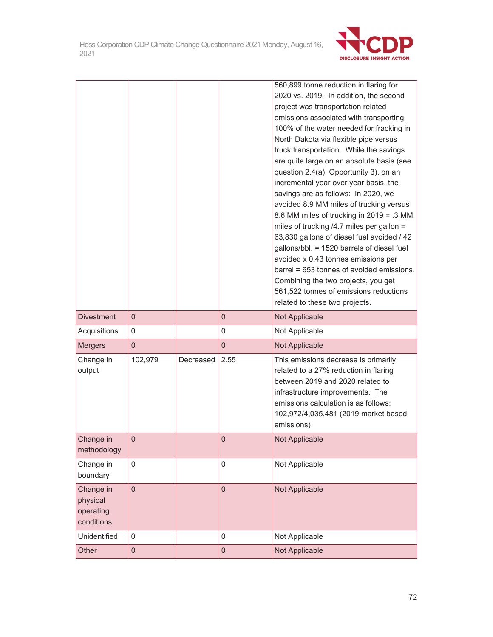

|                   |                  |           |             | 560,899 tonne reduction in flaring for<br>2020 vs. 2019. In addition, the second |
|-------------------|------------------|-----------|-------------|----------------------------------------------------------------------------------|
|                   |                  |           |             |                                                                                  |
|                   |                  |           |             | project was transportation related                                               |
|                   |                  |           |             | emissions associated with transporting                                           |
|                   |                  |           |             | 100% of the water needed for fracking in                                         |
|                   |                  |           |             | North Dakota via flexible pipe versus                                            |
|                   |                  |           |             | truck transportation. While the savings                                          |
|                   |                  |           |             | are quite large on an absolute basis (see                                        |
|                   |                  |           |             | question 2.4(a), Opportunity 3), on an<br>incremental year over year basis, the  |
|                   |                  |           |             | savings are as follows: In 2020, we                                              |
|                   |                  |           |             | avoided 8.9 MM miles of trucking versus                                          |
|                   |                  |           |             | 8.6 MM miles of trucking in 2019 = .3 MM                                         |
|                   |                  |           |             | miles of trucking /4.7 miles per gallon =                                        |
|                   |                  |           |             | 63,830 gallons of diesel fuel avoided / 42                                       |
|                   |                  |           |             | gallons/bbl. = 1520 barrels of diesel fuel                                       |
|                   |                  |           |             | avoided x 0.43 tonnes emissions per                                              |
|                   |                  |           |             | barrel = 653 tonnes of avoided emissions.                                        |
|                   |                  |           |             | Combining the two projects, you get                                              |
|                   |                  |           |             | 561,522 tonnes of emissions reductions                                           |
|                   |                  |           |             | related to these two projects.                                                   |
| <b>Divestment</b> | $\mathbf 0$      |           | $\mathbf 0$ | Not Applicable                                                                   |
| Acquisitions      | $\mathbf 0$      |           | $\mathbf 0$ | Not Applicable                                                                   |
| <b>Mergers</b>    | $\mathbf 0$      |           | $\mathbf 0$ | Not Applicable                                                                   |
| Change in         | 102,979          | Decreased | 2.55        | This emissions decrease is primarily                                             |
| output            |                  |           |             | related to a 27% reduction in flaring                                            |
|                   |                  |           |             | between 2019 and 2020 related to                                                 |
|                   |                  |           |             | infrastructure improvements. The                                                 |
|                   |                  |           |             | emissions calculation is as follows:                                             |
|                   |                  |           |             | 102,972/4,035,481 (2019 market based                                             |
|                   |                  |           |             | emissions)                                                                       |
| Change in         | $\theta$         |           | $\mathbf 0$ | Not Applicable                                                                   |
| methodology       |                  |           |             |                                                                                  |
| Change in         | $\mathbf 0$      |           | $\mathbf 0$ | Not Applicable                                                                   |
| boundary          |                  |           |             |                                                                                  |
| Change in         | $\overline{0}$   |           | $\mathbf 0$ | Not Applicable                                                                   |
| physical          |                  |           |             |                                                                                  |
| operating         |                  |           |             |                                                                                  |
| conditions        |                  |           |             |                                                                                  |
| Unidentified      | 0                |           | $\mathbf 0$ | Not Applicable                                                                   |
| Other             | $\boldsymbol{0}$ |           | $\mathbf 0$ | Not Applicable                                                                   |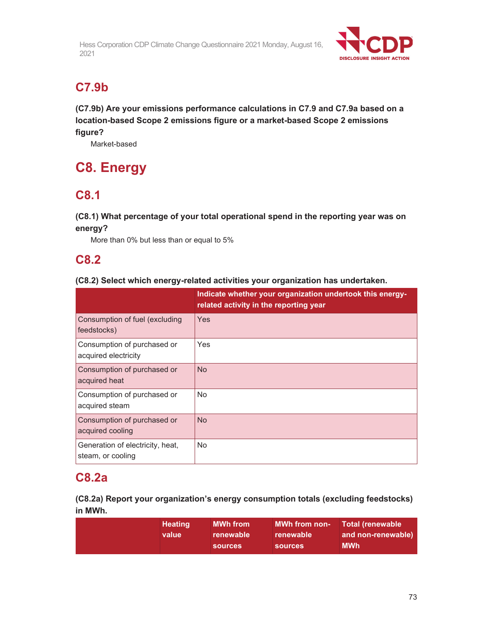

## **C7.9b**

**(C7.9b) Are your emissions performance calculations in C7.9 and C7.9a based on a location-based Scope 2 emissions figure or a market-based Scope 2 emissions figure?** 

Market-based

# **C8. Energy**

## **C8.1**

**(C8.1) What percentage of your total operational spend in the reporting year was on energy?** 

More than 0% but less than or equal to 5%

## **C8.2**

#### **(C8.2) Select which energy-related activities your organization has undertaken.**

|                                                       | Indicate whether your organization undertook this energy-<br>related activity in the reporting year |
|-------------------------------------------------------|-----------------------------------------------------------------------------------------------------|
| Consumption of fuel (excluding<br>feedstocks)         | Yes                                                                                                 |
| Consumption of purchased or<br>acquired electricity   | Yes                                                                                                 |
| Consumption of purchased or<br>acquired heat          | <b>No</b>                                                                                           |
| Consumption of purchased or<br>acquired steam         | No                                                                                                  |
| Consumption of purchased or<br>acquired cooling       | <b>No</b>                                                                                           |
| Generation of electricity, heat,<br>steam, or cooling | No                                                                                                  |

## **C8.2a**

**(C8.2a) Report your organization's energy consumption totals (excluding feedstocks) in MWh.** 

| <b>MWh from</b><br>MWh from non- Total (renewable<br><b>Heating</b><br>and non-renewable)<br>renewable<br>value<br>renewable<br><b>MWh</b><br><b>sources</b><br><b>sources</b> |
|--------------------------------------------------------------------------------------------------------------------------------------------------------------------------------|
|--------------------------------------------------------------------------------------------------------------------------------------------------------------------------------|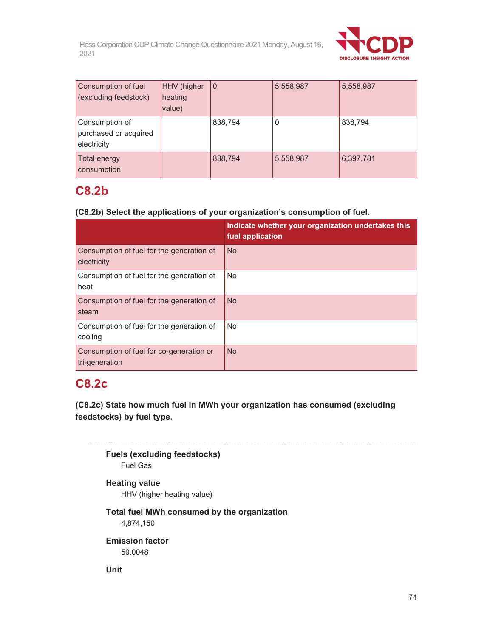

| Consumption of fuel<br>(excluding feedstock)           | HHV (higher<br>heating<br>value) | l 0     | 5,558,987 | 5,558,987 |
|--------------------------------------------------------|----------------------------------|---------|-----------|-----------|
| Consumption of<br>purchased or acquired<br>electricity |                                  | 838,794 | 0         | 838,794   |
| Total energy<br>consumption                            |                                  | 838,794 | 5,558,987 | 6,397,781 |

### **C8.2b**

#### **(C8.2b) Select the applications of your organization's consumption of fuel.**

|                                                            | Indicate whether your organization undertakes this<br>fuel application |
|------------------------------------------------------------|------------------------------------------------------------------------|
| Consumption of fuel for the generation of<br>electricity   | <b>No</b>                                                              |
| Consumption of fuel for the generation of<br>heat          | No.                                                                    |
| Consumption of fuel for the generation of<br>steam         | <b>No</b>                                                              |
| Consumption of fuel for the generation of<br>cooling       | <b>No</b>                                                              |
| Consumption of fuel for co-generation or<br>tri-generation | <b>No</b>                                                              |

## **C8.2c**

**(C8.2c) State how much fuel in MWh your organization has consumed (excluding feedstocks) by fuel type.** 

**Fuels (excluding feedstocks)**  Fuel Gas

#### **Heating value**  HHV (higher heating value)

### **Total fuel MWh consumed by the organization**

4,874,150

**Emission factor**  59.0048

**Unit**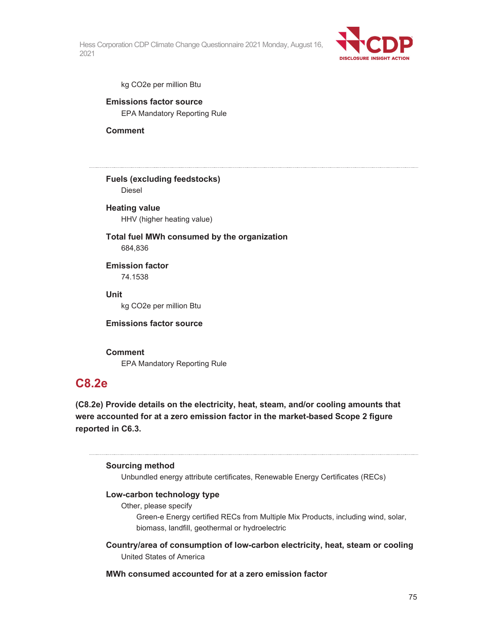

kg CO2e per million Btu

#### **Emissions factor source**  EPA Mandatory Reporting Rule

**Comment** 

**Fuels (excluding feedstocks)**  Diesel

#### **Heating value**  HHV (higher heating value)

#### **Total fuel MWh consumed by the organization**  684,836

**Emission factor**  74.1538

#### **Unit**

kg CO2e per million Btu

#### **Emissions factor source**

#### **Comment**

EPA Mandatory Reporting Rule

### **C8.2e**

**(C8.2e) Provide details on the electricity, heat, steam, and/or cooling amounts that were accounted for at a zero emission factor in the market-based Scope 2 figure reported in C6.3.** 

#### **Sourcing method**

Unbundled energy attribute certificates, Renewable Energy Certificates (RECs)

#### **Low-carbon technology type**

Other, please specify

Green-e Energy certified RECs from Multiple Mix Products, including wind, solar, biomass, landfill, geothermal or hydroelectric

**Country/area of consumption of low-carbon electricity, heat, steam or cooling**  United States of America

#### **MWh consumed accounted for at a zero emission factor**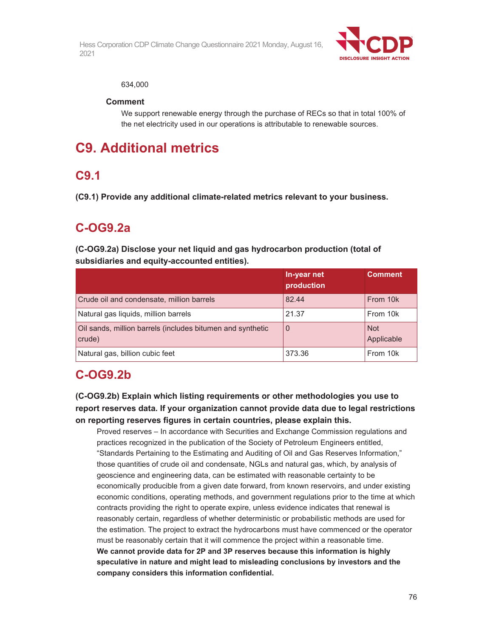

#### 634,000

#### **Comment**

We support renewable energy through the purchase of RECs so that in total 100% of the net electricity used in our operations is attributable to renewable sources.

# **C9. Additional metrics**

## **C9.1**

**(C9.1) Provide any additional climate-related metrics relevant to your business.** 

## **C-OG9.2a**

**(C-OG9.2a) Disclose your net liquid and gas hydrocarbon production (total of subsidiaries and equity-accounted entities).** 

|                                                                      | In-year net<br>production | <b>Comment</b>    |
|----------------------------------------------------------------------|---------------------------|-------------------|
| Crude oil and condensate, million barrels                            | 82.44                     | From 10k          |
| Natural gas liquids, million barrels                                 | 21.37                     | From 10k          |
| Oil sands, million barrels (includes bitumen and synthetic<br>crude) | $\overline{0}$            | Not<br>Applicable |
| Natural gas, billion cubic feet                                      | 373.36                    | From 10k          |

## **C-OG9.2b**

**(C-OG9.2b) Explain which listing requirements or other methodologies you use to report reserves data. If your organization cannot provide data due to legal restrictions on reporting reserves figures in certain countries, please explain this.** 

Proved reserves – In accordance with Securities and Exchange Commission regulations and practices recognized in the publication of the Society of Petroleum Engineers entitled, "Standards Pertaining to the Estimating and Auditing of Oil and Gas Reserves Information," those quantities of crude oil and condensate, NGLs and natural gas, which, by analysis of geoscience and engineering data, can be estimated with reasonable certainty to be economically producible from a given date forward, from known reservoirs, and under existing economic conditions, operating methods, and government regulations prior to the time at which contracts providing the right to operate expire, unless evidence indicates that renewal is reasonably certain, regardless of whether deterministic or probabilistic methods are used for the estimation. The project to extract the hydrocarbons must have commenced or the operator must be reasonably certain that it will commence the project within a reasonable time. **We cannot provide data for 2P and 3P reserves because this information is highly speculative in nature and might lead to misleading conclusions by investors and the company considers this information confidential.**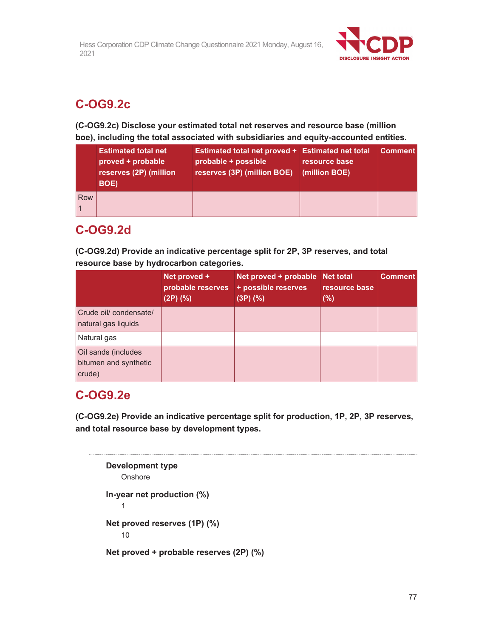

## **C-OG9.2c**

**(C-OG9.2c) Disclose your estimated total net reserves and resource base (million boe), including the total associated with subsidiaries and equity-accounted entities.** 

|     | <b>Estimated total net</b><br>proved + probable<br>reserves (2P) (million<br><b>BOE)</b> | Estimated total net proved + Estimated net total<br>probable + possible<br>reserves (3P) (million BOE) | resource base<br>(million BOE) | <b>Comment</b> |
|-----|------------------------------------------------------------------------------------------|--------------------------------------------------------------------------------------------------------|--------------------------------|----------------|
| Row |                                                                                          |                                                                                                        |                                |                |

## **C-OG9.2d**

**(C-OG9.2d) Provide an indicative percentage split for 2P, 3P reserves, and total resource base by hydrocarbon categories.** 

|                                                        | Net proved +<br>probable reserves<br>$(2P)$ $(\%)$ | Net proved + probable Net total<br>+ possible reserves<br>(3P)(% ) | resource base<br>$(\%)$ | <b>Comment</b> |
|--------------------------------------------------------|----------------------------------------------------|--------------------------------------------------------------------|-------------------------|----------------|
| Crude oil/ condensate/<br>natural gas liquids          |                                                    |                                                                    |                         |                |
| Natural gas                                            |                                                    |                                                                    |                         |                |
| Oil sands (includes<br>bitumen and synthetic<br>crude) |                                                    |                                                                    |                         |                |

## **C-OG9.2e**

**(C-OG9.2e) Provide an indicative percentage split for production, 1P, 2P, 3P reserves, and total resource base by development types.** 

```
Development type 
   Onshore
In-year net production (%) 
    1 
Net proved reserves (1P) (%) 
    10 
Net proved + probable reserves (2P) (%)
```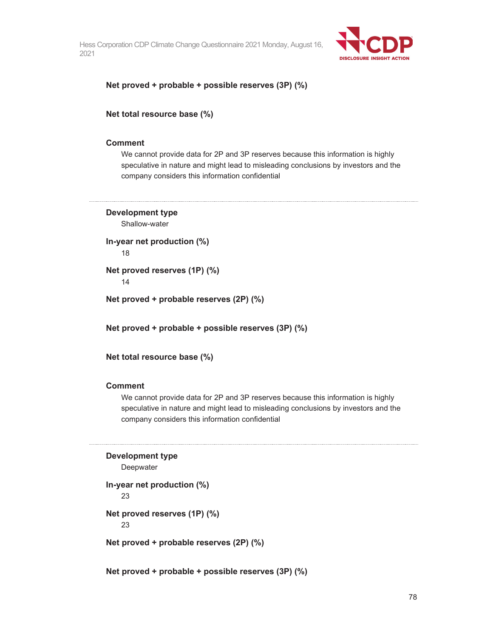

#### **Net proved + probable + possible reserves (3P) (%)**

**Net total resource base (%)** 

#### **Comment**

We cannot provide data for 2P and 3P reserves because this information is highly speculative in nature and might lead to misleading conclusions by investors and the company considers this information confidential

**Development type**  Shallow-water

**In-year net production (%)** 

18

**Net proved reserves (1P) (%)** 

14

**Net proved + probable reserves (2P) (%)** 

**Net proved + probable + possible reserves (3P) (%)** 

**Net total resource base (%)** 

#### **Comment**

We cannot provide data for 2P and 3P reserves because this information is highly speculative in nature and might lead to misleading conclusions by investors and the company considers this information confidential

```
Development type
```
Deepwater

```
In-year net production (%)
```
23

**Net proved reserves (1P) (%)** 

23

**Net proved + probable reserves (2P) (%)** 

**Net proved + probable + possible reserves (3P) (%)**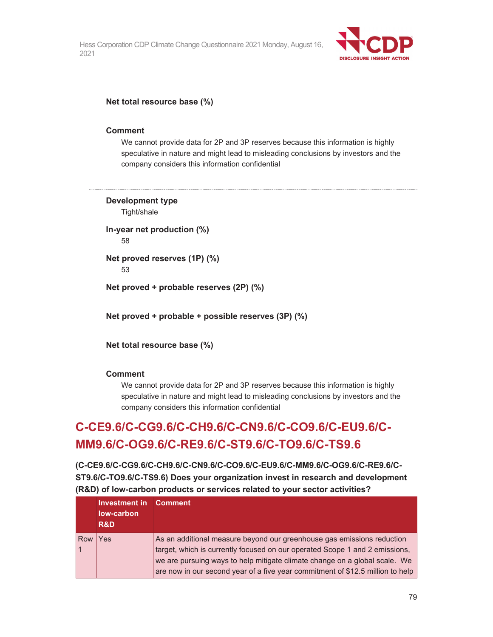

#### **Net total resource base (%)**

#### **Comment**

We cannot provide data for 2P and 3P reserves because this information is highly speculative in nature and might lead to misleading conclusions by investors and the company considers this information confidential

**Development type**  Tight/shale

**In-year net production (%)**  58

**Net proved reserves (1P) (%)**  53

**Net proved + probable reserves (2P) (%)** 

**Net proved + probable + possible reserves (3P) (%)** 

**Net total resource base (%)** 

#### **Comment**

We cannot provide data for 2P and 3P reserves because this information is highly speculative in nature and might lead to misleading conclusions by investors and the company considers this information confidential

# **C-CE9.6/C-CG9.6/C-CH9.6/C-CN9.6/C-CO9.6/C-EU9.6/C-MM9.6/C-OG9.6/C-RE9.6/C-ST9.6/C-TO9.6/C-TS9.6**

**(C-CE9.6/C-CG9.6/C-CH9.6/C-CN9.6/C-CO9.6/C-EU9.6/C-MM9.6/C-OG9.6/C-RE9.6/C-ST9.6/C-TO9.6/C-TS9.6) Does your organization invest in research and development (R&D) of low-carbon products or services related to your sector activities?** 

|     | <b>Investment in Comment</b><br>low-carbon<br><b>R&amp;D</b> |                                                                                                                                                                                                                                     |
|-----|--------------------------------------------------------------|-------------------------------------------------------------------------------------------------------------------------------------------------------------------------------------------------------------------------------------|
| Row | Yes                                                          | As an additional measure beyond our greenhouse gas emissions reduction<br>target, which is currently focused on our operated Scope 1 and 2 emissions,<br>we are pursuing ways to help mitigate climate change on a global scale. We |
|     |                                                              | are now in our second year of a five year commitment of \$12.5 million to help                                                                                                                                                      |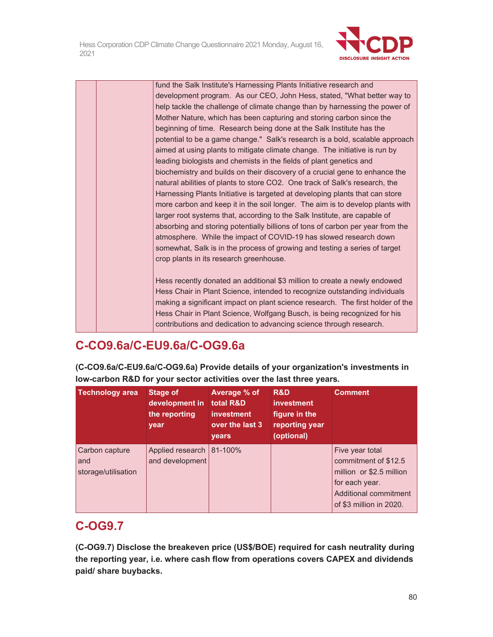

fund the Salk Institute's Harnessing Plants Initiative research and development program. As our CEO, John Hess, stated, "What better way to help tackle the challenge of climate change than by harnessing the power of Mother Nature, which has been capturing and storing carbon since the beginning of time. Research being done at the Salk Institute has the potential to be a game change." Salk's research is a bold, scalable approach aimed at using plants to mitigate climate change. The initiative is run by leading biologists and chemists in the fields of plant genetics and biochemistry and builds on their discovery of a crucial gene to enhance the natural abilities of plants to store CO2. One track of Salk's research, the Harnessing Plants Initiative is targeted at developing plants that can store more carbon and keep it in the soil longer. The aim is to develop plants with larger root systems that, according to the Salk Institute, are capable of absorbing and storing potentially billions of tons of carbon per year from the atmosphere. While the impact of COVID-19 has slowed research down somewhat, Salk is in the process of growing and testing a series of target crop plants in its research greenhouse. Hess recently donated an additional \$3 million to create a newly endowed

Hess Chair in Plant Science, intended to recognize outstanding individuals making a significant impact on plant science research. The first holder of the Hess Chair in Plant Science, Wolfgang Busch, is being recognized for his contributions and dedication to advancing science through research.

## **C-CO9.6a/C-EU9.6a/C-OG9.6a**

**(C-CO9.6a/C-EU9.6a/C-OG9.6a) Provide details of your organization's investments in low-carbon R&D for your sector activities over the last three years.** 

| <b>Technology area</b>                       | Stage of<br>development in<br>the reporting<br>year | <b>Average % of</b><br>total R&D<br><b>investment</b><br>over the last 3<br>years | R&D<br><i>investment</i><br>figure in the<br>reporting year<br>(optional) | <b>Comment</b>                                                                                                                                   |
|----------------------------------------------|-----------------------------------------------------|-----------------------------------------------------------------------------------|---------------------------------------------------------------------------|--------------------------------------------------------------------------------------------------------------------------------------------------|
| Carbon capture<br>and<br>storage/utilisation | Applied research 81-100%<br>and development         |                                                                                   |                                                                           | Five year total<br>commitment of \$12.5<br>million or \$2.5 million<br>for each year.<br><b>Additional commitment</b><br>of \$3 million in 2020. |

## **C-OG9.7**

**(C-OG9.7) Disclose the breakeven price (US\$/BOE) required for cash neutrality during the reporting year, i.e. where cash flow from operations covers CAPEX and dividends paid/ share buybacks.**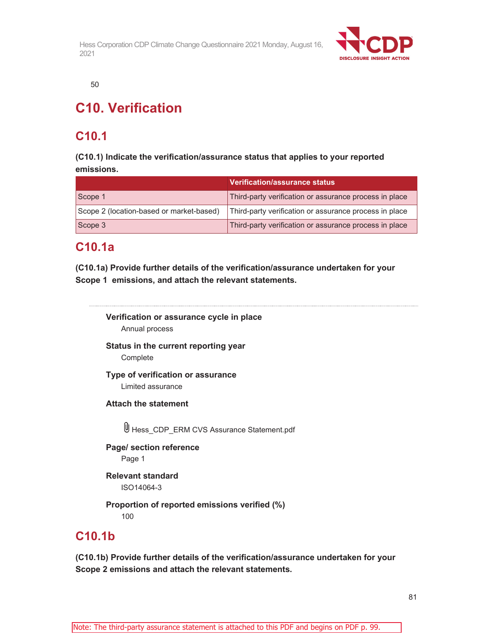

50

# **C10. Verification**

## **C10.1**

**(C10.1) Indicate the verification/assurance status that applies to your reported emissions.** 

|                                          | Verification/assurance status                          |
|------------------------------------------|--------------------------------------------------------|
| Scope 1                                  | Third-party verification or assurance process in place |
| Scope 2 (location-based or market-based) | Third-party verification or assurance process in place |
| Scope 3                                  | Third-party verification or assurance process in place |

## **C10.1a**

**(C10.1a) Provide further details of the verification/assurance undertaken for your Scope 1 emissions, and attach the relevant statements.** 

**Verification or assurance cycle in place**  Annual process **Status in the current reporting year Complete Type of verification or assurance**  Limited assurance **Attach the statement**  Hess\_CDP\_ERM CVS Assurance Statement.pdf **Page/ section reference**  Page 1 **Relevant standard** 

ISO14064-3

**Proportion of reported emissions verified (%)**  100

## **C10.1b**

**(C10.1b) Provide further details of the verification/assurance undertaken for your Scope 2 emissions and attach the relevant statements.**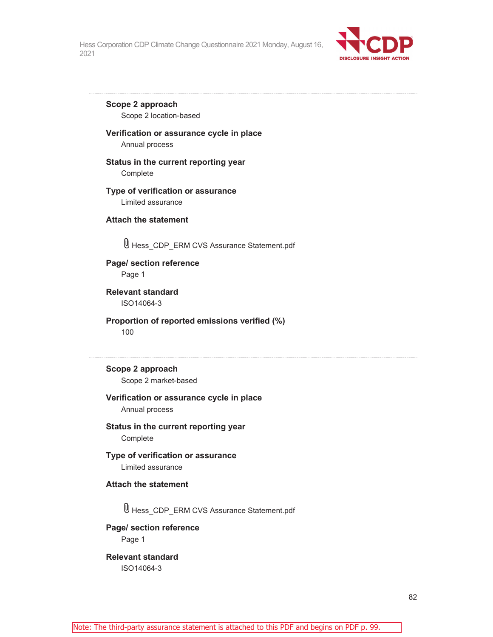

**Scope 2 approach**  Scope 2 location-based

#### **Verification or assurance cycle in place**

Annual process

#### **Status in the current reporting year**

Complete

#### **Type of verification or assurance**  Limited assurance

**Attach the statement** 

Hess\_CDP\_ERM CVS Assurance Statement.pdf

#### **Page/ section reference**  Page 1

**Relevant standard**  ISO14064-3

**Proportion of reported emissions verified (%)**  100

**Scope 2 approach**  Scope 2 market-based

#### **Verification or assurance cycle in place**

Annual process

**Status in the current reporting year**  Complete

#### **Type of verification or assurance** Limited assurance

#### **Attach the statement**

Hess\_CDP\_ERM CVS Assurance Statement.pdf

**Page/ section reference**  Page 1

**Relevant standard**  ISO14064-3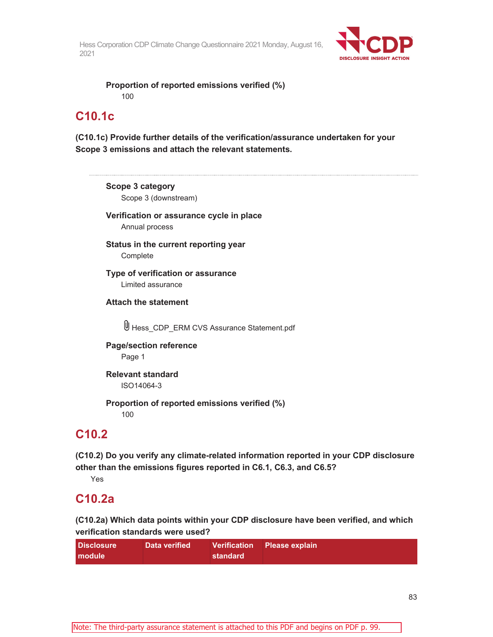

**Proportion of reported emissions verified (%)**  100

## **C10.1c**

**(C10.1c) Provide further details of the verification/assurance undertaken for your Scope 3 emissions and attach the relevant statements.** 

**Scope 3 category**  Scope 3 (downstream) **Verification or assurance cycle in place** 

Annual process

**Status in the current reporting year**  Complete

**Type of verification or assurance**  Limited assurance

**Attach the statement** 

Hess\_CDP\_ERM CVS Assurance Statement.pdf

**Page/section reference**  Page 1

**Relevant standard**  ISO14064-3

**Proportion of reported emissions verified (%)**  100

## **C10.2**

**(C10.2) Do you verify any climate-related information reported in your CDP disclosure other than the emissions figures reported in C6.1, C6.3, and C6.5?** 

Yes

### **C10.2a**

**(C10.2a) Which data points within your CDP disclosure have been verified, and which verification standards were used?** 

| <b>Disclosure</b> | Data verified |          | Verification Please explain |
|-------------------|---------------|----------|-----------------------------|
| <b>I</b> module   |               | standard |                             |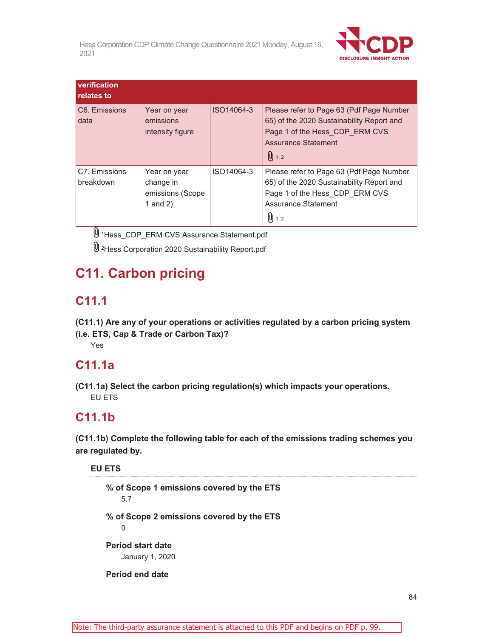

| verification<br>relates to |                                                             |            |                                                                                                                                                                                  |
|----------------------------|-------------------------------------------------------------|------------|----------------------------------------------------------------------------------------------------------------------------------------------------------------------------------|
| C6. Emissions<br>data      | Year on year<br>emissions<br>intensity figure               | ISO14064-3 | Please refer to Page 63 (Pdf Page Number<br>65) of the 2020 Sustainability Report and<br>Page 1 of the Hess CDP ERM CVS<br><b>Assurance Statement</b><br>$\left[ 0 \right]$ 1, 2 |
| C7. Emissions<br>breakdown | Year on year<br>change in<br>emissions (Scope<br>1 and $2)$ | ISO14064-3 | Please refer to Page 63 (Pdf Page Number<br>65) of the 2020 Sustainability Report and<br>Page 1 of the Hess CDP ERM CVS<br><b>Assurance Statement</b><br>$[0]$ 1, 2              |

1Hess\_CDP\_ERM CVS Assurance Statement.pdf

2Hess Corporation 2020 Sustainability Report.pdf

# **C11. Carbon pricing**

## **C11.1**

**(C11.1) Are any of your operations or activities regulated by a carbon pricing system (i.e. ETS, Cap & Trade or Carbon Tax)?** 

Yes

### **C11.1a**

**(C11.1a) Select the carbon pricing regulation(s) which impacts your operations.**  EU ETS

## **C11.1b**

**(C11.1b) Complete the following table for each of the emissions trading schemes you are regulated by.** 

#### **EU ETS**

**% of Scope 1 emissions covered by the ETS**  5.7 **% of Scope 2 emissions covered by the ETS**   $\Omega$ **Period start date**  January 1, 2020

**Period end date**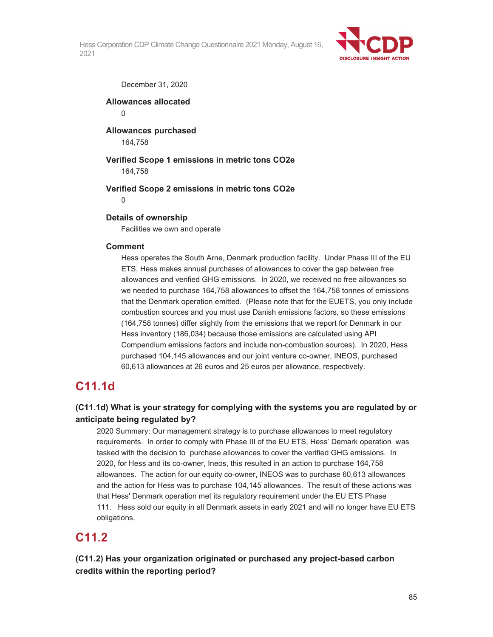

December 31, 2020

#### **Allowances allocated**   $\Omega$

**Allowances purchased**  164,758

**Verified Scope 1 emissions in metric tons CO2e**  164,758

**Verified Scope 2 emissions in metric tons CO2e** 

 $\Omega$ 

#### **Details of ownership**

Facilities we own and operate

#### **Comment**

Hess operates the South Arne, Denmark production facility. Under Phase III of the EU ETS, Hess makes annual purchases of allowances to cover the gap between free allowances and verified GHG emissions. In 2020, we received no free allowances so we needed to purchase 164,758 allowances to offset the 164,758 tonnes of emissions that the Denmark operation emitted. (Please note that for the EUETS, you only include combustion sources and you must use Danish emissions factors, so these emissions (164,758 tonnes) differ slightly from the emissions that we report for Denmark in our Hess inventory (186,034) because those emissions are calculated using API Compendium emissions factors and include non-combustion sources). In 2020, Hess purchased 104,145 allowances and our joint venture co-owner, INEOS, purchased 60,613 allowances at 26 euros and 25 euros per allowance, respectively.

### **C11.1d**

#### **(C11.1d) What is your strategy for complying with the systems you are regulated by or anticipate being regulated by?**

2020 Summary: Our management strategy is to purchase allowances to meet regulatory requirements. In order to comply with Phase III of the EU ETS, Hess' Demark operation was tasked with the decision to purchase allowances to cover the verified GHG emissions. In 2020, for Hess and its co-owner, Ineos, this resulted in an action to purchase 164,758 allowances. The action for our equity co-owner, INEOS was to purchase 60,613 allowances and the action for Hess was to purchase 104,145 allowances. The result of these actions was that Hess' Denmark operation met its regulatory requirement under the EU ETS Phase 111. Hess sold our equity in all Denmark assets in early 2021 and will no longer have EU ETS obligations.

### **C11.2**

**(C11.2) Has your organization originated or purchased any project-based carbon credits within the reporting period?**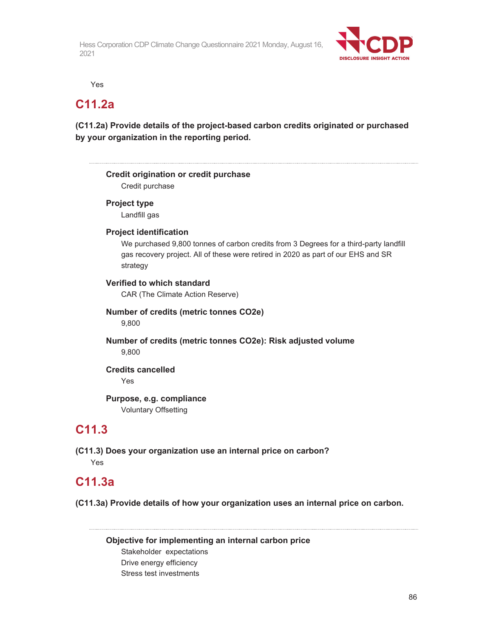

Yes

### **C11.2a**

**(C11.2a) Provide details of the project-based carbon credits originated or purchased by your organization in the reporting period.** 

#### **Credit origination or credit purchase**

Credit purchase

#### **Project type**

Landfill gas

#### **Project identification**

We purchased 9,800 tonnes of carbon credits from 3 Degrees for a third-party landfill gas recovery project. All of these were retired in 2020 as part of our EHS and SR strategy

#### **Verified to which standard**

CAR (The Climate Action Reserve)

#### **Number of credits (metric tonnes CO2e)**  9,800

**Number of credits (metric tonnes CO2e): Risk adjusted volume**  9,800

#### **Credits cancelled**  Yes

#### **Purpose, e.g. compliance**  Voluntary Offsetting

### **C11.3**

**(C11.3) Does your organization use an internal price on carbon?**  Yes

### **C11.3a**

**(C11.3a) Provide details of how your organization uses an internal price on carbon.**

**Objective for implementing an internal carbon price**  Stakeholder expectations Drive energy efficiency Stress test investments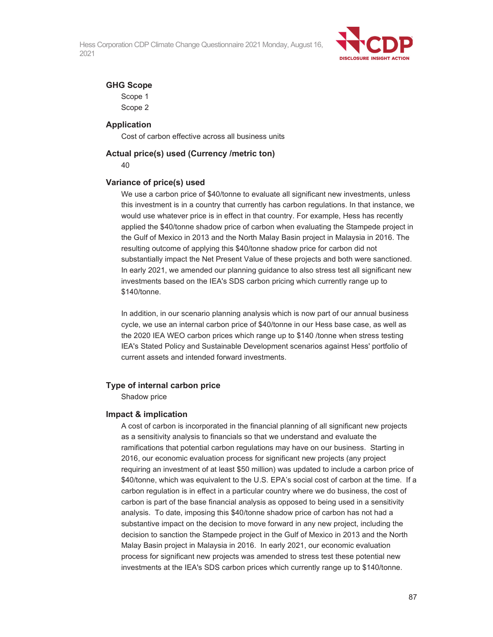

#### **GHG Scope**

Scope 1 Scope 2

#### **Application**

Cost of carbon effective across all business units

### **Actual price(s) used (Currency /metric ton)**

40

#### **Variance of price(s) used**

We use a carbon price of \$40/tonne to evaluate all significant new investments, unless this investment is in a country that currently has carbon regulations. In that instance, we would use whatever price is in effect in that country. For example, Hess has recently applied the \$40/tonne shadow price of carbon when evaluating the Stampede project in the Gulf of Mexico in 2013 and the North Malay Basin project in Malaysia in 2016. The resulting outcome of applying this \$40/tonne shadow price for carbon did not substantially impact the Net Present Value of these projects and both were sanctioned. In early 2021, we amended our planning guidance to also stress test all significant new investments based on the IEA's SDS carbon pricing which currently range up to \$140/tonne.

In addition, in our scenario planning analysis which is now part of our annual business cycle, we use an internal carbon price of \$40/tonne in our Hess base case, as well as the 2020 IEA WEO carbon prices which range up to \$140 /tonne when stress testing IEA's Stated Policy and Sustainable Development scenarios against Hess' portfolio of current assets and intended forward investments.

#### **Type of internal carbon price**

Shadow price

#### **Impact & implication**

A cost of carbon is incorporated in the financial planning of all significant new projects as a sensitivity analysis to financials so that we understand and evaluate the ramifications that potential carbon regulations may have on our business. Starting in 2016, our economic evaluation process for significant new projects (any project requiring an investment of at least \$50 million) was updated to include a carbon price of \$40/tonne, which was equivalent to the U.S. EPA's social cost of carbon at the time. If a carbon regulation is in effect in a particular country where we do business, the cost of carbon is part of the base financial analysis as opposed to being used in a sensitivity analysis. To date, imposing this \$40/tonne shadow price of carbon has not had a substantive impact on the decision to move forward in any new project, including the decision to sanction the Stampede project in the Gulf of Mexico in 2013 and the North Malay Basin project in Malaysia in 2016. In early 2021, our economic evaluation process for significant new projects was amended to stress test these potential new investments at the IEA's SDS carbon prices which currently range up to \$140/tonne.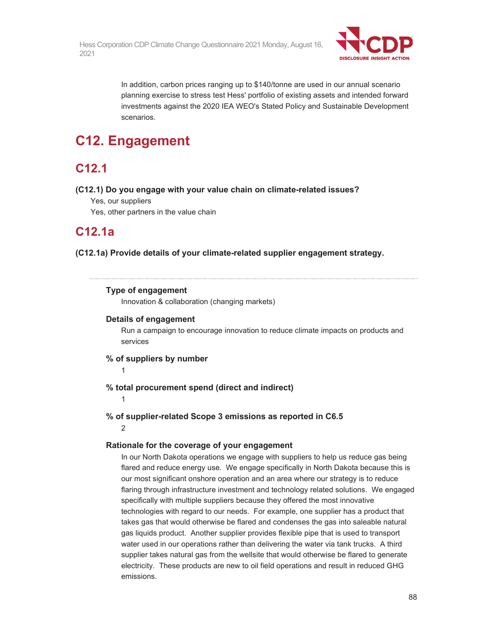

In addition, carbon prices ranging up to \$140/tonne are used in our annual scenario planning exercise to stress test Hess' portfolio of existing assets and intended forward investments against the 2020 IEA WEO's Stated Policy and Sustainable Development scenarios.

# **C12. Engagement**

## **C12.1**

#### **(C12.1) Do you engage with your value chain on climate-related issues?**

- Yes, our suppliers
- Yes, other partners in the value chain

### **C12.1a**

**(C12.1a) Provide details of your climate-related supplier engagement strategy.** 

#### **Type of engagement**

Innovation & collaboration (changing markets)

#### **Details of engagement**

Run a campaign to encourage innovation to reduce climate impacts on products and services

#### **% of suppliers by number**

1

#### **% total procurement spend (direct and indirect)**

1

**% of supplier-related Scope 3 emissions as reported in C6.5** 

2

#### **Rationale for the coverage of your engagement**

In our North Dakota operations we engage with suppliers to help us reduce gas being flared and reduce energy use. We engage specifically in North Dakota because this is our most significant onshore operation and an area where our strategy is to reduce flaring through infrastructure investment and technology related solutions. We engaged specifically with multiple suppliers because they offered the most innovative technologies with regard to our needs. For example, one supplier has a product that takes gas that would otherwise be flared and condenses the gas into saleable natural gas liquids product. Another supplier provides flexible pipe that is used to transport water used in our operations rather than delivering the water via tank trucks. A third supplier takes natural gas from the wellsite that would otherwise be flared to generate electricity. These products are new to oil field operations and result in reduced GHG emissions.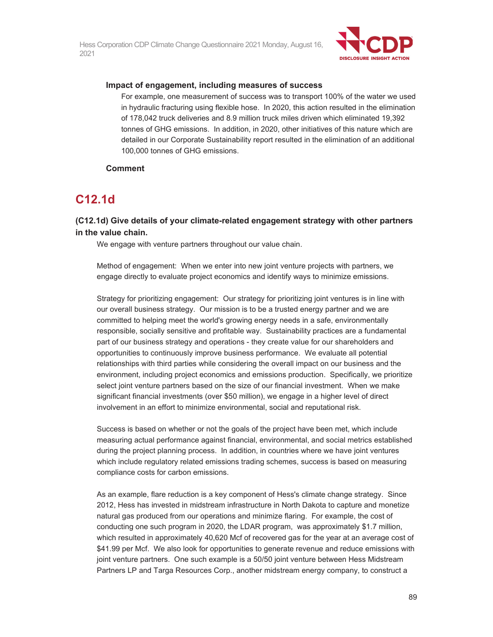

#### **Impact of engagement, including measures of success**

For example, one measurement of success was to transport 100% of the water we used in hydraulic fracturing using flexible hose. In 2020, this action resulted in the elimination of 178,042 truck deliveries and 8.9 million truck miles driven which eliminated 19,392 tonnes of GHG emissions. In addition, in 2020, other initiatives of this nature which are detailed in our Corporate Sustainability report resulted in the elimination of an additional 100,000 tonnes of GHG emissions.

#### **Comment**

## **C12.1d**

#### **(C12.1d) Give details of your climate-related engagement strategy with other partners in the value chain.**

We engage with venture partners throughout our value chain.

Method of engagement: When we enter into new joint venture projects with partners, we engage directly to evaluate project economics and identify ways to minimize emissions.

Strategy for prioritizing engagement: Our strategy for prioritizing joint ventures is in line with our overall business strategy. Our mission is to be a trusted energy partner and we are committed to helping meet the world's growing energy needs in a safe, environmentally responsible, socially sensitive and profitable way. Sustainability practices are a fundamental part of our business strategy and operations - they create value for our shareholders and opportunities to continuously improve business performance. We evaluate all potential relationships with third parties while considering the overall impact on our business and the environment, including project economics and emissions production. Specifically, we prioritize select joint venture partners based on the size of our financial investment. When we make significant financial investments (over \$50 million), we engage in a higher level of direct involvement in an effort to minimize environmental, social and reputational risk.

Success is based on whether or not the goals of the project have been met, which include measuring actual performance against financial, environmental, and social metrics established during the project planning process. In addition, in countries where we have joint ventures which include regulatory related emissions trading schemes, success is based on measuring compliance costs for carbon emissions.

As an example, flare reduction is a key component of Hess's climate change strategy. Since 2012, Hess has invested in midstream infrastructure in North Dakota to capture and monetize natural gas produced from our operations and minimize flaring. For example, the cost of conducting one such program in 2020, the LDAR program, was approximately \$1.7 million, which resulted in approximately 40,620 Mcf of recovered gas for the year at an average cost of \$41.99 per Mcf. We also look for opportunities to generate revenue and reduce emissions with joint venture partners. One such example is a 50/50 joint venture between Hess Midstream Partners LP and Targa Resources Corp., another midstream energy company, to construct a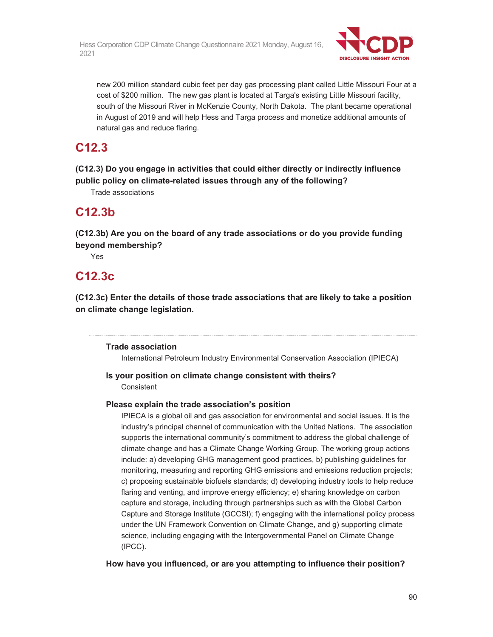

new 200 million standard cubic feet per day gas processing plant called Little Missouri Four at a cost of \$200 million. The new gas plant is located at Targa's existing Little Missouri facility, south of the Missouri River in McKenzie County, North Dakota. The plant became operational in August of 2019 and will help Hess and Targa process and monetize additional amounts of natural gas and reduce flaring.

## **C12.3**

**(C12.3) Do you engage in activities that could either directly or indirectly influence public policy on climate-related issues through any of the following?** 

Trade associations

### **C12.3b**

**(C12.3b) Are you on the board of any trade associations or do you provide funding beyond membership?** 

Yes

## **C12.3c**

**(C12.3c) Enter the details of those trade associations that are likely to take a position on climate change legislation.** 

#### **Trade association**

International Petroleum Industry Environmental Conservation Association (IPIECA)

# **Is your position on climate change consistent with theirs?**

Consistent

#### **Please explain the trade association's position**

IPIECA is a global oil and gas association for environmental and social issues. It is the industry's principal channel of communication with the United Nations. The association supports the international community's commitment to address the global challenge of climate change and has a Climate Change Working Group. The working group actions include: a) developing GHG management good practices, b) publishing guidelines for monitoring, measuring and reporting GHG emissions and emissions reduction projects; c) proposing sustainable biofuels standards; d) developing industry tools to help reduce flaring and venting, and improve energy efficiency; e) sharing knowledge on carbon capture and storage, including through partnerships such as with the Global Carbon Capture and Storage Institute (GCCSI); f) engaging with the international policy process under the UN Framework Convention on Climate Change, and g) supporting climate science, including engaging with the Intergovernmental Panel on Climate Change (IPCC).

**How have you influenced, or are you attempting to influence their position?**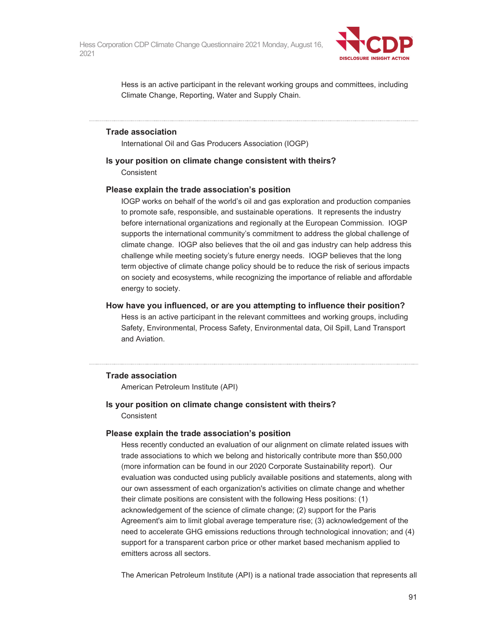

Hess is an active participant in the relevant working groups and committees, including Climate Change, Reporting, Water and Supply Chain.

#### **Trade association**

International Oil and Gas Producers Association (IOGP)

#### **Is your position on climate change consistent with theirs?**

**Consistent** 

#### **Please explain the trade association's position**

IOGP works on behalf of the world's oil and gas exploration and production companies to promote safe, responsible, and sustainable operations. It represents the industry before international organizations and regionally at the European Commission. IOGP supports the international community's commitment to address the global challenge of climate change. IOGP also believes that the oil and gas industry can help address this challenge while meeting society's future energy needs. IOGP believes that the long term objective of climate change policy should be to reduce the risk of serious impacts on society and ecosystems, while recognizing the importance of reliable and affordable energy to society.

#### **How have you influenced, or are you attempting to influence their position?**

Hess is an active participant in the relevant committees and working groups, including Safety, Environmental, Process Safety, Environmental data, Oil Spill, Land Transport and Aviation.

#### **Trade association**

American Petroleum Institute (API)

#### **Is your position on climate change consistent with theirs?**  Consistent

#### **Please explain the trade association's position**

Hess recently conducted an evaluation of our alignment on climate related issues with trade associations to which we belong and historically contribute more than \$50,000 (more information can be found in our 2020 Corporate Sustainability report). Our evaluation was conducted using publicly available positions and statements, along with our own assessment of each organization's activities on climate change and whether their climate positions are consistent with the following Hess positions: (1) acknowledgement of the science of climate change; (2) support for the Paris Agreement's aim to limit global average temperature rise; (3) acknowledgement of the need to accelerate GHG emissions reductions through technological innovation; and (4) support for a transparent carbon price or other market based mechanism applied to emitters across all sectors.

The American Petroleum Institute (API) is a national trade association that represents all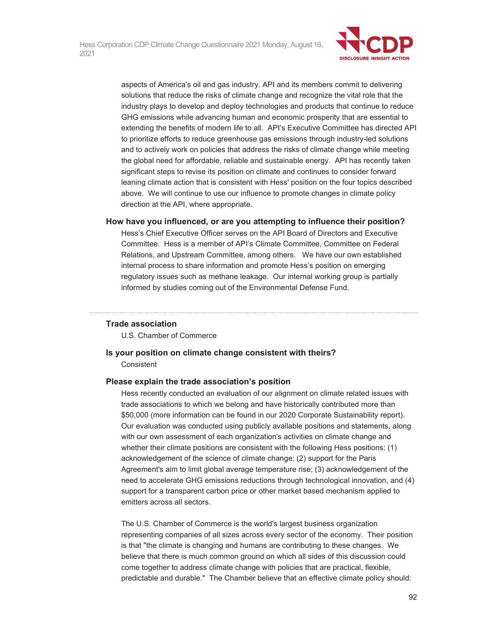

aspects of America's oil and gas industry. API and its members commit to delivering solutions that reduce the risks of climate change and recognize the vital role that the industry plays to develop and deploy technologies and products that continue to reduce GHG emissions while advancing human and economic prosperity that are essential to extending the benefits of modern life to all. API's Executive Committee has directed API to prioritize efforts to reduce greenhouse gas emissions through industry-led solutions and to actively work on policies that address the risks of climate change while meeting the global need for affordable, reliable and sustainable energy. API has recently taken significant steps to revise its position on climate and continues to consider forward leaning climate action that is consistent with Hess' position on the four topics described above. We will continue to use our influence to promote changes in climate policy direction at the API, where appropriate.

#### **How have you influenced, or are you attempting to influence their position?**

Hess's Chief Executive Officer serves on the API Board of Directors and Executive Committee. Hess is a member of API's Climate Committee, Committee on Federal Relations, and Upstream Committee, among others. We have our own established internal process to share information and promote Hess's position on emerging regulatory issues such as methane leakage. Our internal working group is partially informed by studies coming out of the Environmental Defense Fund.

#### **Trade association**

U.S. Chamber of Commerce

#### **Is your position on climate change consistent with theirs? Consistent**

#### **Please explain the trade association's position**

Hess recently conducted an evaluation of our alignment on climate related issues with trade associations to which we belong and have historically contributed more than \$50,000 (more information can be found in our 2020 Corporate Sustainability report). Our evaluation was conducted using publicly available positions and statements, along with our own assessment of each organization's activities on climate change and whether their climate positions are consistent with the following Hess positions: (1) acknowledgement of the science of climate change; (2) support for the Paris Agreement's aim to limit global average temperature rise; (3) acknowledgement of the need to accelerate GHG emissions reductions through technological innovation, and (4) support for a transparent carbon price or other market based mechanism applied to emitters across all sectors.

The U.S. Chamber of Commerce is the world's largest business organization representing companies of all sizes across every sector of the economy. Their position is that "the climate is changing and humans are contributing to these changes. We believe that there is much common ground on which all sides of this discussion could come together to address climate change with policies that are practical, flexible, predictable and durable." The Chamber believe that an effective climate policy should: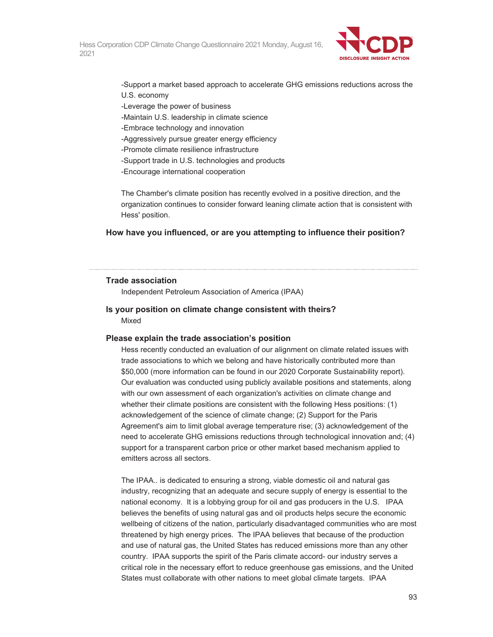

-Support a market based approach to accelerate GHG emissions reductions across the

- U.S. economy
- -Leverage the power of business
- -Maintain U.S. leadership in climate science
- -Embrace technology and innovation
- -Aggressively pursue greater energy efficiency
- -Promote climate resilience infrastructure
- -Support trade in U.S. technologies and products
- -Encourage international cooperation

The Chamber's climate position has recently evolved in a positive direction, and the organization continues to consider forward leaning climate action that is consistent with Hess' position.

#### **How have you influenced, or are you attempting to influence their position?**

#### **Trade association**

Independent Petroleum Association of America (IPAA)

#### **Is your position on climate change consistent with theirs?**  Mixed

#### **Please explain the trade association's position**

Hess recently conducted an evaluation of our alignment on climate related issues with trade associations to which we belong and have historically contributed more than \$50,000 (more information can be found in our 2020 Corporate Sustainability report). Our evaluation was conducted using publicly available positions and statements, along with our own assessment of each organization's activities on climate change and whether their climate positions are consistent with the following Hess positions: (1) acknowledgement of the science of climate change; (2) Support for the Paris Agreement's aim to limit global average temperature rise; (3) acknowledgement of the need to accelerate GHG emissions reductions through technological innovation and; (4) support for a transparent carbon price or other market based mechanism applied to emitters across all sectors.

The IPAA.. is dedicated to ensuring a strong, viable domestic oil and natural gas industry, recognizing that an adequate and secure supply of energy is essential to the national economy. It is a lobbying group for oil and gas producers in the U.S. IPAA believes the benefits of using natural gas and oil products helps secure the economic wellbeing of citizens of the nation, particularly disadvantaged communities who are most threatened by high energy prices. The IPAA believes that because of the production and use of natural gas, the United States has reduced emissions more than any other country. IPAA supports the spirit of the Paris climate accord- our industry serves a critical role in the necessary effort to reduce greenhouse gas emissions, and the United States must collaborate with other nations to meet global climate targets. IPAA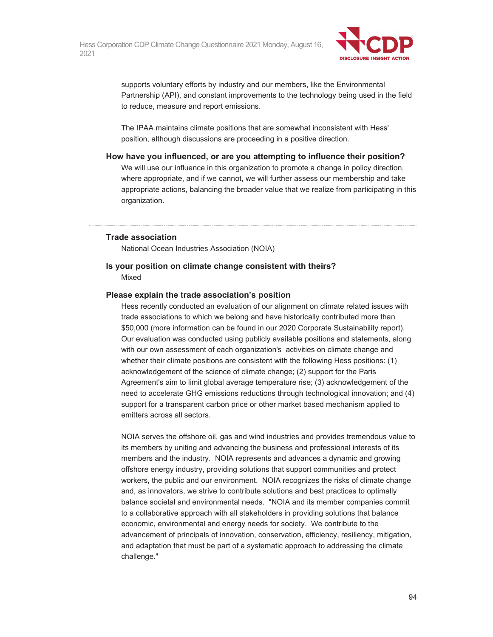

supports voluntary efforts by industry and our members, like the Environmental Partnership (API), and constant improvements to the technology being used in the field to reduce, measure and report emissions.

The IPAA maintains climate positions that are somewhat inconsistent with Hess' position, although discussions are proceeding in a positive direction.

#### **How have you influenced, or are you attempting to influence their position?**

We will use our influence in this organization to promote a change in policy direction, where appropriate, and if we cannot, we will further assess our membership and take appropriate actions, balancing the broader value that we realize from participating in this organization.

#### **Trade association**

National Ocean Industries Association (NOIA)

#### **Is your position on climate change consistent with theirs?**

Mixed

#### **Please explain the trade association's position**

Hess recently conducted an evaluation of our alignment on climate related issues with trade associations to which we belong and have historically contributed more than \$50,000 (more information can be found in our 2020 Corporate Sustainability report). Our evaluation was conducted using publicly available positions and statements, along with our own assessment of each organization's activities on climate change and whether their climate positions are consistent with the following Hess positions: (1) acknowledgement of the science of climate change; (2) support for the Paris Agreement's aim to limit global average temperature rise; (3) acknowledgement of the need to accelerate GHG emissions reductions through technological innovation; and (4) support for a transparent carbon price or other market based mechanism applied to emitters across all sectors.

NOIA serves the offshore oil, gas and wind industries and provides tremendous value to its members by uniting and advancing the business and professional interests of its members and the industry. NOIA represents and advances a dynamic and growing offshore energy industry, providing solutions that support communities and protect workers, the public and our environment. NOIA recognizes the risks of climate change and, as innovators, we strive to contribute solutions and best practices to optimally balance societal and environmental needs. "NOIA and its member companies commit to a collaborative approach with all stakeholders in providing solutions that balance economic, environmental and energy needs for society. We contribute to the advancement of principals of innovation, conservation, efficiency, resiliency, mitigation, and adaptation that must be part of a systematic approach to addressing the climate challenge."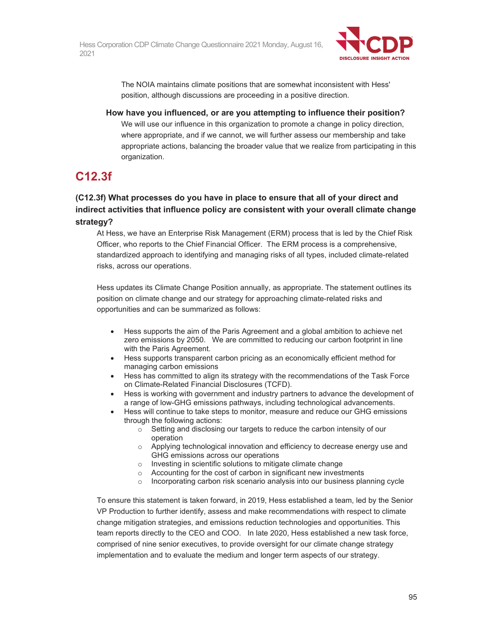

The NOIA maintains climate positions that are somewhat inconsistent with Hess' position, although discussions are proceeding in a positive direction.

**How have you influenced, or are you attempting to influence their position?** We will use our influence in this organization to promote a change in policy direction, where appropriate, and if we cannot, we will further assess our membership and take appropriate actions, balancing the broader value that we realize from participating in this organization.

## **C12.3f**

**(C12.3f) What processes do you have in place to ensure that all of your direct and indirect activities that influence policy are consistent with your overall climate change strategy?** 

At Hess, we have an Enterprise Risk Management (ERM) process that is led by the Chief Risk Officer, who reports to the Chief Financial Officer. The ERM process is a comprehensive, standardized approach to identifying and managing risks of all types, included climate-related risks, across our operations.

Hess updates its Climate Change Position annually, as appropriate. The statement outlines its position on climate change and our strategy for approaching climate-related risks and opportunities and can be summarized as follows:

- Hess supports the aim of the Paris Agreement and a global ambition to achieve net zero emissions by 2050. We are committed to reducing our carbon footprint in line with the Paris Agreement.
- Hess supports transparent carbon pricing as an economically efficient method for managing carbon emissions
- Hess has committed to align its strategy with the recommendations of the Task Force on Climate-Related Financial Disclosures (TCFD).
- Hess is working with government and industry partners to advance the development of a range of low-GHG emissions pathways, including technological advancements.
- Hess will continue to take steps to monitor, measure and reduce our GHG emissions through the following actions:
	- o Setting and disclosing our targets to reduce the carbon intensity of our operation
	- o Applying technological innovation and efficiency to decrease energy use and GHG emissions across our operations
	- o Investing in scientific solutions to mitigate climate change
	- o Accounting for the cost of carbon in significant new investments
	- o Incorporating carbon risk scenario analysis into our business planning cycle

To ensure this statement is taken forward, in 2019, Hess established a team, led by the Senior VP Production to further identify, assess and make recommendations with respect to climate change mitigation strategies, and emissions reduction technologies and opportunities. This team reports directly to the CEO and COO. In late 2020, Hess established a new task force, comprised of nine senior executives, to provide oversight for our climate change strategy implementation and to evaluate the medium and longer term aspects of our strategy.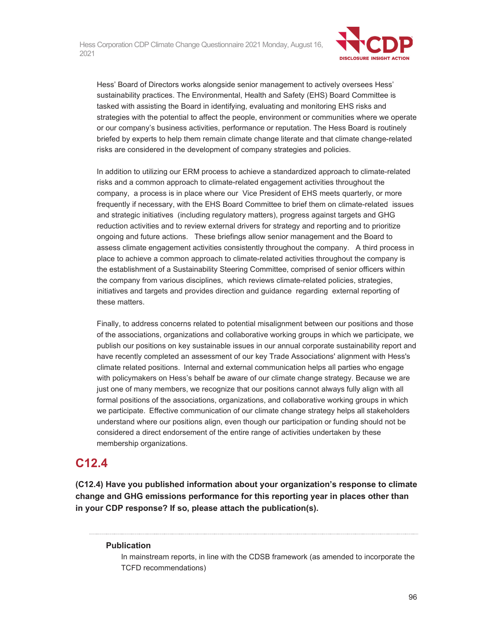

Hess' Board of Directors works alongside senior management to actively oversees Hess' sustainability practices. The Environmental, Health and Safety (EHS) Board Committee is tasked with assisting the Board in identifying, evaluating and monitoring EHS risks and strategies with the potential to affect the people, environment or communities where we operate or our company's business activities, performance or reputation. The Hess Board is routinely briefed by experts to help them remain climate change literate and that climate change-related risks are considered in the development of company strategies and policies.

In addition to utilizing our ERM process to achieve a standardized approach to climate-related risks and a common approach to climate-related engagement activities throughout the company, a process is in place where our Vice President of EHS meets quarterly, or more frequently if necessary, with the EHS Board Committee to brief them on climate-related issues and strategic initiatives (including regulatory matters), progress against targets and GHG reduction activities and to review external drivers for strategy and reporting and to prioritize ongoing and future actions. These briefings allow senior management and the Board to assess climate engagement activities consistently throughout the company. A third process in place to achieve a common approach to climate-related activities throughout the company is the establishment of a Sustainability Steering Committee, comprised of senior officers within the company from various disciplines, which reviews climate-related policies, strategies, initiatives and targets and provides direction and guidance regarding external reporting of these matters.

Finally, to address concerns related to potential misalignment between our positions and those of the associations, organizations and collaborative working groups in which we participate, we publish our positions on key sustainable issues in our annual corporate sustainability report and have recently completed an assessment of our key Trade Associations' alignment with Hess's climate related positions. Internal and external communication helps all parties who engage with policymakers on Hess's behalf be aware of our climate change strategy. Because we are just one of many members, we recognize that our positions cannot always fully align with all formal positions of the associations, organizations, and collaborative working groups in which we participate. Effective communication of our climate change strategy helps all stakeholders understand where our positions align, even though our participation or funding should not be considered a direct endorsement of the entire range of activities undertaken by these membership organizations.

### **C12.4**

**(C12.4) Have you published information about your organization's response to climate change and GHG emissions performance for this reporting year in places other than in your CDP response? If so, please attach the publication(s).** 

#### **Publication**

In mainstream reports, in line with the CDSB framework (as amended to incorporate the TCFD recommendations)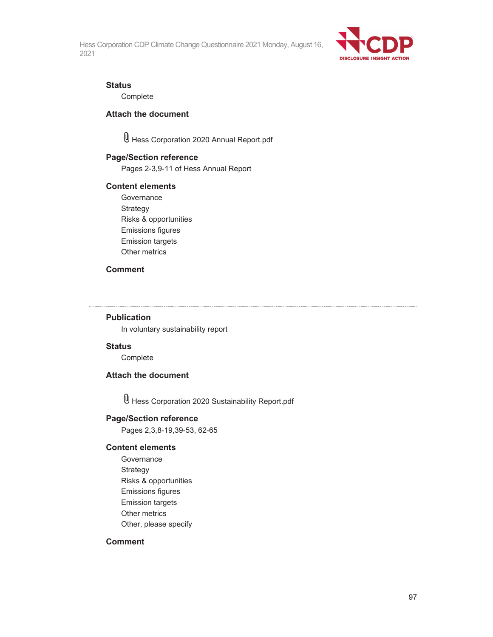

#### **Status**

**Complete** 

#### **Attach the document**

Hess Corporation 2020 Annual Report.pdf

#### **Page/Section reference**

Pages 2-3,9-11 of Hess Annual Report

#### **Content elements**

**Governance** Strategy Risks & opportunities Emissions figures Emission targets Other metrics

#### **Comment**

#### **Publication**

In voluntary sustainability report

#### **Status**

Complete

#### **Attach the document**

Hess Corporation 2020 Sustainability Report.pdf

#### **Page/Section reference**

Pages 2,3,8-19,39-53, 62-65

#### **Content elements**

**Governance Strategy** Risks & opportunities Emissions figures Emission targets Other metrics Other, please specify

#### **Comment**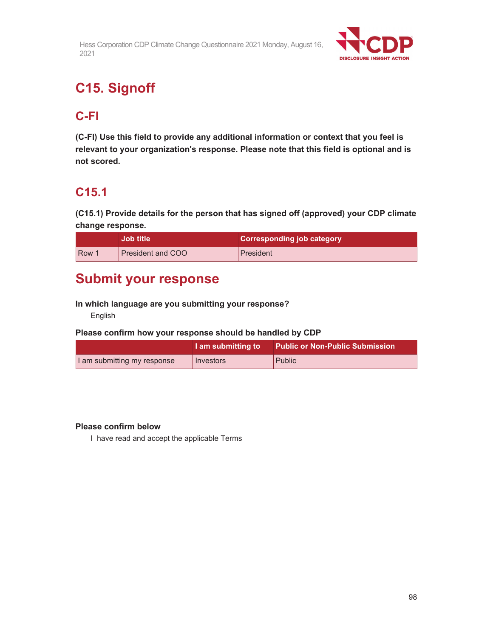

# **C15. Signoff**

## **C-FI**

**(C-FI) Use this field to provide any additional information or context that you feel is relevant to your organization's response. Please note that this field is optional and is not scored.** 

## **C15.1**

**(C15.1) Provide details for the person that has signed off (approved) your CDP climate change response.** 

|            | <b>Job title</b>         | <b>Corresponding job category</b> |
|------------|--------------------------|-----------------------------------|
| <b>Row</b> | <b>President and COO</b> | President                         |

# **Submit your response**

#### **In which language are you submitting your response?**

English

#### **Please confirm how your response should be handled by CDP**

|                             | I am submitting to | <b>Public or Non-Public Submission</b> |
|-----------------------------|--------------------|----------------------------------------|
| I am submitting my response | Investors          | Public                                 |

#### **Please confirm below**

I have read and accept the applicable Terms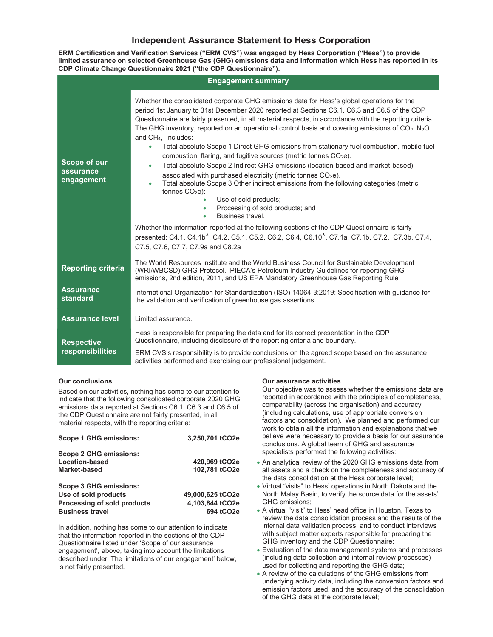#### Independent Assurance Statement to Hess Corporation

ERM Certification and Verification Services ("ERM CVS") was engaged by Hess Corporation ("Hess") to provide limited assurance on selected Greenhouse Gas (GHG) emissions data and information which Hess has reported in its CDP Climate Change Questionnaire 2021 ("the CDP Questionnaire").

| <b>Engagement summary</b>               |                                                                                                                                                                                                                                                                                                                                                                                                                                                                                                                                                                                                                                                                                                                                                                                                                                                                                                                                                                                                                                                                                                                                                                                                                                                                                                            |  |  |
|-----------------------------------------|------------------------------------------------------------------------------------------------------------------------------------------------------------------------------------------------------------------------------------------------------------------------------------------------------------------------------------------------------------------------------------------------------------------------------------------------------------------------------------------------------------------------------------------------------------------------------------------------------------------------------------------------------------------------------------------------------------------------------------------------------------------------------------------------------------------------------------------------------------------------------------------------------------------------------------------------------------------------------------------------------------------------------------------------------------------------------------------------------------------------------------------------------------------------------------------------------------------------------------------------------------------------------------------------------------|--|--|
| Scope of our<br>assurance<br>engagement | Whether the consolidated corporate GHG emissions data for Hess's global operations for the<br>period 1st January to 31st December 2020 reported at Sections C6.1, C6.3 and C6.5 of the CDP<br>Questionnaire are fairly presented, in all material respects, in accordance with the reporting criteria.<br>The GHG inventory, reported on an operational control basis and covering emissions of $CO2$ , N <sub>2</sub> O<br>and CH <sub>4</sub> , includes:<br>Total absolute Scope 1 Direct GHG emissions from stationary fuel combustion, mobile fuel<br>٠<br>combustion, flaring, and fugitive sources (metric tonnes CO <sub>2</sub> e).<br>Total absolute Scope 2 Indirect GHG emissions (location-based and market-based)<br>$\bullet$<br>associated with purchased electricity (metric tonnes CO <sub>2</sub> e).<br>Total absolute Scope 3 Other indirect emissions from the following categories (metric<br>$\bullet$<br>tonnes $CO2e$ ):<br>Use of sold products;<br>Processing of sold products; and<br>Business travel<br>٠<br>Whether the information reported at the following sections of the CDP Questionnaire is fairly<br>presented: C4.1, C4.1b <sup>*</sup> , C4.2, C5.1, C5.2, C6.2, C6.4, C6.10 <sup>*</sup> , C7.1a, C7.1b, C7.2, C7.3b, C7.4,<br>C7.5, C7.6, C7.7, C7.9a and C8.2a |  |  |
| <b>Reporting criteria</b>               | The World Resources Institute and the World Business Council for Sustainable Development<br>(WRI/WBCSD) GHG Protocol, IPIECA's Petroleum Industry Guidelines for reporting GHG<br>emissions, 2nd edition, 2011, and US EPA Mandatory Greenhouse Gas Reporting Rule                                                                                                                                                                                                                                                                                                                                                                                                                                                                                                                                                                                                                                                                                                                                                                                                                                                                                                                                                                                                                                         |  |  |
| <b>Assurance</b><br><b>standard</b>     | International Organization for Standardization (ISO) 14064-3:2019: Specification with quidance for<br>the validation and verification of greenhouse gas assertions                                                                                                                                                                                                                                                                                                                                                                                                                                                                                                                                                                                                                                                                                                                                                                                                                                                                                                                                                                                                                                                                                                                                         |  |  |
| <b>Assurance level</b>                  | Limited assurance.                                                                                                                                                                                                                                                                                                                                                                                                                                                                                                                                                                                                                                                                                                                                                                                                                                                                                                                                                                                                                                                                                                                                                                                                                                                                                         |  |  |
| <b>Respective</b><br>responsibilities   | Hess is responsible for preparing the data and for its correct presentation in the CDP<br>Questionnaire, including disclosure of the reporting criteria and boundary.<br>ERM CVS's responsibility is to provide conclusions on the agreed scope based on the assurance<br>activities performed and exercising our professional judgement.                                                                                                                                                                                                                                                                                                                                                                                                                                                                                                                                                                                                                                                                                                                                                                                                                                                                                                                                                                  |  |  |

#### Our conclusions

Based on our activities, nothing has come to our attention to indicate that the following consolidated corporate 2020 GHG emissions data reported at Sections C6.1, C6.3 and C6.5 of the CDP Questionnaire are not fairly presented, in all material respects, with the reporting criteria:

| <b>Scope 1 GHG emissions:</b>                                                                                  | 3,250,701 tCO2e                                  |
|----------------------------------------------------------------------------------------------------------------|--------------------------------------------------|
| <b>Scope 2 GHG emissions:</b><br>Location-based<br><b>Market-based</b>                                         | 420,969 tCO2e<br>102,781 tCO2e                   |
| <b>Scope 3 GHG emissions:</b><br>Use of sold products<br>Processing of sold products<br><b>Business travel</b> | 49,000,625 tCO2e<br>4,103,844 tCO2e<br>694 tCO2e |

In addition, nothing has come to our attention to indicate that the information reported in the sections of the CDP Questionnaire listed under 'Scope of our assurance engagement', above, taking into account the limitations described under 'The limitations of our engagement' below, is not fairly presented.

#### Our assurance activities

Our objective was to assess whether the emissions data are reported in accordance with the principles of completeness, comparability (across the organisation) and accuracy (including calculations, use of appropriate conversion factors and consolidation). We planned and performed our work to obtain all the information and explanations that we believe were necessary to provide a basis for our assurance conclusions. A global team of GHG and assurance specialists performed the following activities:

- An analytical review of the 2020 GHG emissions data from all assets and a check on the completeness and accuracy of the data consolidation at the Hess corporate level;
- Virtual "visits" to Hess' operations in North Dakota and the North Malay Basin, to verify the source data for the assets' GHG emissions;
- A virtual "visit" to Hess' head office in Houston, Texas to review the data consolidation process and the results of the internal data validation process, and to conduct interviews with subject matter experts responsible for preparing the GHG inventory and the CDP Questionnaire;
- Evaluation of the data management systems and processes (including data collection and internal review processes) used for collecting and reporting the GHG data;
- A review of the calculations of the GHG emissions from underlying activity data, including the conversion factors and emission factors used, and the accuracy of the consolidation of the GHG data at the corporate level;